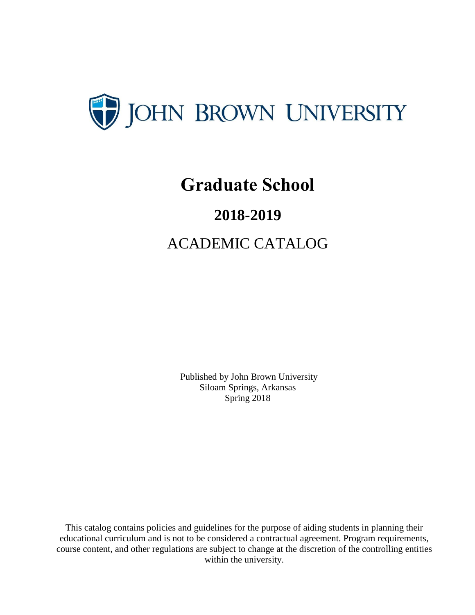

# **Graduate School**

# **2018-2019**

ACADEMIC CATALOG

Published by John Brown University Siloam Springs, Arkansas Spring 2018

This catalog contains policies and guidelines for the purpose of aiding students in planning their educational curriculum and is not to be considered a contractual agreement. Program requirements, course content, and other regulations are subject to change at the discretion of the controlling entities within the university.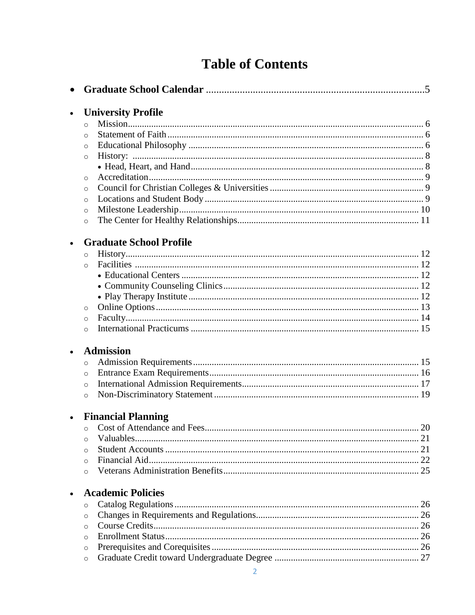# **Table of Contents**

|           | <b>University Profile</b>      |  |
|-----------|--------------------------------|--|
|           | $\circ$                        |  |
|           | $\circ$                        |  |
|           | $\circ$                        |  |
|           | $\circ$                        |  |
|           |                                |  |
|           | $\circ$                        |  |
|           | $\circ$                        |  |
|           | $\circ$                        |  |
|           | $\circ$                        |  |
|           | $\circ$                        |  |
|           | <b>Graduate School Profile</b> |  |
|           | $\circ$                        |  |
|           | $\circ$                        |  |
|           |                                |  |
|           |                                |  |
|           |                                |  |
|           | $\circ$                        |  |
|           | $\circ$                        |  |
|           | $\circ$                        |  |
| $\bullet$ | <b>Admission</b>               |  |
|           | $\circ$                        |  |
|           | $\circ$                        |  |
|           | $\circ$                        |  |
|           | $\circ$                        |  |
| $\bullet$ | <b>Financial Planning</b>      |  |
|           | $\circ$                        |  |
|           | $\circ$                        |  |
|           | $\circ$                        |  |
|           | $\circ$                        |  |
|           | $\circ$                        |  |
|           | <b>Academic Policies</b>       |  |
|           | $\circ$                        |  |
|           | $\circ$                        |  |
|           | $\circ$                        |  |
|           | $\circ$                        |  |
|           | $\circ$                        |  |
|           | $\circ$                        |  |
|           | 2                              |  |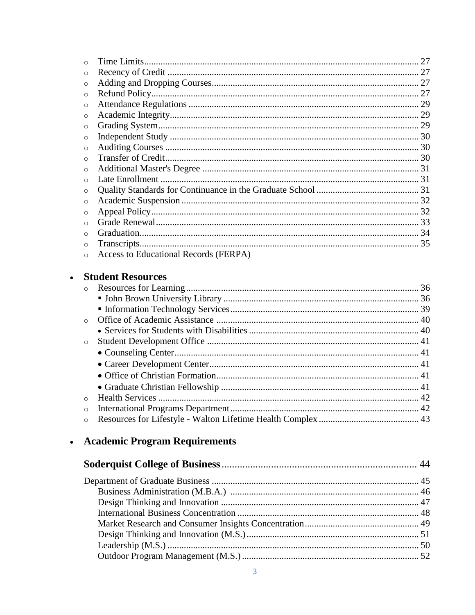| $\circ$  |                                       |  |
|----------|---------------------------------------|--|
| $\Omega$ |                                       |  |
| $\circ$  |                                       |  |
| $\circ$  |                                       |  |
| $\circ$  |                                       |  |
| $\circ$  |                                       |  |
| $\circ$  |                                       |  |
| $\circ$  |                                       |  |
| $\Omega$ |                                       |  |
| $\circ$  |                                       |  |
| $\Omega$ | Late Enrollment                       |  |
| $\circ$  |                                       |  |
| $\circ$  |                                       |  |
| $\circ$  |                                       |  |
| $\circ$  |                                       |  |
| $\Omega$ |                                       |  |
| $\circ$  |                                       |  |
|          | Access to Educational Records (FERPA) |  |
|          | <b>Student Resources</b>              |  |

#### $\bullet$

| $\circ$ |  |
|---------|--|
|         |  |
|         |  |
|         |  |
|         |  |
| $\circ$ |  |
|         |  |
|         |  |
|         |  |
|         |  |
| $\circ$ |  |
| $\circ$ |  |
| $\circ$ |  |

# • Academic Program Requirements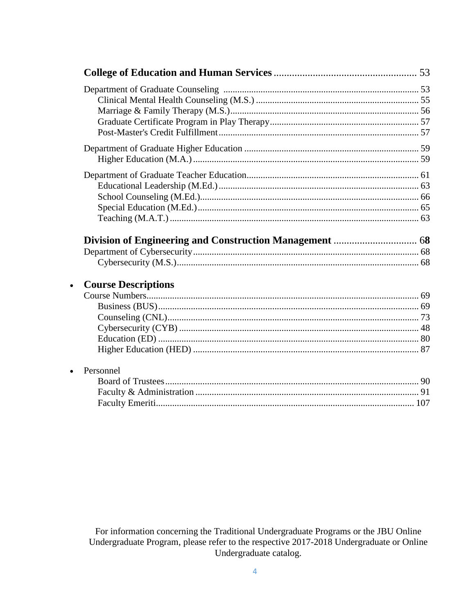| $\bullet$ |                            |  |
|-----------|----------------------------|--|
|           | <b>Course Descriptions</b> |  |
|           |                            |  |
|           |                            |  |
|           |                            |  |
|           |                            |  |
|           |                            |  |
| $\bullet$ | Personnel                  |  |
|           |                            |  |

For information concerning the Traditional Undergraduate Programs or the JBU Online<br>Undergraduate Program, please refer to the respective 2017-2018 Undergraduate or Online Undergraduate catalog.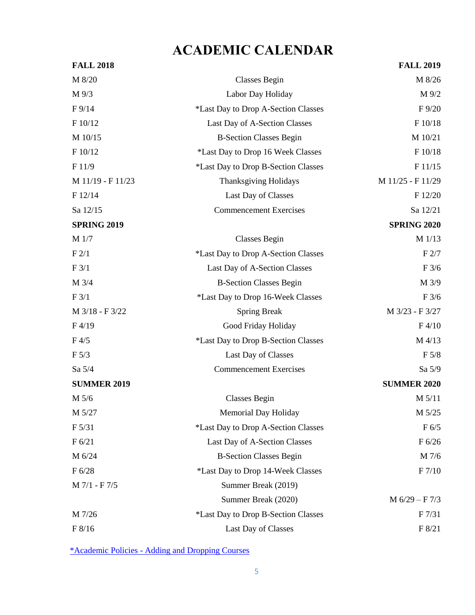# **ACADEMIC CALENDAR**

| <b>FALL 2018</b>   |                                     | <b>FALL 2019</b>   |
|--------------------|-------------------------------------|--------------------|
| M 8/20             | <b>Classes Begin</b>                | M 8/26             |
| M 9/3              | Labor Day Holiday                   | M 9/2              |
| $F\frac{9}{14}$    | *Last Day to Drop A-Section Classes | F 9/20             |
| F 10/12            | Last Day of A-Section Classes       | F 10/18            |
| M 10/15            | <b>B-Section Classes Begin</b>      | M 10/21            |
| F 10/12            | *Last Day to Drop 16 Week Classes   | F 10/18            |
| F11/9              | *Last Day to Drop B-Section Classes | F 11/15            |
| M 11/19 - F 11/23  | <b>Thanksgiving Holidays</b>        | M 11/25 - F 11/29  |
| F 12/14            | Last Day of Classes                 | F 12/20            |
| Sa 12/15           | <b>Commencement Exercises</b>       | Sa 12/21           |
| <b>SPRING 2019</b> |                                     | <b>SPRING 2020</b> |
| M 1/7              | Classes Begin                       | $M$ 1/13           |
| F2/1               | *Last Day to Drop A-Section Classes | F2/7               |
| F 3/1              | Last Day of A-Section Classes       | F3/6               |
| M 3/4              | <b>B-Section Classes Begin</b>      | M 3/9              |
| F3/1               | *Last Day to Drop 16-Week Classes   | F3/6               |
| M 3/18 - F 3/22    | <b>Spring Break</b>                 | M 3/23 - F 3/27    |
| F4/19              | Good Friday Holiday                 | F4/10              |
| F4/5               | *Last Day to Drop B-Section Classes | M 4/13             |
| F 5/3              | Last Day of Classes                 | F 5/8              |
| Sa 5/4             | <b>Commencement Exercises</b>       | Sa 5/9             |
| <b>SUMMER 2019</b> |                                     | <b>SUMMER 2020</b> |
| M 5/6              | <b>Classes Begin</b>                | M 5/11             |
| M 5/27             | <b>Memorial Day Holiday</b>         | M 5/25             |
| F 5/31             | *Last Day to Drop A-Section Classes | F 6/5              |
| F 6/21             | Last Day of A-Section Classes       | F 6/26             |
| M 6/24             | <b>B-Section Classes Begin</b>      | M 7/6              |
| F 6/28             | *Last Day to Drop 14-Week Classes   | F 7/10             |
| M 7/1 - F 7/5      | Summer Break (2019)                 |                    |
|                    | Summer Break (2020)                 | $M 6/29 - F 7/3$   |
| M 7/26             | *Last Day to Drop B-Section Classes | F <sub>7/31</sub>  |
| F 8/16             | Last Day of Classes                 | F 8/21             |

\*Academic Policies - [Adding and Dropping Courses](https://www.jbu.edu/catalog/grad/current/academic)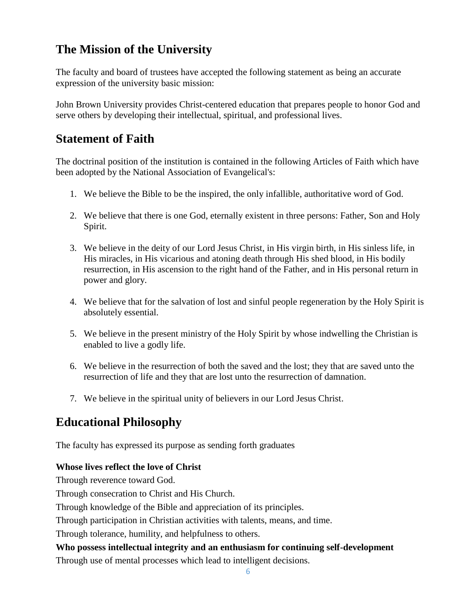# **The Mission of the University**

The faculty and board of trustees have accepted the following statement as being an accurate expression of the university basic mission:

John Brown University provides Christ-centered education that prepares people to honor God and serve others by developing their intellectual, spiritual, and professional lives.

## **Statement of Faith**

The doctrinal position of the institution is contained in the following Articles of Faith which have been adopted by the National Association of Evangelical's:

- 1. We believe the Bible to be the inspired, the only infallible, authoritative word of God.
- 2. We believe that there is one God, eternally existent in three persons: Father, Son and Holy Spirit.
- 3. We believe in the deity of our Lord Jesus Christ, in His virgin birth, in His sinless life, in His miracles, in His vicarious and atoning death through His shed blood, in His bodily resurrection, in His ascension to the right hand of the Father, and in His personal return in power and glory.
- 4. We believe that for the salvation of lost and sinful people regeneration by the Holy Spirit is absolutely essential.
- 5. We believe in the present ministry of the Holy Spirit by whose indwelling the Christian is enabled to live a godly life.
- 6. We believe in the resurrection of both the saved and the lost; they that are saved unto the resurrection of life and they that are lost unto the resurrection of damnation.
- 7. We believe in the spiritual unity of believers in our Lord Jesus Christ.

# **Educational Philosophy**

The faculty has expressed its purpose as sending forth graduates

#### **Whose lives reflect the love of Christ**

Through reverence toward God.

Through consecration to Christ and His Church.

Through knowledge of the Bible and appreciation of its principles.

Through participation in Christian activities with talents, means, and time.

Through tolerance, humility, and helpfulness to others.

#### **Who possess intellectual integrity and an enthusiasm for continuing self-development**

Through use of mental processes which lead to intelligent decisions.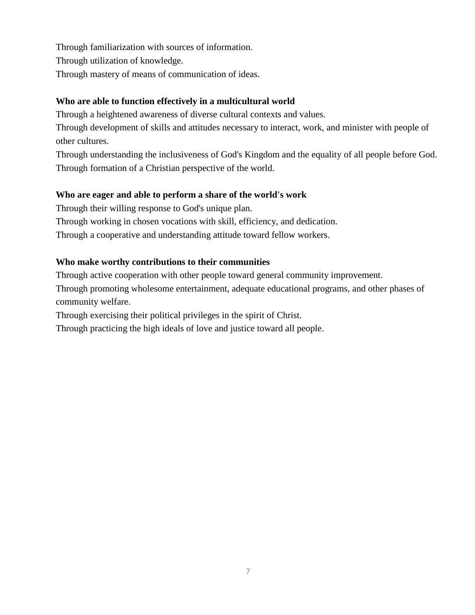Through familiarization with sources of information. Through utilization of knowledge. Through mastery of means of communication of ideas.

#### **Who are able to function effectively in a multicultural world**

Through a heightened awareness of diverse cultural contexts and values.

Through development of skills and attitudes necessary to interact, work, and minister with people of other cultures.

Through understanding the inclusiveness of God's Kingdom and the equality of all people before God. Through formation of a Christian perspective of the world.

#### **Who are eager and able to perform a share of the world's work**

Through their willing response to God's unique plan.

Through working in chosen vocations with skill, efficiency, and dedication.

Through a cooperative and understanding attitude toward fellow workers.

#### **Who make worthy contributions to their communities**

Through active cooperation with other people toward general community improvement.

Through promoting wholesome entertainment, adequate educational programs, and other phases of community welfare.

Through exercising their political privileges in the spirit of Christ.

Through practicing the high ideals of love and justice toward all people.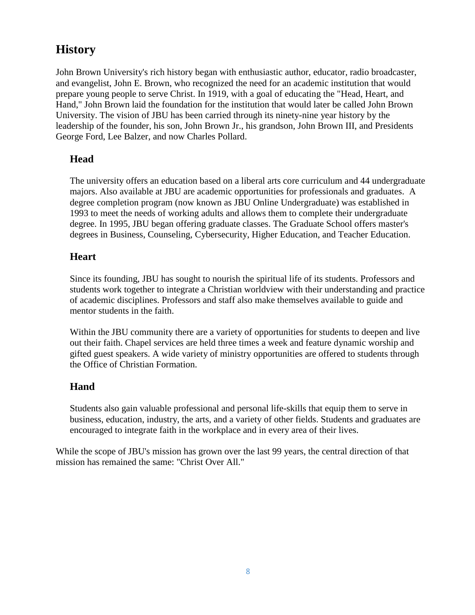## **History**

John Brown University's rich history began with enthusiastic author, educator, radio broadcaster, and evangelist, John E. Brown, who recognized the need for an academic institution that would prepare young people to serve Christ. In 1919, with a goal of educating the "Head, Heart, and Hand," John Brown laid the foundation for the institution that would later be called John Brown University. The vision of JBU has been carried through its ninety-nine year history by the leadership of the founder, his son, John Brown Jr., his grandson, John Brown III, and Presidents George Ford, Lee Balzer, and now Charles Pollard.

#### **Head**

The university offers an education based on a liberal arts core curriculum and 44 undergraduate majors. Also available at JBU are academic opportunities for professionals and graduates. A degree completion program (now known as JBU Online Undergraduate) was established in 1993 to meet the needs of working adults and allows them to complete their undergraduate degree. In 1995, JBU began offering graduate classes. The Graduate School offers master's degrees in Business, Counseling, Cybersecurity, Higher Education, and Teacher Education.

#### **Heart**

Since its founding, JBU has sought to nourish the spiritual life of its students. Professors and students work together to integrate a Christian worldview with their understanding and practice of academic disciplines. Professors and staff also make themselves available to guide and mentor students in the faith.

Within the JBU community there are a variety of opportunities for students to deepen and live out their faith. Chapel services are held three times a week and feature dynamic worship and gifted guest speakers. A wide variety of ministry opportunities are offered to students through the Office of Christian Formation.

#### **Hand**

Students also gain valuable professional and personal life-skills that equip them to serve in business, education, industry, the arts, and a variety of other fields. Students and graduates are encouraged to integrate faith in the workplace and in every area of their lives.

While the scope of JBU's mission has grown over the last 99 years, the central direction of that mission has remained the same: "Christ Over All."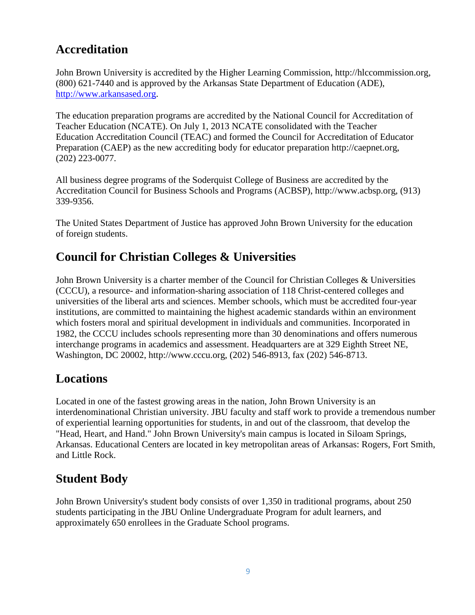# **Accreditation**

John Brown University is accredited by the Higher Learning Commission, http://hlccommission.org, (800) 621-7440 and is approved by the Arkansas State Department of Education (ADE), [http://www.arkansased.org.](http://www.arkansased.org/)

The education preparation programs are accredited by the National Council for Accreditation of Teacher Education (NCATE). On July 1, 2013 NCATE consolidated with the Teacher Education Accreditation Council (TEAC) and formed the Council for Accreditation of Educator Preparation (CAEP) as the new accrediting body for educator preparation http://caepnet.org, (202) 223-0077.

All business degree programs of the Soderquist College of Business are accredited by the Accreditation Council for Business Schools and Programs (ACBSP), http://www.acbsp.org, (913) 339-9356.

The United States Department of Justice has approved John Brown University for the education of foreign students.

## **Council for Christian Colleges & Universities**

John Brown University is a charter member of the Council for Christian Colleges & Universities (CCCU), a resource- and information-sharing association of 118 Christ-centered colleges and universities of the liberal arts and sciences. Member schools, which must be accredited four-year institutions, are committed to maintaining the highest academic standards within an environment which fosters moral and spiritual development in individuals and communities. Incorporated in 1982, the CCCU includes schools representing more than 30 denominations and offers numerous interchange programs in academics and assessment. Headquarters are at 329 Eighth Street NE, Washington, DC 20002, http://www.cccu.org, (202) 546-8913, fax (202) 546-8713.

## **Locations**

Located in one of the fastest growing areas in the nation, John Brown University is an interdenominational Christian university. JBU faculty and staff work to provide a tremendous number of experiential learning opportunities for students, in and out of the classroom, that develop the "Head, Heart, and Hand." John Brown University's main campus is located in Siloam Springs, Arkansas. Educational Centers are located in key metropolitan areas of Arkansas: Rogers, Fort Smith, and Little Rock.

## **Student Body**

John Brown University's student body consists of over 1,350 in traditional programs, about 250 students participating in the JBU Online Undergraduate Program for adult learners, and approximately 650 enrollees in the Graduate School programs.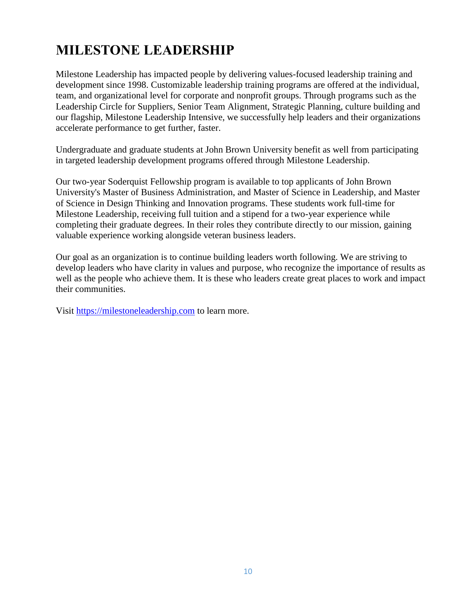# **MILESTONE LEADERSHIP**

Milestone Leadership has impacted people by delivering values-focused leadership training and development since 1998. Customizable leadership training programs are offered at the individual, team, and organizational level for corporate and nonprofit groups. Through programs such as the Leadership Circle for Suppliers, Senior Team Alignment, Strategic Planning, culture building and our flagship, Milestone Leadership Intensive, we successfully help leaders and their organizations accelerate performance to get further, faster.

Undergraduate and graduate students at John Brown University benefit as well from participating in targeted leadership development programs offered through Milestone Leadership.

Our two-year Soderquist Fellowship program is available to top applicants of John Brown University's Master of Business Administration, and Master of Science in Leadership, and Master of Science in Design Thinking and Innovation programs. These students work full-time for Milestone Leadership, receiving full tuition and a stipend for a two-year experience while completing their graduate degrees. In their roles they contribute directly to our mission, gaining valuable experience working alongside veteran business leaders.

Our goal as an organization is to continue building leaders worth following. We are striving to develop leaders who have clarity in values and purpose, who recognize the importance of results as well as the people who achieve them. It is these who leaders create great places to work and impact their communities.

Visit [https://milestoneleadership.com](https://milestoneleadership.com/) to learn more.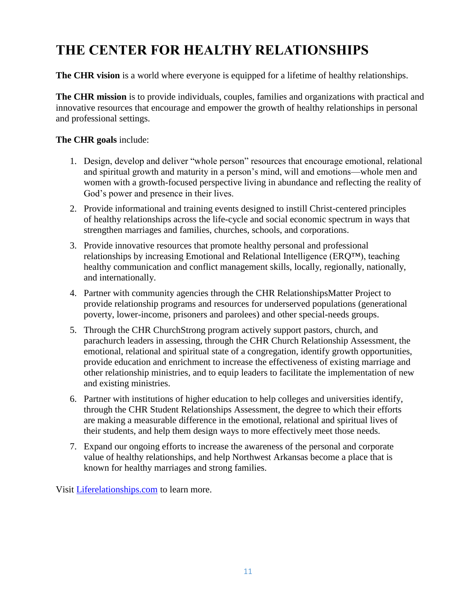# **THE CENTER FOR HEALTHY RELATIONSHIPS**

**The CHR vision** is a world where everyone is equipped for a lifetime of healthy relationships.

**The CHR mission** is to provide individuals, couples, families and organizations with practical and innovative resources that encourage and empower the growth of healthy relationships in personal and professional settings.

#### **The CHR goals** include:

- 1. Design, develop and deliver "whole person" resources that encourage emotional, relational and spiritual growth and maturity in a person's mind, will and emotions—whole men and women with a growth-focused perspective living in abundance and reflecting the reality of God's power and presence in their lives.
- 2. Provide informational and training events designed to instill Christ-centered principles of healthy relationships across the life-cycle and social economic spectrum in ways that strengthen marriages and families, churches, schools, and corporations.
- 3. Provide innovative resources that promote healthy personal and professional relationships by increasing Emotional and Relational Intelligence (ERQ™), teaching healthy communication and conflict management skills, locally, regionally, nationally, and internationally.
- 4. Partner with community agencies through the CHR RelationshipsMatter Project to provide relationship programs and resources for underserved populations (generational poverty, lower-income, prisoners and parolees) and other special-needs groups.
- 5. Through the CHR ChurchStrong program actively support pastors, church, and parachurch leaders in assessing, through the CHR Church Relationship Assessment, the emotional, relational and spiritual state of a congregation, identify growth opportunities, provide education and enrichment to increase the effectiveness of existing marriage and other relationship ministries, and to equip leaders to facilitate the implementation of new and existing ministries.
- 6. Partner with institutions of higher education to help colleges and universities identify, through the CHR Student Relationships Assessment, the degree to which their efforts are making a measurable difference in the emotional, relational and spiritual lives of their students, and help them design ways to more effectively meet those needs.
- 7. Expand our ongoing efforts to increase the awareness of the personal and corporate value of healthy relationships, and help Northwest Arkansas become a place that is known for healthy marriages and strong families.

Visit [Liferelationships.com](http://liferelationships.com/) to learn more.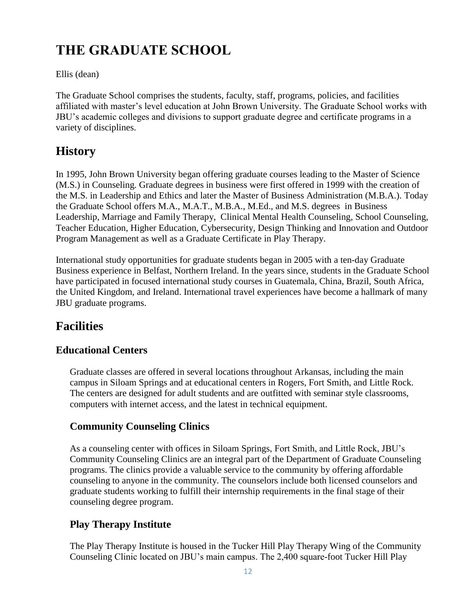# **THE GRADUATE SCHOOL**

#### Ellis (dean)

The Graduate School comprises the students, faculty, staff, programs, policies, and facilities affiliated with master's level education at John Brown University. The Graduate School works with JBU's academic colleges and divisions to support graduate degree and certificate programs in a variety of disciplines.

# **History**

In 1995, John Brown University began offering graduate courses leading to the Master of Science (M.S.) in Counseling. Graduate degrees in business were first offered in 1999 with the creation of the M.S. in Leadership and Ethics and later the Master of Business Administration (M.B.A.). Today the Graduate School offers M.A., M.A.T., M.B.A., M.Ed., and M.S. degrees in Business Leadership, Marriage and Family Therapy, Clinical Mental Health Counseling, School Counseling, Teacher Education, Higher Education, Cybersecurity, Design Thinking and Innovation and Outdoor Program Management as well as a Graduate Certificate in Play Therapy.

International study opportunities for graduate students began in 2005 with a ten-day Graduate Business experience in Belfast, Northern Ireland. In the years since, students in the Graduate School have participated in focused international study courses in Guatemala, China, Brazil, South Africa, the United Kingdom, and Ireland. International travel experiences have become a hallmark of many JBU graduate programs.

# **Facilities**

### **Educational Centers**

Graduate classes are offered in several locations throughout Arkansas, including the main campus in Siloam Springs and at educational centers in Rogers, Fort Smith, and Little Rock. The centers are designed for adult students and are outfitted with seminar style classrooms, computers with internet access, and the latest in technical equipment.

### **Community Counseling Clinics**

As a counseling center with offices in Siloam Springs, Fort Smith, and Little Rock, JBU's Community Counseling Clinics are an integral part of the Department of Graduate Counseling programs. The clinics provide a valuable service to the community by offering affordable counseling to anyone in the community. The counselors include both licensed counselors and graduate students working to fulfill their internship requirements in the final stage of their counseling degree program.

### **Play Therapy Institute**

The Play Therapy Institute is housed in the Tucker Hill Play Therapy Wing of the Community Counseling Clinic located on JBU's main campus. The 2,400 square-foot Tucker Hill Play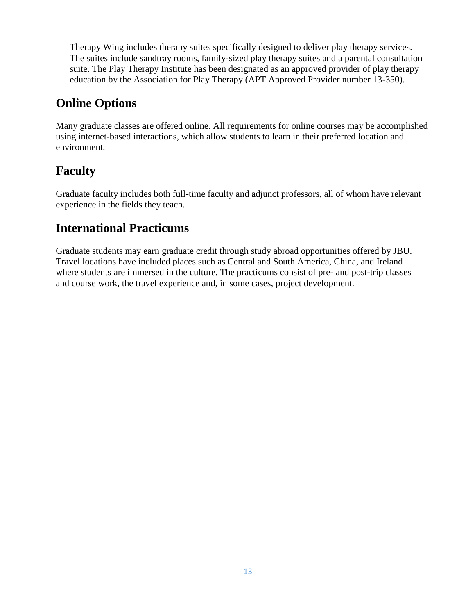Therapy Wing includes therapy suites specifically designed to deliver play therapy services. The suites include sandtray rooms, family-sized play therapy suites and a parental consultation suite. The Play Therapy Institute has been designated as an approved provider of play therapy education by the Association for Play Therapy (APT Approved Provider number 13-350).

### **Online Options**

Many graduate classes are offered online. All requirements for online courses may be accomplished using internet-based interactions, which allow students to learn in their preferred location and environment.

# **Faculty**

Graduate faculty includes both full-time faculty and adjunct professors, all of whom have relevant experience in the fields they teach.

### **International Practicums**

Graduate students may earn graduate credit through study abroad opportunities offered by JBU. Travel locations have included places such as Central and South America, China, and Ireland where students are immersed in the culture. The practicums consist of pre- and post-trip classes and course work, the travel experience and, in some cases, project development.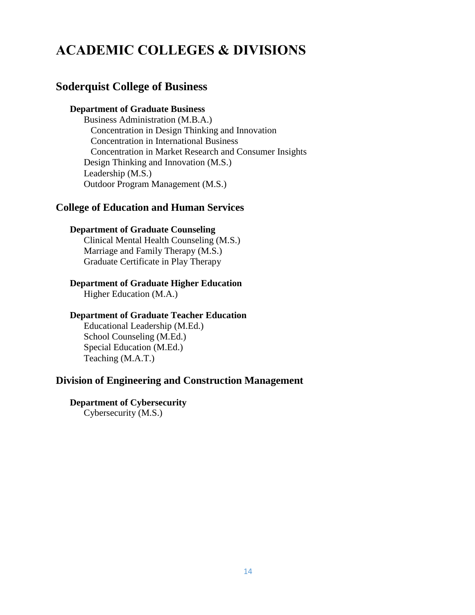# **ACADEMIC COLLEGES & DIVISIONS**

#### **Soderquist College of Business**

#### **Department of Graduate Business**

Business Administration (M.B.A.) Concentration in Design Thinking and Innovation Concentration in International Business Concentration in Market Research and Consumer Insights Design Thinking and Innovation (M.S.) Leadership (M.S.) Outdoor Program Management (M.S.)

#### **College of Education and Human Services**

#### **Department of Graduate Counseling**

Clinical Mental Health Counseling (M.S.) Marriage and Family Therapy (M.S.) Graduate Certificate in Play Therapy

#### **Department of Graduate Higher Education**

Higher Education (M.A.)

#### **Department of Graduate Teacher Education**

Educational Leadership (M.Ed.) School Counseling (M.Ed.) Special Education (M.Ed.) Teaching (M.A.T.)

#### **Division of Engineering and Construction Management**

#### **Department of Cybersecurity**

Cybersecurity (M.S.)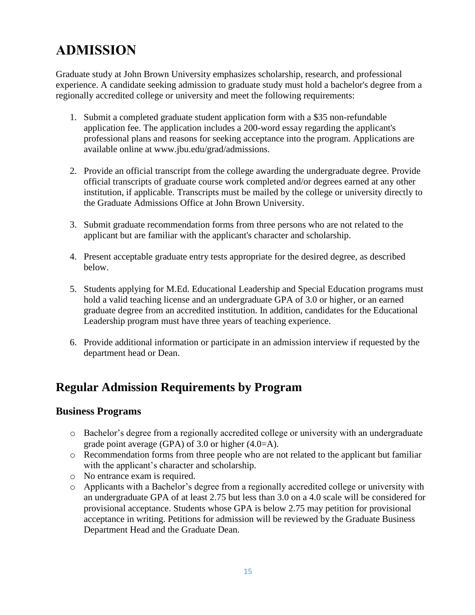# **ADMISSION**

Graduate study at John Brown University emphasizes scholarship, research, and professional experience. A candidate seeking admission to graduate study must hold a bachelor's degree from a regionally accredited college or university and meet the following requirements:

- 1. Submit a completed graduate student application form with a \$35 non-refundable application fee. The application includes a 200-word essay regarding the applicant's professional plans and reasons for seeking acceptance into the program. Applications are available online at www.jbu.edu/grad/admissions.
- 2. Provide an official transcript from the college awarding the undergraduate degree. Provide official transcripts of graduate course work completed and/or degrees earned at any other institution, if applicable. Transcripts must be mailed by the college or university directly to the Graduate Admissions Office at John Brown University.
- 3. Submit graduate recommendation forms from three persons who are not related to the applicant but are familiar with the applicant's character and scholarship.
- 4. Present acceptable graduate entry tests appropriate for the desired degree, as described below.
- 5. Students applying for M.Ed. Educational Leadership and Special Education programs must hold a valid teaching license and an undergraduate GPA of 3.0 or higher, or an earned graduate degree from an accredited institution. In addition, candidates for the Educational Leadership program must have three years of teaching experience.
- 6. Provide additional information or participate in an admission interview if requested by the department head or Dean.

### **Regular Admission Requirements by Program**

#### **Business Programs**

- o Bachelor's degree from a regionally accredited college or university with an undergraduate grade point average (GPA) of 3.0 or higher (4.0=A).
- o Recommendation forms from three people who are not related to the applicant but familiar with the applicant's character and scholarship.
- o No entrance exam is required.
- o Applicants with a Bachelor's degree from a regionally accredited college or university with an undergraduate GPA of at least 2.75 but less than 3.0 on a 4.0 scale will be considered for provisional acceptance. Students whose GPA is below 2.75 may petition for provisional acceptance in writing. Petitions for admission will be reviewed by the Graduate Business Department Head and the Graduate Dean.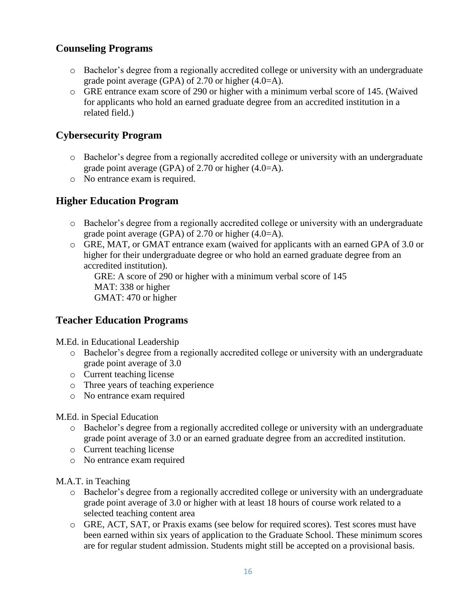#### **Counseling Programs**

- o Bachelor's degree from a regionally accredited college or university with an undergraduate grade point average (GPA) of 2.70 or higher (4.0=A).
- o GRE entrance exam score of 290 or higher with a minimum verbal score of 145. (Waived for applicants who hold an earned graduate degree from an accredited institution in a related field.)

#### **Cybersecurity Program**

- o Bachelor's degree from a regionally accredited college or university with an undergraduate grade point average (GPA) of 2.70 or higher (4.0=A).
- o No entrance exam is required.

#### **Higher Education Program**

- o Bachelor's degree from a regionally accredited college or university with an undergraduate grade point average (GPA) of 2.70 or higher (4.0=A).
- o GRE, MAT, or GMAT entrance exam (waived for applicants with an earned GPA of 3.0 or higher for their undergraduate degree or who hold an earned graduate degree from an accredited institution).

GRE: A score of 290 or higher with a minimum verbal score of 145 MAT: 338 or higher GMAT: 470 or higher

#### **Teacher Education Programs**

M.Ed. in Educational Leadership

- o Bachelor's degree from a regionally accredited college or university with an undergraduate grade point average of 3.0
- o Current teaching license
- o Three years of teaching experience
- o No entrance exam required

#### M.Ed. in Special Education

- o Bachelor's degree from a regionally accredited college or university with an undergraduate grade point average of 3.0 or an earned graduate degree from an accredited institution.
- o Current teaching license
- o No entrance exam required

M.A.T. in Teaching

- o Bachelor's degree from a regionally accredited college or university with an undergraduate grade point average of 3.0 or higher with at least 18 hours of course work related to a selected teaching content area
- o GRE, ACT, SAT, or Praxis exams (see below for required scores). Test scores must have been earned within six years of application to the Graduate School. These minimum scores are for regular student admission. Students might still be accepted on a provisional basis.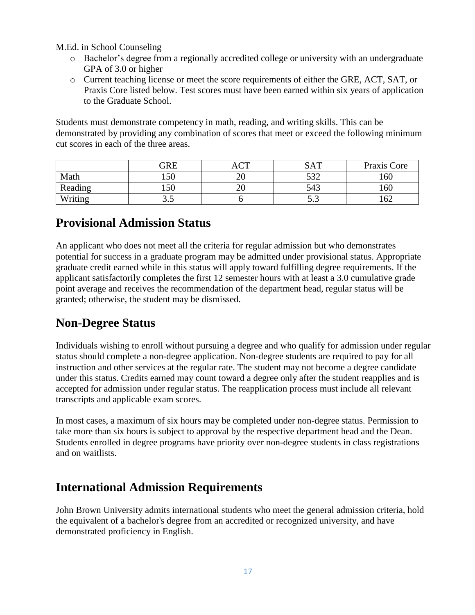M.Ed. in School Counseling

- o Bachelor's degree from a regionally accredited college or university with an undergraduate GPA of 3.0 or higher
- o Current teaching license or meet the score requirements of either the GRE, ACT, SAT, or Praxis Core listed below. Test scores must have been earned within six years of application to the Graduate School.

Students must demonstrate competency in math, reading, and writing skills. This can be demonstrated by providing any combination of scores that meet or exceed the following minimum cut scores in each of the three areas.

|         | GRE  | $\sqrt{2}$ | <b>SAT</b> | Praxis Core |
|---------|------|------------|------------|-------------|
| Math    | 150  | ∠∪         | 520<br>ے ت | 160         |
| Reading | 150  | ∠∪         | 543        | 160         |
| Writing | ن. ب |            | ن.ر        | 162         |

### **Provisional Admission Status**

An applicant who does not meet all the criteria for regular admission but who demonstrates potential for success in a graduate program may be admitted under provisional status. Appropriate graduate credit earned while in this status will apply toward fulfilling degree requirements. If the applicant satisfactorily completes the first 12 semester hours with at least a 3.0 cumulative grade point average and receives the recommendation of the department head, regular status will be granted; otherwise, the student may be dismissed.

### **Non-Degree Status**

Individuals wishing to enroll without pursuing a degree and who qualify for admission under regular status should complete a non-degree application. Non-degree students are required to pay for all instruction and other services at the regular rate. The student may not become a degree candidate under this status. Credits earned may count toward a degree only after the student reapplies and is accepted for admission under regular status. The reapplication process must include all relevant transcripts and applicable exam scores.

In most cases, a maximum of six hours may be completed under non-degree status. Permission to take more than six hours is subject to approval by the respective department head and the Dean. Students enrolled in degree programs have priority over non-degree students in class registrations and on waitlists.

### **International Admission Requirements**

John Brown University admits international students who meet the general admission criteria, hold the equivalent of a bachelor's degree from an accredited or recognized university, and have demonstrated proficiency in English.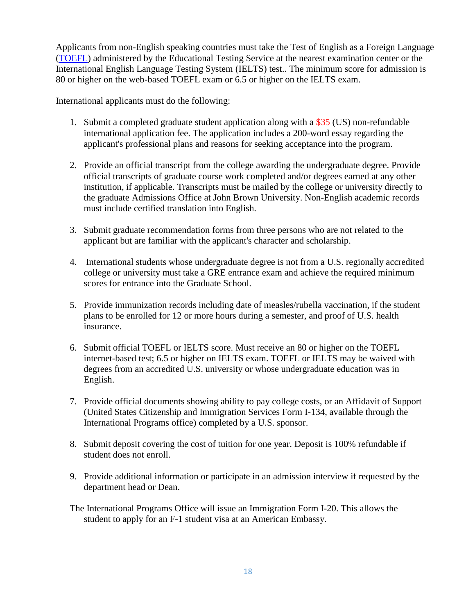Applicants from non-English speaking countries must take the Test of English as a Foreign Language [\(TOEFL\)](http://www.ets.org/toefl) administered by the Educational Testing Service at the nearest examination center or the International English Language Testing System (IELTS) test.. The minimum score for admission is 80 or higher on the web-based TOEFL exam or 6.5 or higher on the IELTS exam.

International applicants must do the following:

- 1. Submit a completed graduate student application along with a \$35 (US) non-refundable international application fee. The application includes a 200-word essay regarding the applicant's professional plans and reasons for seeking acceptance into the program.
- 2. Provide an official transcript from the college awarding the undergraduate degree. Provide official transcripts of graduate course work completed and/or degrees earned at any other institution, if applicable. Transcripts must be mailed by the college or university directly to the graduate Admissions Office at John Brown University. Non-English academic records must include certified translation into English.
- 3. Submit graduate recommendation forms from three persons who are not related to the applicant but are familiar with the applicant's character and scholarship.
- 4. International students whose undergraduate degree is not from a U.S. regionally accredited college or university must take a GRE entrance exam and achieve the required minimum scores for entrance into the Graduate School.
- 5. Provide immunization records including date of measles/rubella vaccination, if the student plans to be enrolled for 12 or more hours during a semester, and proof of U.S. health insurance.
- 6. Submit official TOEFL or IELTS score. Must receive an 80 or higher on the TOEFL internet-based test; 6.5 or higher on IELTS exam. TOEFL or IELTS may be waived with degrees from an accredited U.S. university or whose undergraduate education was in English.
- 7. Provide official documents showing ability to pay college costs, or an Affidavit of Support (United States Citizenship and Immigration Services Form I-134, available through the International Programs office) completed by a U.S. sponsor.
- 8. Submit deposit covering the cost of tuition for one year. Deposit is 100% refundable if student does not enroll.
- 9. Provide additional information or participate in an admission interview if requested by the department head or Dean.
- The International Programs Office will issue an Immigration Form I-20. This allows the student to apply for an F-1 student visa at an American Embassy.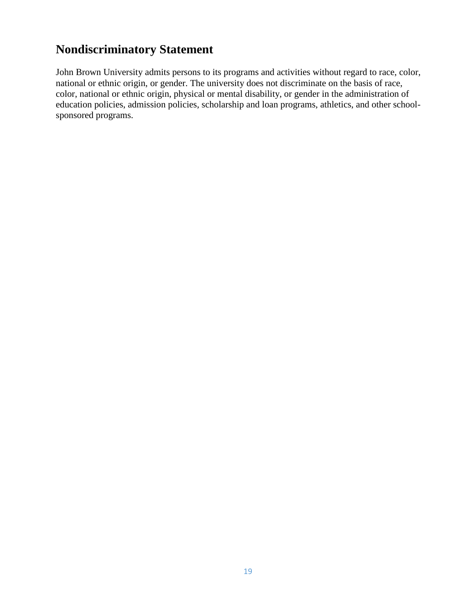### **Nondiscriminatory Statement**

John Brown University admits persons to its programs and activities without regard to race, color, national or ethnic origin, or gender. The university does not discriminate on the basis of race, color, national or ethnic origin, physical or mental disability, or gender in the administration of education policies, admission policies, scholarship and loan programs, athletics, and other schoolsponsored programs.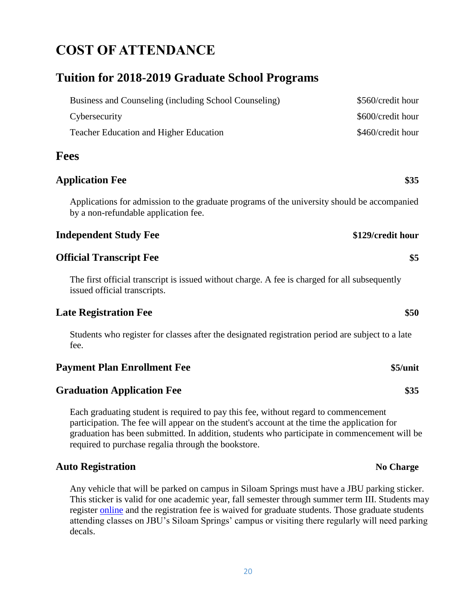# **COST OF ATTENDANCE**

### **Tuition for 2018-2019 Graduate School Programs**

| Business and Counseling (including School Counseling) | \$560/credit hour |
|-------------------------------------------------------|-------------------|
| Cybersecurity                                         | \$600/credit hour |
| <b>Teacher Education and Higher Education</b>         | \$460/credit hour |

#### **Fees**

#### **Application Fee \$35**

Applications for admission to the graduate programs of the university should be accompanied by a non-refundable application fee.

#### **Independent Study Fee \$129/credit hour**

#### **Official Transcript Fee \$5**

The first official transcript is issued without charge. A fee is charged for all subsequently issued official transcripts.

#### **Late Registration Fee \$50**

Students who register for classes after the designated registration period are subject to a late fee.

#### **Payment Plan Enrollment Fee \$5/unit**

#### **Graduation Application Fee \$35**

Each graduating student is required to pay this fee, without regard to commencement participation. The fee will appear on the student's account at the time the application for graduation has been submitted. In addition, students who participate in commencement will be required to purchase regalia through the bookstore.

#### **Auto Registration No Charge**

Any vehicle that will be parked on campus in Siloam Springs must have a JBU parking sticker. This sticker is valid for one academic year, fall semester through summer term III. Students may register [online](https://cms.jbu.edu/campus_safety/parking_traffic/registration_of_vehicles/) and the registration fee is waived for graduate students. Those graduate students attending classes on JBU's Siloam Springs' campus or visiting there regularly will need parking decals.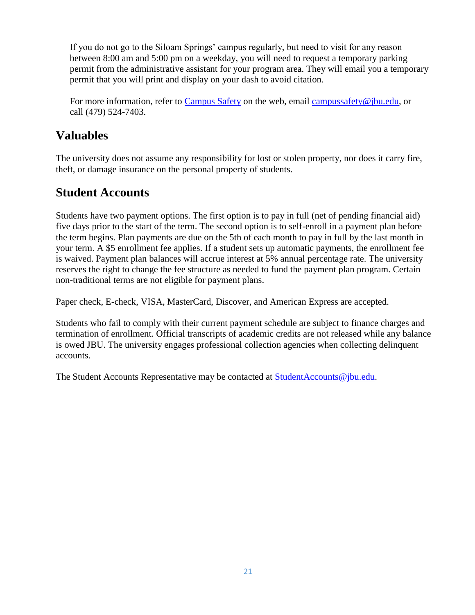If you do not go to the Siloam Springs' campus regularly, but need to visit for any reason between 8:00 am and 5:00 pm on a weekday, you will need to request a temporary parking permit from the administrative assistant for your program area. They will email you a temporary permit that you will print and display on your dash to avoid citation.

For more information, refer to [Campus Safety](https://cms.jbu.edu/campus_safety/) on the web, email [campussafety@jbu.edu,](mailto:campussafety@jbu.edu) or call (479) 524-7403.

### **Valuables**

The university does not assume any responsibility for lost or stolen property, nor does it carry fire, theft, or damage insurance on the personal property of students.

### **Student Accounts**

Students have two payment options. The first option is to pay in full (net of pending financial aid) five days prior to the start of the term. The second option is to self-enroll in a payment plan before the term begins. Plan payments are due on the 5th of each month to pay in full by the last month in your term. A \$5 enrollment fee applies. If a student sets up automatic payments, the enrollment fee is waived. Payment plan balances will accrue interest at 5% annual percentage rate. The university reserves the right to change the fee structure as needed to fund the payment plan program. Certain non-traditional terms are not eligible for payment plans.

Paper check, E-check, VISA, MasterCard, Discover, and American Express are accepted.

Students who fail to comply with their current payment schedule are subject to finance charges and termination of enrollment. Official transcripts of academic credits are not released while any balance is owed JBU. The university engages professional collection agencies when collecting delinquent accounts.

The Student Accounts Representative may be contacted at [StudentAccounts@jbu.edu.](https://www.jbu.edu/student-accounts/contact_us/)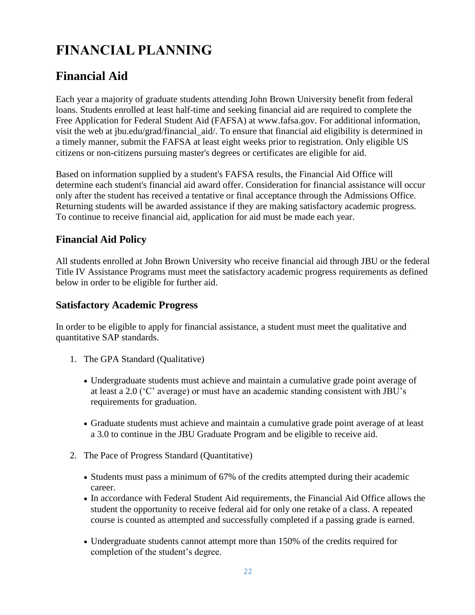# **FINANCIAL PLANNING**

# **Financial Aid**

Each year a majority of graduate students attending John Brown University benefit from federal loans. Students enrolled at least half-time and seeking financial aid are required to complete the Free Application for Federal Student Aid (FAFSA) at www.fafsa.gov. For additional information, visit the web at jbu.edu/grad/financial\_aid/. To ensure that financial aid eligibility is determined in a timely manner, submit the FAFSA at least eight weeks prior to registration. Only eligible US citizens or non-citizens pursuing master's degrees or certificates are eligible for aid.

Based on information supplied by a student's FAFSA results, the Financial Aid Office will determine each student's financial aid award offer. Consideration for financial assistance will occur only after the student has received a tentative or final acceptance through the Admissions Office. Returning students will be awarded assistance if they are making satisfactory academic progress. To continue to receive financial aid, application for aid must be made each year.

#### **Financial Aid Policy**

All students enrolled at John Brown University who receive financial aid through JBU or the federal Title IV Assistance Programs must meet the satisfactory academic progress requirements as defined below in order to be eligible for further aid.

#### **Satisfactory Academic Progress**

In order to be eligible to apply for financial assistance, a student must meet the qualitative and quantitative SAP standards.

- 1. The GPA Standard (Qualitative)
	- Undergraduate students must achieve and maintain a cumulative grade point average of at least a 2.0 ('C' average) or must have an academic standing consistent with JBU's requirements for graduation.
	- Graduate students must achieve and maintain a cumulative grade point average of at least a 3.0 to continue in the JBU Graduate Program and be eligible to receive aid.
- 2. The Pace of Progress Standard (Quantitative)
	- Students must pass a minimum of 67% of the credits attempted during their academic career.
	- In accordance with Federal Student Aid requirements, the Financial Aid Office allows the student the opportunity to receive federal aid for only one retake of a class. A repeated course is counted as attempted and successfully completed if a passing grade is earned.
	- Undergraduate students cannot attempt more than 150% of the credits required for completion of the student's degree.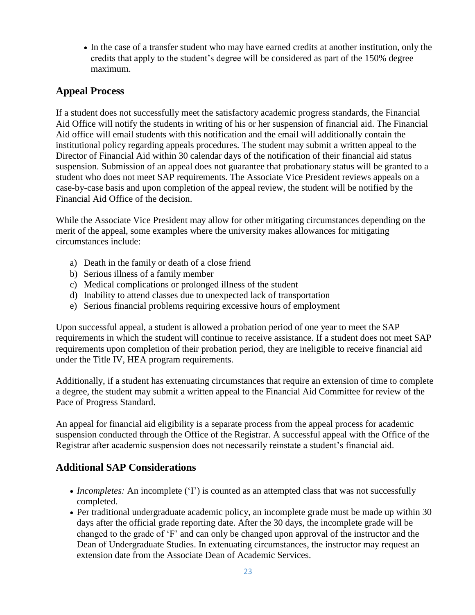In the case of a transfer student who may have earned credits at another institution, only the credits that apply to the student's degree will be considered as part of the 150% degree maximum.

#### **Appeal Process**

If a student does not successfully meet the satisfactory academic progress standards, the Financial Aid Office will notify the students in writing of his or her suspension of financial aid. The Financial Aid office will email students with this notification and the email will additionally contain the institutional policy regarding appeals procedures. The student may submit a written appeal to the Director of Financial Aid within 30 calendar days of the notification of their financial aid status suspension. Submission of an appeal does not guarantee that probationary status will be granted to a student who does not meet SAP requirements. The Associate Vice President reviews appeals on a case-by-case basis and upon completion of the appeal review, the student will be notified by the Financial Aid Office of the decision.

While the Associate Vice President may allow for other mitigating circumstances depending on the merit of the appeal, some examples where the university makes allowances for mitigating circumstances include:

- a) Death in the family or death of a close friend
- b) Serious illness of a family member
- c) Medical complications or prolonged illness of the student
- d) Inability to attend classes due to unexpected lack of transportation
- e) Serious financial problems requiring excessive hours of employment

Upon successful appeal, a student is allowed a probation period of one year to meet the SAP requirements in which the student will continue to receive assistance. If a student does not meet SAP requirements upon completion of their probation period, they are ineligible to receive financial aid under the Title IV, HEA program requirements.

Additionally, if a student has extenuating circumstances that require an extension of time to complete a degree, the student may submit a written appeal to the Financial Aid Committee for review of the Pace of Progress Standard.

An appeal for financial aid eligibility is a separate process from the appeal process for academic suspension conducted through the Office of the Registrar. A successful appeal with the Office of the Registrar after academic suspension does not necessarily reinstate a student's financial aid.

#### **Additional SAP Considerations**

- *Incompletes:* An incomplete ('I') is counted as an attempted class that was not successfully completed.
- Per traditional undergraduate academic policy, an incomplete grade must be made up within 30 days after the official grade reporting date. After the 30 days, the incomplete grade will be changed to the grade of 'F' and can only be changed upon approval of the instructor and the Dean of Undergraduate Studies. In extenuating circumstances, the instructor may request an extension date from the Associate Dean of Academic Services.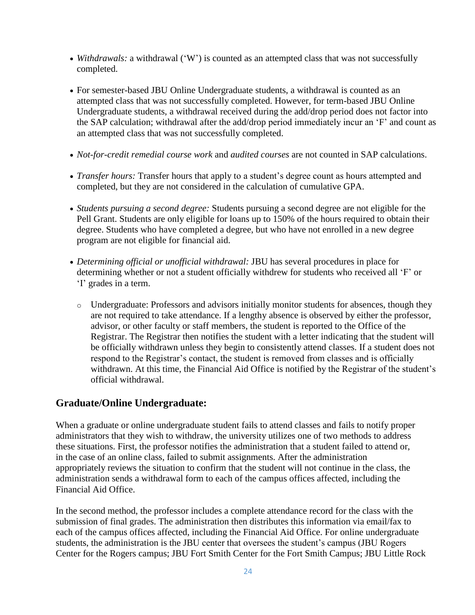- *Withdrawals:* a withdrawal ('W') is counted as an attempted class that was not successfully completed.
- For semester-based JBU Online Undergraduate students, a withdrawal is counted as an attempted class that was not successfully completed. However, for term-based JBU Online Undergraduate students, a withdrawal received during the add/drop period does not factor into the SAP calculation; withdrawal after the add/drop period immediately incur an 'F' and count as an attempted class that was not successfully completed.
- *Not-for-credit remedial course work* and *audited courses* are not counted in SAP calculations.
- *Transfer hours:* Transfer hours that apply to a student's degree count as hours attempted and completed, but they are not considered in the calculation of cumulative GPA.
- *Students pursuing a second degree:* Students pursuing a second degree are not eligible for the Pell Grant. Students are only eligible for loans up to 150% of the hours required to obtain their degree. Students who have completed a degree, but who have not enrolled in a new degree program are not eligible for financial aid.
- *Determining official or unofficial withdrawal:* JBU has several procedures in place for determining whether or not a student officially withdrew for students who received all 'F' or 'I' grades in a term.
	- o Undergraduate: Professors and advisors initially monitor students for absences, though they are not required to take attendance. If a lengthy absence is observed by either the professor, advisor, or other faculty or staff members, the student is reported to the Office of the Registrar. The Registrar then notifies the student with a letter indicating that the student will be officially withdrawn unless they begin to consistently attend classes. If a student does not respond to the Registrar's contact, the student is removed from classes and is officially withdrawn. At this time, the Financial Aid Office is notified by the Registrar of the student's official withdrawal.

#### **Graduate/Online Undergraduate:**

When a graduate or online undergraduate student fails to attend classes and fails to notify proper administrators that they wish to withdraw, the university utilizes one of two methods to address these situations. First, the professor notifies the administration that a student failed to attend or, in the case of an online class, failed to submit assignments. After the administration appropriately reviews the situation to confirm that the student will not continue in the class, the administration sends a withdrawal form to each of the campus offices affected, including the Financial Aid Office.

In the second method, the professor includes a complete attendance record for the class with the submission of final grades. The administration then distributes this information via email/fax to each of the campus offices affected, including the Financial Aid Office. For online undergraduate students, the administration is the JBU center that oversees the student's campus (JBU Rogers Center for the Rogers campus; JBU Fort Smith Center for the Fort Smith Campus; JBU Little Rock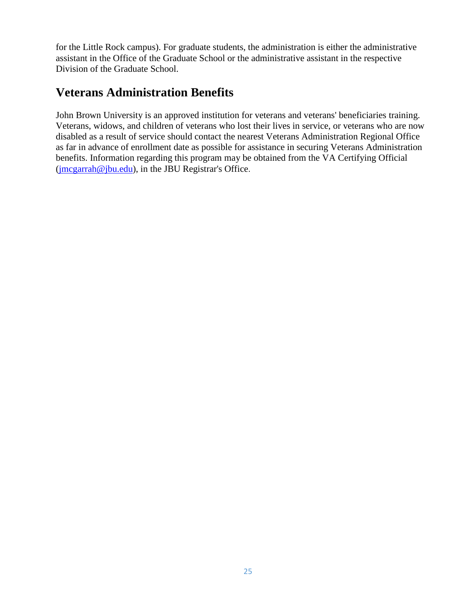for the Little Rock campus). For graduate students, the administration is either the administrative assistant in the Office of the Graduate School or the administrative assistant in the respective Division of the Graduate School.

### **Veterans Administration Benefits**

John Brown University is an approved institution for veterans and veterans' beneficiaries training. Veterans, widows, and children of veterans who lost their lives in service, or veterans who are now disabled as a result of service should contact the nearest Veterans Administration Regional Office as far in advance of enrollment date as possible for assistance in securing Veterans Administration benefits. Information regarding this program may be obtained from the VA Certifying Official [\(jmcgarrah@jbu.edu\)](mailto:jmcgarrah@jbu.edu), in the JBU Registrar's Office.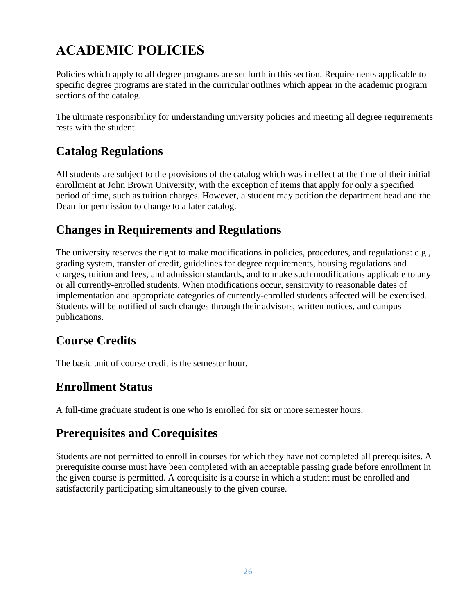# **ACADEMIC POLICIES**

Policies which apply to all degree programs are set forth in this section. Requirements applicable to specific degree programs are stated in the curricular outlines which appear in the academic program sections of the catalog.

The ultimate responsibility for understanding university policies and meeting all degree requirements rests with the student.

# **Catalog Regulations**

All students are subject to the provisions of the catalog which was in effect at the time of their initial enrollment at John Brown University, with the exception of items that apply for only a specified period of time, such as tuition charges. However, a student may petition the department head and the Dean for permission to change to a later catalog.

# **Changes in Requirements and Regulations**

The university reserves the right to make modifications in policies, procedures, and regulations: e.g., grading system, transfer of credit, guidelines for degree requirements, housing regulations and charges, tuition and fees, and admission standards, and to make such modifications applicable to any or all currently-enrolled students. When modifications occur, sensitivity to reasonable dates of implementation and appropriate categories of currently-enrolled students affected will be exercised. Students will be notified of such changes through their advisors, written notices, and campus publications.

# **Course Credits**

The basic unit of course credit is the semester hour.

### **Enrollment Status**

A full-time graduate student is one who is enrolled for six or more semester hours.

### **Prerequisites and Corequisites**

Students are not permitted to enroll in courses for which they have not completed all prerequisites. A prerequisite course must have been completed with an acceptable passing grade before enrollment in the given course is permitted. A corequisite is a course in which a student must be enrolled and satisfactorily participating simultaneously to the given course.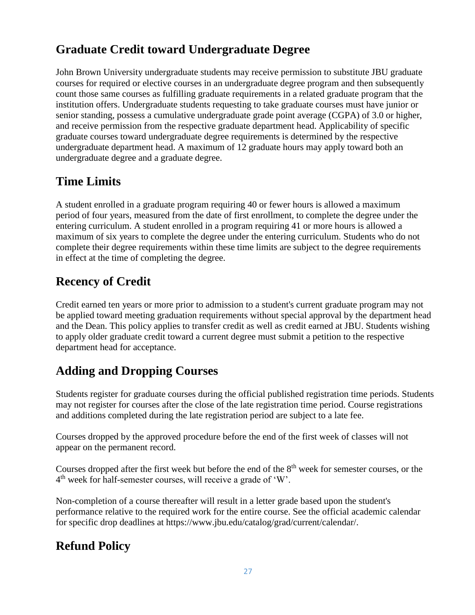# **Graduate Credit toward Undergraduate Degree**

John Brown University undergraduate students may receive permission to substitute JBU graduate courses for required or elective courses in an undergraduate degree program and then subsequently count those same courses as fulfilling graduate requirements in a related graduate program that the institution offers. Undergraduate students requesting to take graduate courses must have junior or senior standing, possess a cumulative undergraduate grade point average (CGPA) of 3.0 or higher, and receive permission from the respective graduate department head. Applicability of specific graduate courses toward undergraduate degree requirements is determined by the respective undergraduate department head. A maximum of 12 graduate hours may apply toward both an undergraduate degree and a graduate degree.

## **Time Limits**

A student enrolled in a graduate program requiring 40 or fewer hours is allowed a maximum period of four years, measured from the date of first enrollment, to complete the degree under the entering curriculum. A student enrolled in a program requiring 41 or more hours is allowed a maximum of six years to complete the degree under the entering curriculum. Students who do not complete their degree requirements within these time limits are subject to the degree requirements in effect at the time of completing the degree.

# **Recency of Credit**

Credit earned ten years or more prior to admission to a student's current graduate program may not be applied toward meeting graduation requirements without special approval by the department head and the Dean. This policy applies to transfer credit as well as credit earned at JBU. Students wishing to apply older graduate credit toward a current degree must submit a petition to the respective department head for acceptance.

# **Adding and Dropping Courses**

Students register for graduate courses during the official published registration time periods. Students may not register for courses after the close of the late registration time period. Course registrations and additions completed during the late registration period are subject to a late fee.

Courses dropped by the approved procedure before the end of the first week of classes will not appear on the permanent record.

Courses dropped after the first week but before the end of the 8<sup>th</sup> week for semester courses, or the 4<sup>th</sup> week for half-semester courses, will receive a grade of 'W'.

Non-completion of a course thereafter will result in a letter grade based upon the student's performance relative to the required work for the entire course. See the official academic calendar for specific drop deadlines at https://www.jbu.edu/catalog/grad/current/calendar/.

## **Refund Policy**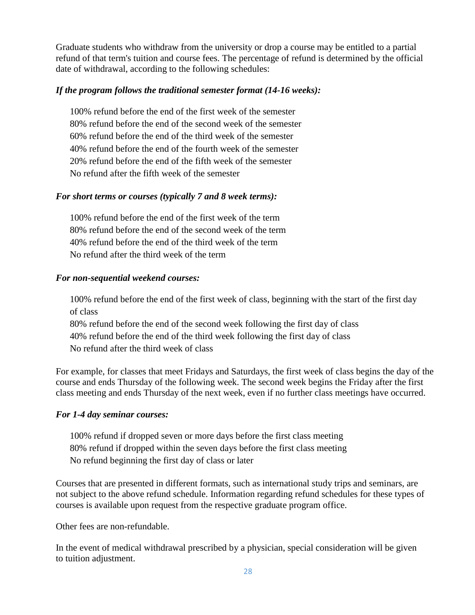Graduate students who withdraw from the university or drop a course may be entitled to a partial refund of that term's tuition and course fees. The percentage of refund is determined by the official date of withdrawal, according to the following schedules:

#### *If the program follows the traditional semester format (14-16 weeks):*

100% refund before the end of the first week of the semester 80% refund before the end of the second week of the semester 60% refund before the end of the third week of the semester 40% refund before the end of the fourth week of the semester 20% refund before the end of the fifth week of the semester No refund after the fifth week of the semester

#### *For short terms or courses (typically 7 and 8 week terms):*

100% refund before the end of the first week of the term 80% refund before the end of the second week of the term 40% refund before the end of the third week of the term No refund after the third week of the term

#### *For non-sequential weekend courses:*

100% refund before the end of the first week of class, beginning with the start of the first day of class

80% refund before the end of the second week following the first day of class 40% refund before the end of the third week following the first day of class No refund after the third week of class

For example, for classes that meet Fridays and Saturdays, the first week of class begins the day of the course and ends Thursday of the following week. The second week begins the Friday after the first class meeting and ends Thursday of the next week, even if no further class meetings have occurred.

#### *For 1-4 day seminar courses:*

100% refund if dropped seven or more days before the first class meeting 80% refund if dropped within the seven days before the first class meeting No refund beginning the first day of class or later

Courses that are presented in different formats, such as international study trips and seminars, are not subject to the above refund schedule. Information regarding refund schedules for these types of courses is available upon request from the respective graduate program office.

Other fees are non-refundable.

In the event of medical withdrawal prescribed by a physician, special consideration will be given to tuition adjustment.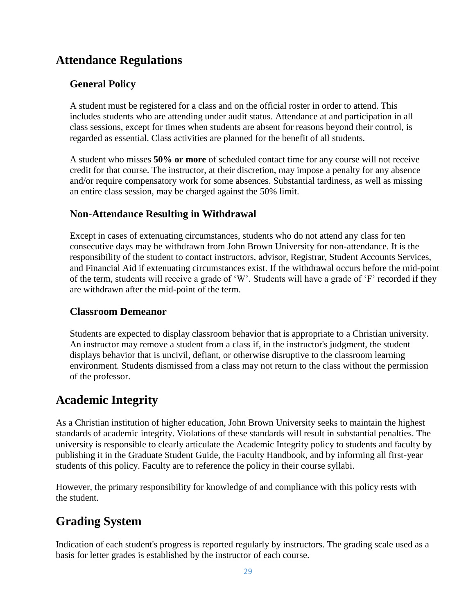### **Attendance Regulations**

#### **General Policy**

A student must be registered for a class and on the official roster in order to attend. This includes students who are attending under audit status. Attendance at and participation in all class sessions, except for times when students are absent for reasons beyond their control, is regarded as essential. Class activities are planned for the benefit of all students.

A student who misses **50% or more** of scheduled contact time for any course will not receive credit for that course. The instructor, at their discretion, may impose a penalty for any absence and/or require compensatory work for some absences. Substantial tardiness, as well as missing an entire class session, may be charged against the 50% limit.

#### **Non-Attendance Resulting in Withdrawal**

Except in cases of extenuating circumstances, students who do not attend any class for ten consecutive days may be withdrawn from John Brown University for non-attendance. It is the responsibility of the student to contact instructors, advisor, Registrar, Student Accounts Services, and Financial Aid if extenuating circumstances exist. If the withdrawal occurs before the mid-point of the term, students will receive a grade of 'W'. Students will have a grade of 'F' recorded if they are withdrawn after the mid-point of the term.

#### **Classroom Demeanor**

Students are expected to display classroom behavior that is appropriate to a Christian university. An instructor may remove a student from a class if, in the instructor's judgment, the student displays behavior that is uncivil, defiant, or otherwise disruptive to the classroom learning environment. Students dismissed from a class may not return to the class without the permission of the professor.

### **Academic Integrity**

As a Christian institution of higher education, John Brown University seeks to maintain the highest standards of academic integrity. Violations of these standards will result in substantial penalties. The university is responsible to clearly articulate the Academic Integrity policy to students and faculty by publishing it in the Graduate Student Guide, the Faculty Handbook, and by informing all first-year students of this policy. Faculty are to reference the policy in their course syllabi.

However, the primary responsibility for knowledge of and compliance with this policy rests with the student.

# **Grading System**

Indication of each student's progress is reported regularly by instructors. The grading scale used as a basis for letter grades is established by the instructor of each course.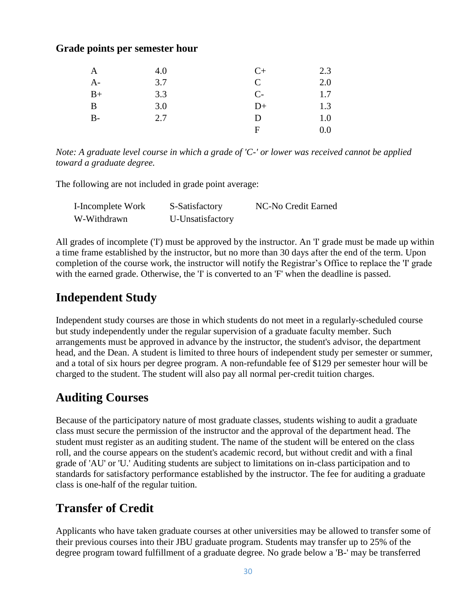#### **Grade points per semester hour**

| A    | 4.0 | $C+$ | 2.3 |
|------|-----|------|-----|
| $A-$ | 3.7 | C    | 2.0 |
| $B+$ | 3.3 | $C-$ | 1.7 |
| B    | 3.0 | $D+$ | 1.3 |
| $B-$ | 2.7 | D    | 1.0 |
|      |     | F    | 0.0 |

*Note: A graduate level course in which a grade of 'C-' or lower was received cannot be applied toward a graduate degree.*

The following are not included in grade point average:

| I-Incomplete Work | S-Satisfactory   | NC-No Credit Earned |
|-------------------|------------------|---------------------|
| W-Withdrawn       | U-Unsatisfactory |                     |

All grades of incomplete ('I') must be approved by the instructor. An 'I' grade must be made up within a time frame established by the instructor, but no more than 30 days after the end of the term. Upon completion of the course work, the instructor will notify the Registrar's Office to replace the 'I' grade with the earned grade. Otherwise, the 'I' is converted to an 'F' when the deadline is passed.

### **Independent Study**

Independent study courses are those in which students do not meet in a regularly-scheduled course but study independently under the regular supervision of a graduate faculty member. Such arrangements must be approved in advance by the instructor, the student's advisor, the department head, and the Dean. A student is limited to three hours of independent study per semester or summer, and a total of six hours per degree program. A non-refundable fee of \$129 per semester hour will be charged to the student. The student will also pay all normal per-credit tuition charges.

### **Auditing Courses**

Because of the participatory nature of most graduate classes, students wishing to audit a graduate class must secure the permission of the instructor and the approval of the department head. The student must register as an auditing student. The name of the student will be entered on the class roll, and the course appears on the student's academic record, but without credit and with a final grade of 'AU' or 'U.' Auditing students are subject to limitations on in-class participation and to standards for satisfactory performance established by the instructor. The fee for auditing a graduate class is one-half of the regular tuition.

### **Transfer of Credit**

Applicants who have taken graduate courses at other universities may be allowed to transfer some of their previous courses into their JBU graduate program. Students may transfer up to 25% of the degree program toward fulfillment of a graduate degree. No grade below a 'B-' may be transferred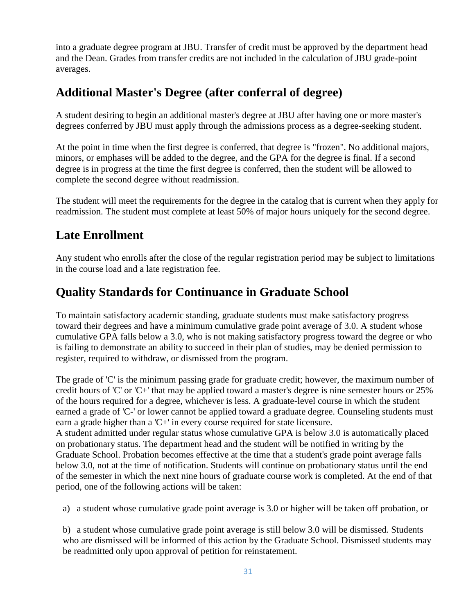into a graduate degree program at JBU. Transfer of credit must be approved by the department head and the Dean. Grades from transfer credits are not included in the calculation of JBU grade-point averages.

### **Additional Master's Degree (after conferral of degree)**

A student desiring to begin an additional master's degree at JBU after having one or more master's degrees conferred by JBU must apply through the admissions process as a degree-seeking student.

At the point in time when the first degree is conferred, that degree is "frozen". No additional majors, minors, or emphases will be added to the degree, and the GPA for the degree is final. If a second degree is in progress at the time the first degree is conferred, then the student will be allowed to complete the second degree without readmission.

The student will meet the requirements for the degree in the catalog that is current when they apply for readmission. The student must complete at least 50% of major hours uniquely for the second degree.

### **Late Enrollment**

Any student who enrolls after the close of the regular registration period may be subject to limitations in the course load and a late registration fee.

### **Quality Standards for Continuance in Graduate School**

To maintain satisfactory academic standing, graduate students must make satisfactory progress toward their degrees and have a minimum cumulative grade point average of 3.0. A student whose cumulative GPA falls below a 3.0, who is not making satisfactory progress toward the degree or who is failing to demonstrate an ability to succeed in their plan of studies, may be denied permission to register, required to withdraw, or dismissed from the program.

The grade of 'C' is the minimum passing grade for graduate credit; however, the maximum number of credit hours of 'C' or 'C+' that may be applied toward a master's degree is nine semester hours or 25% of the hours required for a degree, whichever is less. A graduate-level course in which the student earned a grade of 'C-' or lower cannot be applied toward a graduate degree. Counseling students must earn a grade higher than a 'C+' in every course required for state licensure. A student admitted under regular status whose cumulative GPA is below 3.0 is automatically placed on probationary status. The department head and the student will be notified in writing by the Graduate School. Probation becomes effective at the time that a student's grade point average falls below 3.0, not at the time of notification. Students will continue on probationary status until the end of the semester in which the next nine hours of graduate course work is completed. At the end of that period, one of the following actions will be taken:

a) a student whose cumulative grade point average is 3.0 or higher will be taken off probation, or

b) a student whose cumulative grade point average is still below 3.0 will be dismissed. Students who are dismissed will be informed of this action by the Graduate School. Dismissed students may be readmitted only upon approval of petition for reinstatement.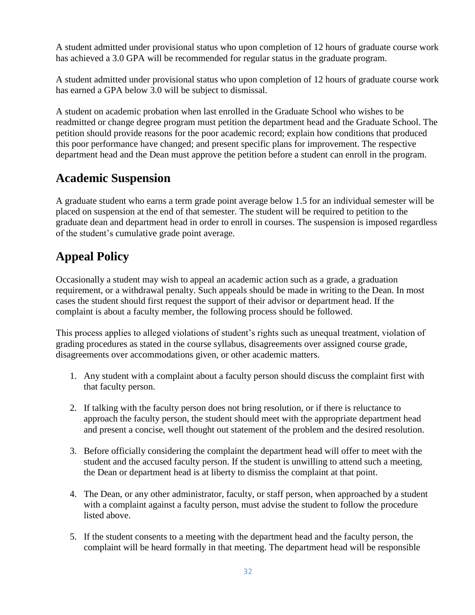A student admitted under provisional status who upon completion of 12 hours of graduate course work has achieved a 3.0 GPA will be recommended for regular status in the graduate program.

A student admitted under provisional status who upon completion of 12 hours of graduate course work has earned a GPA below 3.0 will be subject to dismissal.

A student on academic probation when last enrolled in the Graduate School who wishes to be readmitted or change degree program must petition the department head and the Graduate School. The petition should provide reasons for the poor academic record; explain how conditions that produced this poor performance have changed; and present specific plans for improvement. The respective department head and the Dean must approve the petition before a student can enroll in the program.

# **Academic Suspension**

A graduate student who earns a term grade point average below 1.5 for an individual semester will be placed on suspension at the end of that semester. The student will be required to petition to the graduate dean and department head in order to enroll in courses. The suspension is imposed regardless of the student's cumulative grade point average.

# **Appeal Policy**

Occasionally a student may wish to appeal an academic action such as a grade, a graduation requirement, or a withdrawal penalty. Such appeals should be made in writing to the Dean. In most cases the student should first request the support of their advisor or department head. If the complaint is about a faculty member, the following process should be followed.

This process applies to alleged violations of student's rights such as unequal treatment, violation of grading procedures as stated in the course syllabus, disagreements over assigned course grade, disagreements over accommodations given, or other academic matters.

- 1. Any student with a complaint about a faculty person should discuss the complaint first with that faculty person.
- 2. If talking with the faculty person does not bring resolution, or if there is reluctance to approach the faculty person, the student should meet with the appropriate department head and present a concise, well thought out statement of the problem and the desired resolution.
- 3. Before officially considering the complaint the department head will offer to meet with the student and the accused faculty person. If the student is unwilling to attend such a meeting, the Dean or department head is at liberty to dismiss the complaint at that point.
- 4. The Dean, or any other administrator, faculty, or staff person, when approached by a student with a complaint against a faculty person, must advise the student to follow the procedure listed above.
- 5. If the student consents to a meeting with the department head and the faculty person, the complaint will be heard formally in that meeting. The department head will be responsible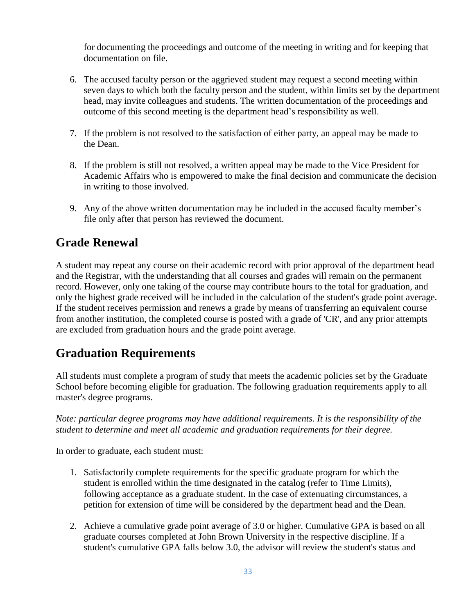for documenting the proceedings and outcome of the meeting in writing and for keeping that documentation on file.

- 6. The accused faculty person or the aggrieved student may request a second meeting within seven days to which both the faculty person and the student, within limits set by the department head, may invite colleagues and students. The written documentation of the proceedings and outcome of this second meeting is the department head's responsibility as well.
- 7. If the problem is not resolved to the satisfaction of either party, an appeal may be made to the Dean.
- 8. If the problem is still not resolved, a written appeal may be made to the Vice President for Academic Affairs who is empowered to make the final decision and communicate the decision in writing to those involved.
- 9. Any of the above written documentation may be included in the accused faculty member's file only after that person has reviewed the document.

### **Grade Renewal**

A student may repeat any course on their academic record with prior approval of the department head and the Registrar, with the understanding that all courses and grades will remain on the permanent record. However, only one taking of the course may contribute hours to the total for graduation, and only the highest grade received will be included in the calculation of the student's grade point average. If the student receives permission and renews a grade by means of transferring an equivalent course from another institution, the completed course is posted with a grade of 'CR', and any prior attempts are excluded from graduation hours and the grade point average.

## **Graduation Requirements**

All students must complete a program of study that meets the academic policies set by the Graduate School before becoming eligible for graduation. The following graduation requirements apply to all master's degree programs.

*Note: particular degree programs may have additional requirements. It is the responsibility of the student to determine and meet all academic and graduation requirements for their degree.*

In order to graduate, each student must:

- 1. Satisfactorily complete requirements for the specific graduate program for which the student is enrolled within the time designated in the catalog (refer to Time Limits), following acceptance as a graduate student. In the case of extenuating circumstances, a petition for extension of time will be considered by the department head and the Dean.
- 2. Achieve a cumulative grade point average of 3.0 or higher. Cumulative GPA is based on all graduate courses completed at John Brown University in the respective discipline. If a student's cumulative GPA falls below 3.0, the advisor will review the student's status and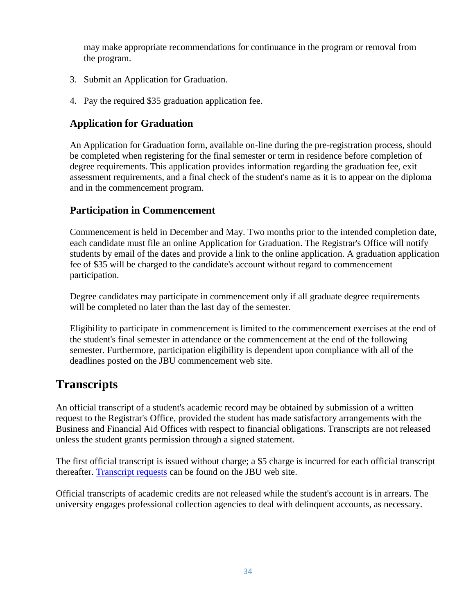may make appropriate recommendations for continuance in the program or removal from the program.

- 3. Submit an Application for Graduation.
- 4. Pay the required \$35 graduation application fee.

#### **Application for Graduation**

An Application for Graduation form, available on-line during the pre-registration process, should be completed when registering for the final semester or term in residence before completion of degree requirements. This application provides information regarding the graduation fee, exit assessment requirements, and a final check of the student's name as it is to appear on the diploma and in the commencement program.

#### **Participation in Commencement**

Commencement is held in December and May. Two months prior to the intended completion date, each candidate must file an online Application for Graduation. The Registrar's Office will notify students by email of the dates and provide a link to the online application. A graduation application fee of \$35 will be charged to the candidate's account without regard to commencement participation.

Degree candidates may participate in commencement only if all graduate degree requirements will be completed no later than the last day of the semester.

Eligibility to participate in commencement is limited to the commencement exercises at the end of the student's final semester in attendance or the commencement at the end of the following semester. Furthermore, participation eligibility is dependent upon compliance with all of the deadlines posted on the JBU commencement web site.

### **Transcripts**

An official transcript of a student's academic record may be obtained by submission of a written request to the Registrar's Office, provided the student has made satisfactory arrangements with the Business and Financial Aid Offices with respect to financial obligations. Transcripts are not released unless the student grants permission through a signed statement.

The first official transcript is issued without charge; a \$5 charge is incurred for each official transcript thereafter. [Transcript requests](https://cms.jbu.edu/registrar/) can be found on the JBU web site.

Official transcripts of academic credits are not released while the student's account is in arrears. The university engages professional collection agencies to deal with delinquent accounts, as necessary.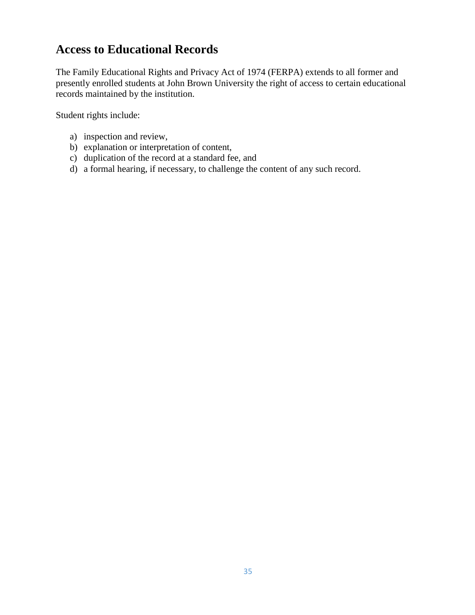## **Access to Educational Records**

The Family Educational Rights and Privacy Act of 1974 (FERPA) extends to all former and presently enrolled students at John Brown University the right of access to certain educational records maintained by the institution.

Student rights include:

- a) inspection and review,
- b) explanation or interpretation of content,
- c) duplication of the record at a standard fee, and
- d) a formal hearing, if necessary, to challenge the content of any such record.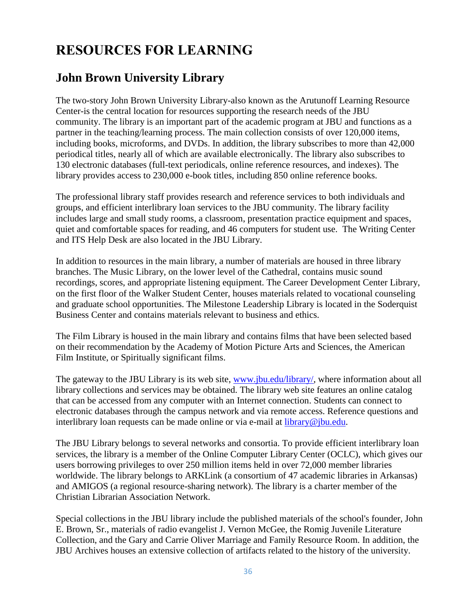# **RESOURCES FOR LEARNING**

## **John Brown University Library**

The two-story John Brown University Library-also known as the Arutunoff Learning Resource Center-is the central location for resources supporting the research needs of the JBU community. The library is an important part of the academic program at JBU and functions as a partner in the teaching/learning process. The main collection consists of over 120,000 items, including books, microforms, and DVDs. In addition, the library subscribes to more than 42,000 periodical titles, nearly all of which are available electronically. The library also subscribes to 130 electronic databases (full-text periodicals, online reference resources, and indexes). The library provides access to 230,000 e-book titles, including 850 online reference books.

The professional library staff provides research and reference services to both individuals and groups, and efficient interlibrary loan services to the JBU community. The library facility includes large and small study rooms, a classroom, presentation practice equipment and spaces, quiet and comfortable spaces for reading, and 46 computers for student use. The Writing Center and ITS Help Desk are also located in the JBU Library.

In addition to resources in the main library, a number of materials are housed in three library branches. The Music Library, on the lower level of the Cathedral, contains music sound recordings, scores, and appropriate listening equipment. The Career Development Center Library, on the first floor of the Walker Student Center, houses materials related to vocational counseling and graduate school opportunities. The Milestone Leadership Library is located in the Soderquist Business Center and contains materials relevant to business and ethics.

The Film Library is housed in the main library and contains films that have been selected based on their recommendation by the Academy of Motion Picture Arts and Sciences, the American Film Institute, or Spiritually significant films.

The gateway to the JBU Library is its web site, [www.jbu.edu/library/,](http://www.jbu.edu/library/) where information about all library collections and services may be obtained. The library web site features an online catalog that can be accessed from any computer with an Internet connection. Students can connect to electronic databases through the campus network and via remote access. Reference questions and interlibrary loan requests can be made online or via e-mail at [library@jbu.edu.](mailto:library@jbu.edu)

The JBU Library belongs to several networks and consortia. To provide efficient interlibrary loan services, the library is a member of the Online Computer Library Center (OCLC), which gives our users borrowing privileges to over 250 million items held in over 72,000 member libraries worldwide. The library belongs to ARKLink (a consortium of 47 academic libraries in Arkansas) and AMIGOS (a regional resource-sharing network). The library is a charter member of the Christian Librarian Association Network.

Special collections in the JBU library include the published materials of the school's founder, John E. Brown, Sr., materials of radio evangelist J. Vernon McGee, the Romig Juvenile Literature Collection, and the Gary and Carrie Oliver Marriage and Family Resource Room. In addition, the JBU Archives houses an extensive collection of artifacts related to the history of the university.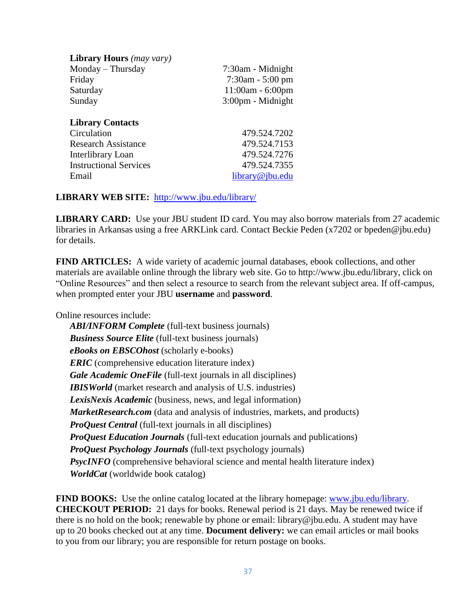| <b>Library Hours</b> (may vary) |                             |
|---------------------------------|-----------------------------|
| Monday - Thursday               | 7:30am - Midnight           |
| Friday                          | $7:30$ am - $5:00$ pm       |
| Saturday                        | $11:00am - 6:00pm$          |
| Sunday                          | $3:00 \text{pm}$ - Midnight |
| <b>Library Contacts</b>         |                             |
| Circulation                     | 479.524.7202                |
| <b>Research Assistance</b>      | 479.524.7153                |
| Interlibrary Loan               | 479.524.7276                |
| <b>Instructional Services</b>   | 479.524.7355                |
| Email                           | library@jbu.edu             |

#### **LIBRARY WEB SITE:** <http://www.jbu.edu/library/>

**LIBRARY CARD:** Use your JBU student ID card. You may also borrow materials from 27 academic libraries in Arkansas using a free ARKLink card. Contact Beckie Peden (x7202 or bpeden@jbu.edu) for details.

**FIND ARTICLES:** A wide variety of academic journal databases, ebook collections, and other materials are available online through the library web site. Go to http://www.jbu.edu/library, click on "Online Resources" and then select a resource to search from the relevant subject area. If off-campus, when prompted enter your JBU **username** and **password**.

Online resources include:

*ABI/INFORM Complete* (full-text business journals) *Business Source Elite* (full-text business journals) *eBooks on EBSCOhost* (scholarly e-books) *ERIC* (comprehensive education literature index) *Gale Academic OneFile* (full-text journals in all disciplines) **IBISWorld** (market research and analysis of U.S. industries) *LexisNexis Academic* (business, news, and legal information) *MarketResearch.com* (data and analysis of industries, markets, and products) *ProQuest Central* (full-text journals in all disciplines) *ProQuest Education Journals* (full-text education journals and publications) *ProQuest Psychology Journals* (full-text psychology journals) **PsycINFO** (comprehensive behavioral science and mental health literature index) *WorldCat* (worldwide book catalog)

**FIND BOOKS:** Use the online catalog located at the library homepage: [www.jbu.edu/library.](http://www.jbu.edu/library) **CHECKOUT PERIOD:** 21 days for books. Renewal period is 21 days. May be renewed twice if there is no hold on the book; renewable by phone or email: library@jbu.edu. A student may have up to 20 books checked out at any time. **Document delivery:** we can email articles or mail books to you from our library; you are responsible for return postage on books.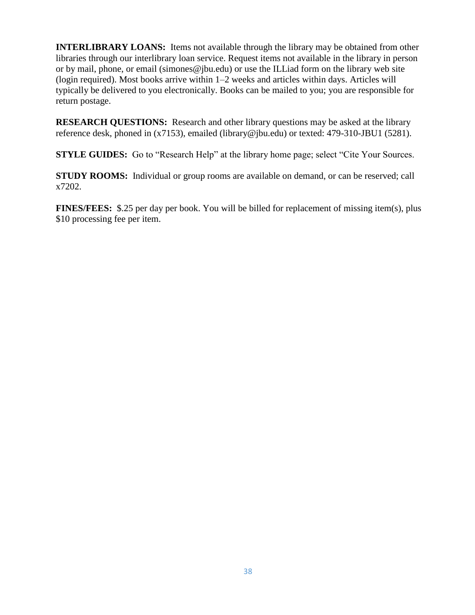**INTERLIBRARY LOANS:** Items not available through the library may be obtained from other libraries through our interlibrary loan service. Request items not available in the library in person or by mail, phone, or email (simones@jbu.edu) or use the ILLiad form on the library web site (login required). Most books arrive within 1–2 weeks and articles within days. Articles will typically be delivered to you electronically. Books can be mailed to you; you are responsible for return postage.

**RESEARCH QUESTIONS:** Research and other library questions may be asked at the library reference desk, phoned in (x7153), emailed (library@jbu.edu) or texted: 479-310-JBU1 (5281).

**STYLE GUIDES:** Go to "Research Help" at the library home page; select "Cite Your Sources.

**STUDY ROOMS:** Individual or group rooms are available on demand, or can be reserved; call x7202.

**FINES/FEES:** \$.25 per day per book. You will be billed for replacement of missing item(s), plus \$10 processing fee per item.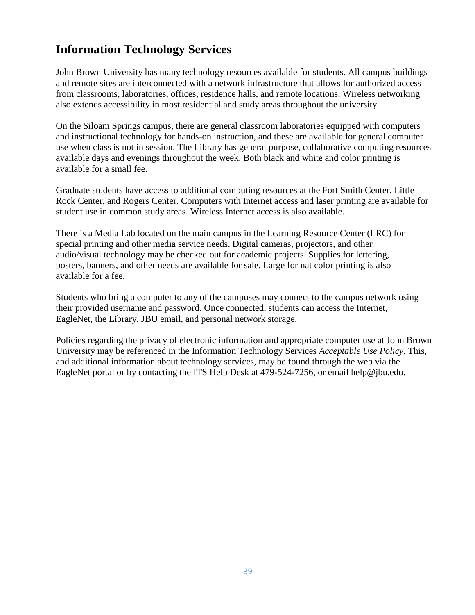# **Information Technology Services**

John Brown University has many technology resources available for students. All campus buildings and remote sites are interconnected with a network infrastructure that allows for authorized access from classrooms, laboratories, offices, residence halls, and remote locations. Wireless networking also extends accessibility in most residential and study areas throughout the university.

On the Siloam Springs campus, there are general classroom laboratories equipped with computers and instructional technology for hands-on instruction, and these are available for general computer use when class is not in session. The Library has general purpose, collaborative computing resources available days and evenings throughout the week. Both black and white and color printing is available for a small fee.

Graduate students have access to additional computing resources at the Fort Smith Center, Little Rock Center, and Rogers Center. Computers with Internet access and laser printing are available for student use in common study areas. Wireless Internet access is also available.

There is a Media Lab located on the main campus in the Learning Resource Center (LRC) for special printing and other media service needs. Digital cameras, projectors, and other audio/visual technology may be checked out for academic projects. Supplies for lettering, posters, banners, and other needs are available for sale. Large format color printing is also available for a fee.

Students who bring a computer to any of the campuses may connect to the campus network using their provided username and password. Once connected, students can access the Internet, EagleNet, the Library, JBU email, and personal network storage.

Policies regarding the privacy of electronic information and appropriate computer use at John Brown University may be referenced in the Information Technology Services *Acceptable Use Policy*. This, and additional information about technology services, may be found through the web via the EagleNet portal or by contacting the ITS Help Desk at 479-524-7256, or email help@jbu.edu.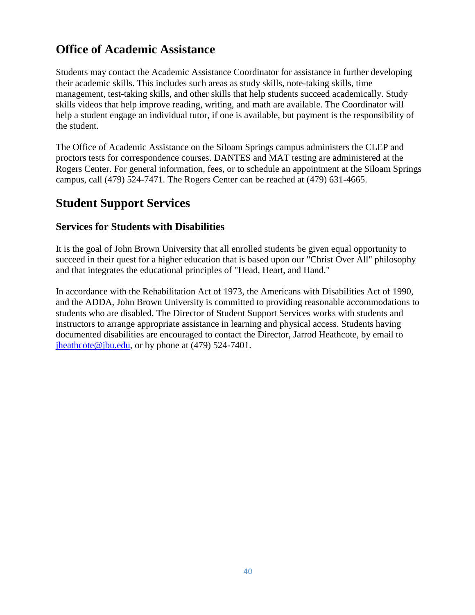# **Office of Academic Assistance**

Students may contact the Academic Assistance Coordinator for assistance in further developing their academic skills. This includes such areas as study skills, note-taking skills, time management, test-taking skills, and other skills that help students succeed academically. Study skills videos that help improve reading, writing, and math are available. The Coordinator will help a student engage an individual tutor, if one is available, but payment is the responsibility of the student.

The Office of Academic Assistance on the Siloam Springs campus administers the CLEP and proctors tests for correspondence courses. DANTES and MAT testing are administered at the Rogers Center. For general information, fees, or to schedule an appointment at the Siloam Springs campus, call (479) 524-7471. The Rogers Center can be reached at (479) 631-4665.

# **Student Support Services**

#### **Services for Students with Disabilities**

It is the goal of John Brown University that all enrolled students be given equal opportunity to succeed in their quest for a higher education that is based upon our "Christ Over All" philosophy and that integrates the educational principles of "Head, Heart, and Hand."

In accordance with the Rehabilitation Act of 1973, the Americans with Disabilities Act of 1990, and the ADDA, John Brown University is committed to providing reasonable accommodations to students who are disabled. The Director of Student Support Services works with students and instructors to arrange appropriate assistance in learning and physical access. Students having documented disabilities are encouraged to contact the Director, Jarrod Heathcote, by email to  $j$ heathcote@jbu.edu, or by phone at (479) 524-7401.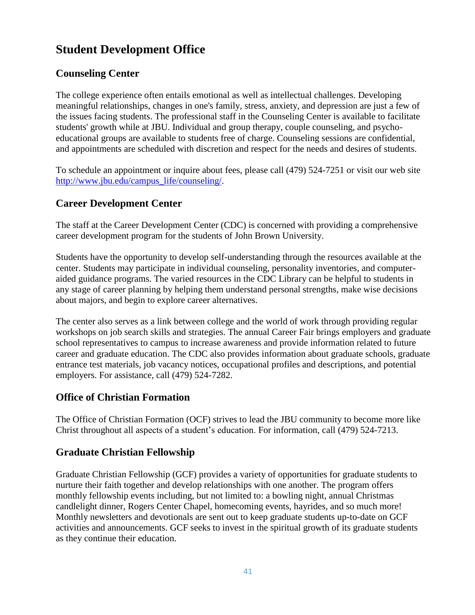# **Student Development Office**

# **Counseling Center**

The college experience often entails emotional as well as intellectual challenges. Developing meaningful relationships, changes in one's family, stress, anxiety, and depression are just a few of the issues facing students. The professional staff in the Counseling Center is available to facilitate students' growth while at JBU. Individual and group therapy, couple counseling, and psychoeducational groups are available to students free of charge. Counseling sessions are confidential, and appointments are scheduled with discretion and respect for the needs and desires of students.

To schedule an appointment or inquire about fees, please call (479) 524-7251 or visit our web site [http://www.jbu.edu/campus\\_life/counseling/.](http://www.jbu.edu/campus_life/counseling/)

# **Career Development Center**

The staff at the Career Development Center (CDC) is concerned with providing a comprehensive career development program for the students of John Brown University.

Students have the opportunity to develop self-understanding through the resources available at the center. Students may participate in individual counseling, personality inventories, and computeraided guidance programs. The varied resources in the CDC Library can be helpful to students in any stage of career planning by helping them understand personal strengths, make wise decisions about majors, and begin to explore career alternatives.

The center also serves as a link between college and the world of work through providing regular workshops on job search skills and strategies. The annual Career Fair brings employers and graduate school representatives to campus to increase awareness and provide information related to future career and graduate education. The CDC also provides information about graduate schools, graduate entrance test materials, job vacancy notices, occupational profiles and descriptions, and potential employers. For assistance, call (479) 524-7282.

# **Office of Christian Formation**

The Office of Christian Formation (OCF) strives to lead the JBU community to become more like Christ throughout all aspects of a student's education. For information, call (479) 524-7213.

# **Graduate Christian Fellowship**

Graduate Christian Fellowship (GCF) provides a variety of opportunities for graduate students to nurture their faith together and develop relationships with one another. The program offers monthly fellowship events including, but not limited to: a bowling night, annual Christmas candlelight dinner, Rogers Center Chapel, homecoming events, hayrides, and so much more! Monthly newsletters and devotionals are sent out to keep graduate students up-to-date on GCF activities and announcements. GCF seeks to invest in the spiritual growth of its graduate students as they continue their education.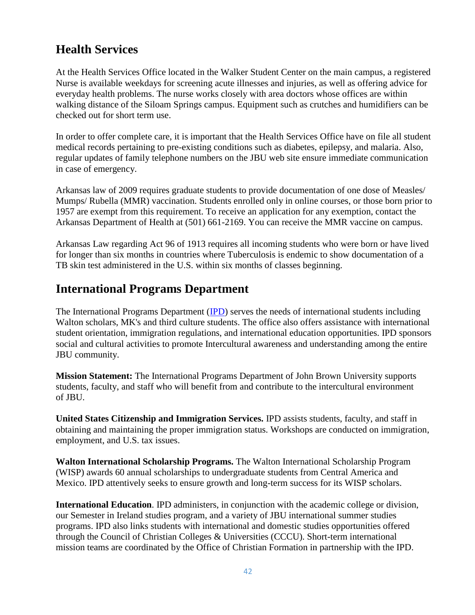# **Health Services**

At the Health Services Office located in the Walker Student Center on the main campus, a registered Nurse is available weekdays for screening acute illnesses and injuries, as well as offering advice for everyday health problems. The nurse works closely with area doctors whose offices are within walking distance of the Siloam Springs campus. Equipment such as crutches and humidifiers can be checked out for short term use.

In order to offer complete care, it is important that the Health Services Office have on file all student medical records pertaining to pre-existing conditions such as diabetes, epilepsy, and malaria. Also, regular updates of family telephone numbers on the JBU web site ensure immediate communication in case of emergency.

Arkansas law of 2009 requires graduate students to provide documentation of one dose of Measles/ Mumps/ Rubella (MMR) vaccination. Students enrolled only in online courses, or those born prior to 1957 are exempt from this requirement. To receive an application for any exemption, contact the Arkansas Department of Health at (501) 661-2169. You can receive the MMR vaccine on campus.

Arkansas Law regarding Act 96 of 1913 requires all incoming students who were born or have lived for longer than six months in countries where Tuberculosis is endemic to show documentation of a TB skin test administered in the U.S. within six months of classes beginning.

# **International Programs Department**

The International Programs Department [\(IPD\)](https://www.jbu.edu/international/international_students/) serves the needs of international students including Walton scholars, MK's and third culture students. The office also offers assistance with international student orientation, immigration regulations, and international education opportunities. IPD sponsors social and cultural activities to promote Intercultural awareness and understanding among the entire JBU community.

**Mission Statement:** The International Programs Department of John Brown University supports students, faculty, and staff who will benefit from and contribute to the intercultural environment of JBU.

**United States Citizenship and Immigration Services.** IPD assists students, faculty, and staff in obtaining and maintaining the proper immigration status. Workshops are conducted on immigration, employment, and U.S. tax issues.

**Walton International Scholarship Programs.** The Walton International Scholarship Program (WISP) awards 60 annual scholarships to undergraduate students from Central America and Mexico. IPD attentively seeks to ensure growth and long-term success for its WISP scholars.

**International Education**. IPD administers, in conjunction with the academic college or division, our Semester in Ireland studies program, and a variety of JBU international summer studies programs. IPD also links students with international and domestic studies opportunities offered through the Council of Christian Colleges & Universities (CCCU). Short-term international mission teams are coordinated by the Office of Christian Formation in partnership with the IPD.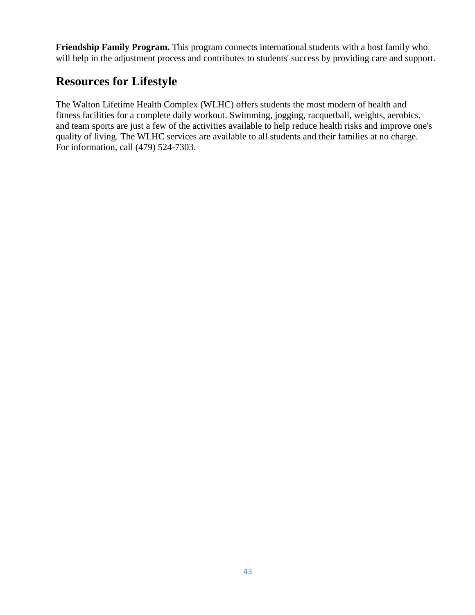**Friendship Family Program.** This program connects international students with a host family who will help in the adjustment process and contributes to students' success by providing care and support.

# **Resources for Lifestyle**

The Walton Lifetime Health Complex (WLHC) offers students the most modern of health and fitness facilities for a complete daily workout. Swimming, jogging, racquetball, weights, aerobics, and team sports are just a few of the activities available to help reduce health risks and improve one's quality of living. The WLHC services are available to all students and their families at no charge. For information, call (479) 524-7303.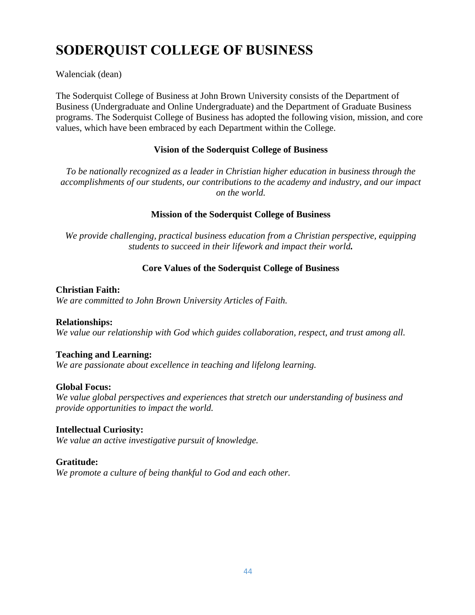# **SODERQUIST COLLEGE OF BUSINESS**

Walenciak (dean)

The Soderquist College of Business at John Brown University consists of the Department of Business (Undergraduate and Online Undergraduate) and the Department of Graduate Business programs. The Soderquist College of Business has adopted the following vision, mission, and core values, which have been embraced by each Department within the College.

#### **Vision of the Soderquist College of Business**

*To be nationally recognized as a leader in Christian higher education in business through the accomplishments of our students, our contributions to the academy and industry, and our impact on the world.*

#### **Mission of the Soderquist College of Business**

*We provide challenging, practical business education from a Christian perspective, equipping students to succeed in their lifework and impact their world.*

#### **Core Values of the Soderquist College of Business**

#### **Christian Faith:**

*We are committed to John Brown University Articles of Faith.*

#### **Relationships:**

*We value our relationship with God which guides collaboration, respect, and trust among all.*

#### **Teaching and Learning:**

*We are passionate about excellence in teaching and lifelong learning.*

#### **Global Focus:**

*We value global perspectives and experiences that stretch our understanding of business and provide opportunities to impact the world.*

#### **Intellectual Curiosity:**

*We value an active investigative pursuit of knowledge.*

#### **Gratitude:**

*We promote a culture of being thankful to God and each other.*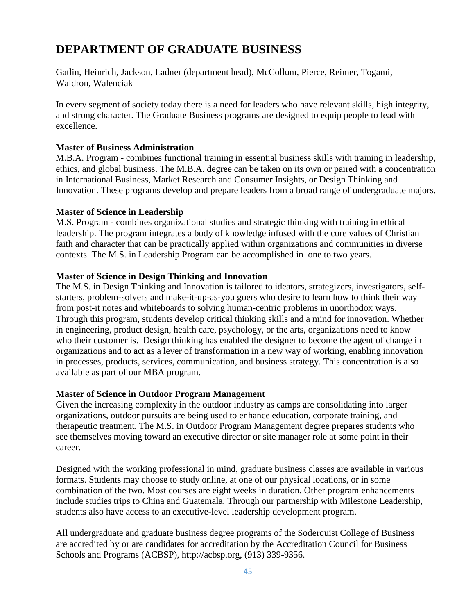# **DEPARTMENT OF GRADUATE BUSINESS**

Gatlin, Heinrich, Jackson, Ladner (department head), McCollum, Pierce, Reimer, Togami, Waldron, Walenciak

In every segment of society today there is a need for leaders who have relevant skills, high integrity, and strong character. The Graduate Business programs are designed to equip people to lead with excellence.

#### **Master of Business Administration**

M.B.A. Program - combines functional training in essential business skills with training in leadership, ethics, and global business. The M.B.A. degree can be taken on its own or paired with a concentration in International Business, Market Research and Consumer Insights, or Design Thinking and Innovation. These programs develop and prepare leaders from a broad range of undergraduate majors.

#### **Master of Science in Leadership**

M.S. Program - combines organizational studies and strategic thinking with training in ethical leadership. The program integrates a body of knowledge infused with the core values of Christian faith and character that can be practically applied within organizations and communities in diverse contexts. The M.S. in Leadership Program can be accomplished in one to two years.

#### **Master of Science in Design Thinking and Innovation**

The M.S. in Design Thinking and Innovation is tailored to ideators, strategizers, investigators, selfstarters, problem-solvers and make-it-up-as-you goers who desire to learn how to think their way from post-it notes and whiteboards to solving human-centric problems in unorthodox ways. Through this program, students develop critical thinking skills and a mind for innovation. Whether in engineering, product design, health care, psychology, or the arts, organizations need to know who their customer is. Design thinking has enabled the designer to become the agent of change in organizations and to act as a lever of transformation in a new way of working, enabling innovation in processes, products, services, communication, and business strategy. This concentration is also available as part of our MBA program.

#### **Master of Science in Outdoor Program Management**

Given the increasing complexity in the outdoor industry as camps are consolidating into larger organizations, outdoor pursuits are being used to enhance education, corporate training, and therapeutic treatment. The M.S. in Outdoor Program Management degree prepares students who see themselves moving toward an executive director or site manager role at some point in their career.

Designed with the working professional in mind, graduate business classes are available in various formats. Students may choose to study online, at one of our physical locations, or in some combination of the two. Most courses are eight weeks in duration. Other program enhancements include studies trips to China and Guatemala. Through our partnership with Milestone Leadership, students also have access to an executive-level leadership development program.

All undergraduate and graduate business degree programs of the Soderquist College of Business are accredited by or are candidates for accreditation by the Accreditation Council for Business Schools and Programs (ACBSP), http://acbsp.org, (913) 339-9356.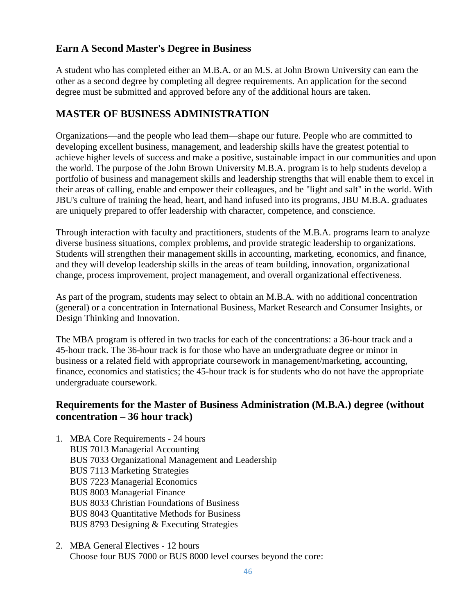# **Earn A Second Master's Degree in Business**

A student who has completed either an M.B.A. or an M.S. at John Brown University can earn the other as a second degree by completing all degree requirements. An application for the second degree must be submitted and approved before any of the additional hours are taken.

# **MASTER OF BUSINESS ADMINISTRATION**

Organizations—and the people who lead them—shape our future. People who are committed to developing excellent business, management, and leadership skills have the greatest potential to achieve higher levels of success and make a positive, sustainable impact in our communities and upon the world. The purpose of the John Brown University M.B.A. program is to help students develop a portfolio of business and management skills and leadership strengths that will enable them to excel in their areas of calling, enable and empower their colleagues, and be "light and salt" in the world. With JBU's culture of training the head, heart, and hand infused into its programs, JBU M.B.A. graduates are uniquely prepared to offer leadership with character, competence, and conscience.

Through interaction with faculty and practitioners, students of the M.B.A. programs learn to analyze diverse business situations, complex problems, and provide strategic leadership to organizations. Students will strengthen their management skills in accounting, marketing, economics, and finance, and they will develop leadership skills in the areas of team building, innovation, organizational change, process improvement, project management, and overall organizational effectiveness.

As part of the program, students may select to obtain an M.B.A. with no additional concentration (general) or a concentration in International Business, Market Research and Consumer Insights, or Design Thinking and Innovation.

The MBA program is offered in two tracks for each of the concentrations: a 36-hour track and a 45-hour track. The 36-hour track is for those who have an undergraduate degree or minor in business or a related field with appropriate coursework in management/marketing, accounting, finance, economics and statistics; the 45-hour track is for students who do not have the appropriate undergraduate coursework.

## **Requirements for the Master of Business Administration (M.B.A.) degree (without concentration – 36 hour track)**

- 1. MBA Core Requirements 24 hours BUS 7013 Managerial Accounting BUS 7033 Organizational Management and Leadership BUS 7113 Marketing Strategies BUS 7223 Managerial Economics BUS 8003 Managerial Finance BUS 8033 Christian Foundations of Business BUS 8043 Quantitative Methods for Business BUS 8793 Designing & Executing Strategies
- 2. MBA General Electives 12 hours Choose four BUS 7000 or BUS 8000 level courses beyond the core: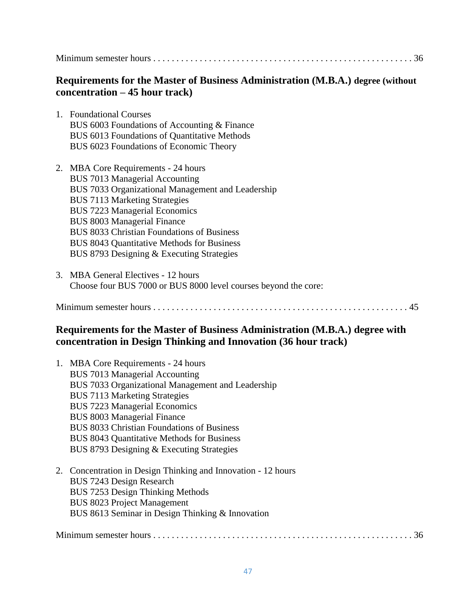Minimum semester hours . . . . . . . . . . . . . . . . . . . . . . . . . . . . . . . . . . . . . . . . . . . . . . . . . . . . . . . . 36

## **Requirements for the Master of Business Administration (M.B.A.) degree (without concentration – 45 hour track)**

- 1. Foundational Courses BUS 6003 Foundations of Accounting & Finance BUS 6013 Foundations of Quantitative Methods BUS 6023 Foundations of Economic Theory
- 2. MBA Core Requirements 24 hours BUS 7013 Managerial Accounting BUS 7033 Organizational Management and Leadership BUS 7113 Marketing Strategies BUS 7223 Managerial Economics BUS 8003 Managerial Finance BUS 8033 Christian Foundations of Business BUS 8043 Quantitative Methods for Business BUS 8793 Designing & Executing Strategies
- 3. MBA General Electives 12 hours Choose four BUS 7000 or BUS 8000 level courses beyond the core:

Minimum semester hours . . . . . . . . . . . . . . . . . . . . . . . . . . . . . . . . . . . . . . . . . . . . . . . . . . . . . . . 45

# **Requirements for the Master of Business Administration (M.B.A.) degree with concentration in Design Thinking and Innovation (36 hour track)**

| 1. MBA Core Requirements - 24 hours                           |
|---------------------------------------------------------------|
| <b>BUS 7013 Managerial Accounting</b>                         |
| BUS 7033 Organizational Management and Leadership             |
| <b>BUS 7113 Marketing Strategies</b>                          |
| <b>BUS 7223 Managerial Economics</b>                          |
| <b>BUS 8003 Managerial Finance</b>                            |
| <b>BUS 8033 Christian Foundations of Business</b>             |
| <b>BUS 8043 Quantitative Methods for Business</b>             |
| BUS 8793 Designing & Executing Strategies                     |
| 2. Concentration in Design Thinking and Innovation - 12 hours |
| BUS 7243 Design Research                                      |
| BUS 7253 Design Thinking Methods                              |
| <b>BUS 8023 Project Management</b>                            |
| BUS 8613 Seminar in Design Thinking & Innovation              |
|                                                               |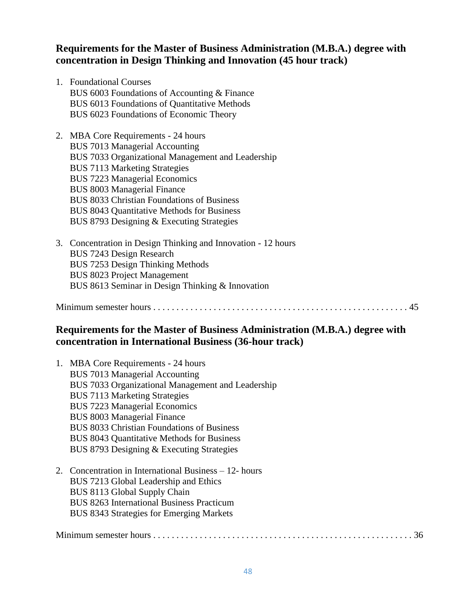## **Requirements for the Master of Business Administration (M.B.A.) degree with concentration in Design Thinking and Innovation (45 hour track)**

1. Foundational Courses BUS 6003 Foundations of Accounting & Finance BUS 6013 Foundations of Quantitative Methods BUS 6023 Foundations of Economic Theory

2. MBA Core Requirements - 24 hours BUS 7013 Managerial Accounting BUS 7033 Organizational Management and Leadership BUS 7113 Marketing Strategies BUS 7223 Managerial Economics BUS 8003 Managerial Finance BUS 8033 Christian Foundations of Business BUS 8043 Quantitative Methods for Business BUS 8793 Designing & Executing Strategies

3. Concentration in Design Thinking and Innovation - 12 hours BUS 7243 Design Research BUS 7253 Design Thinking Methods BUS 8023 Project Management BUS 8613 Seminar in Design Thinking & Innovation

Minimum semester hours . . . . . . . . . . . . . . . . . . . . . . . . . . . . . . . . . . . . . . . . . . . . . . . . . . . . . . . 45

# **Requirements for the Master of Business Administration (M.B.A.) degree with concentration in International Business (36-hour track)**

1. MBA Core Requirements - 24 hours BUS 7013 Managerial Accounting BUS 7033 Organizational Management and Leadership BUS 7113 Marketing Strategies BUS 7223 Managerial Economics BUS 8003 Managerial Finance BUS 8033 Christian Foundations of Business BUS 8043 Quantitative Methods for Business BUS 8793 Designing & Executing Strategies 2. Concentration in International Business – 12- hours BUS 7213 Global Leadership and Ethics BUS 8113 Global Supply Chain BUS 8263 International Business Practicum BUS 8343 Strategies for Emerging Markets Minimum semester hours . . . . . . . . . . . . . . . . . . . . . . . . . . . . . . . . . . . . . . . . . . . . . . . . . . . . . . . . 36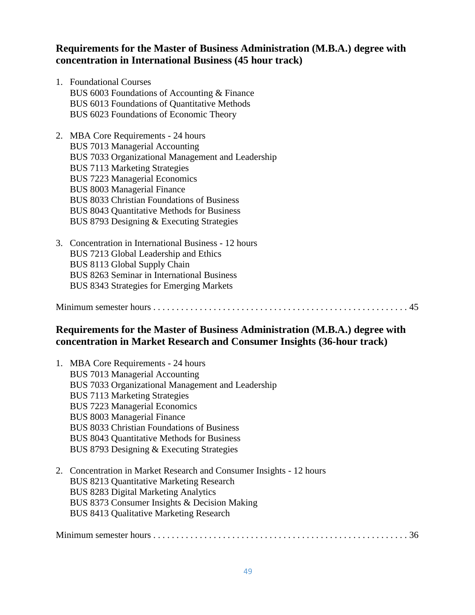## **Requirements for the Master of Business Administration (M.B.A.) degree with concentration in International Business (45 hour track)**

1. Foundational Courses BUS 6003 Foundations of Accounting & Finance BUS 6013 Foundations of Quantitative Methods BUS 6023 Foundations of Economic Theory

2. MBA Core Requirements - 24 hours BUS 7013 Managerial Accounting BUS 7033 Organizational Management and Leadership BUS 7113 Marketing Strategies BUS 7223 Managerial Economics BUS 8003 Managerial Finance BUS 8033 Christian Foundations of Business BUS 8043 Quantitative Methods for Business BUS 8793 Designing & Executing Strategies

3. Concentration in International Business - 12 hours BUS 7213 Global Leadership and Ethics BUS 8113 Global Supply Chain BUS 8263 Seminar in International Business BUS 8343 Strategies for Emerging Markets

#### Minimum semester hours . . . . . . . . . . . . . . . . . . . . . . . . . . . . . . . . . . . . . . . . . . . . . . . . . . . . . . . 45

# **Requirements for the Master of Business Administration (M.B.A.) degree with concentration in Market Research and Consumer Insights (36-hour track)**

| 1. MBA Core Requirements - 24 hours<br><b>BUS 7013 Managerial Accounting</b><br>BUS 7033 Organizational Management and Leadership<br><b>BUS 7113 Marketing Strategies</b><br><b>BUS 7223 Managerial Economics</b><br><b>BUS 8003 Managerial Finance</b><br><b>BUS 8033 Christian Foundations of Business</b><br><b>BUS 8043 Quantitative Methods for Business</b><br>BUS 8793 Designing & Executing Strategies |
|----------------------------------------------------------------------------------------------------------------------------------------------------------------------------------------------------------------------------------------------------------------------------------------------------------------------------------------------------------------------------------------------------------------|
| 2. Concentration in Market Research and Consumer Insights - 12 hours<br><b>BUS 8213 Quantitative Marketing Research</b><br><b>BUS 8283 Digital Marketing Analytics</b><br>BUS 8373 Consumer Insights & Decision Making<br><b>BUS 8413 Qualitative Marketing Research</b>                                                                                                                                       |

Minimum semester hours . . . . . . . . . . . . . . . . . . . . . . . . . . . . . . . . . . . . . . . . . . . . . . . . . . . . . . . 36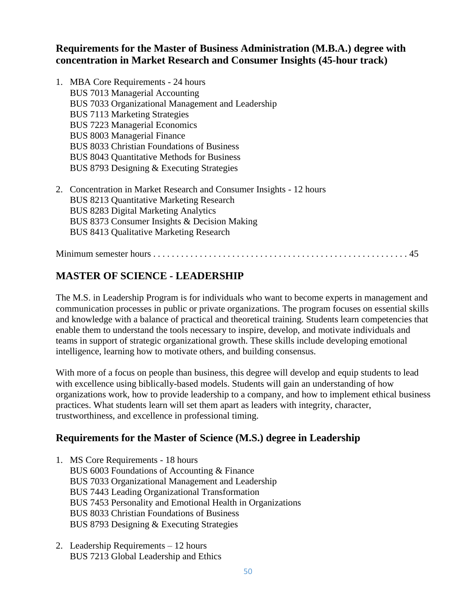## **Requirements for the Master of Business Administration (M.B.A.) degree with concentration in Market Research and Consumer Insights (45-hour track)**

| 1. MBA Core Requirements - 24 hours                                  |
|----------------------------------------------------------------------|
| <b>BUS</b> 7013 Managerial Accounting                                |
| BUS 7033 Organizational Management and Leadership                    |
| <b>BUS 7113 Marketing Strategies</b>                                 |
| <b>BUS 7223 Managerial Economics</b>                                 |
| <b>BUS 8003 Managerial Finance</b>                                   |
| <b>BUS 8033 Christian Foundations of Business</b>                    |
| BUS 8043 Quantitative Methods for Business                           |
| BUS 8793 Designing & Executing Strategies                            |
| 2. Concentration in Market Research and Consumer Insights - 12 hours |
| <b>BUS 8213 Quantitative Marketing Research</b>                      |
| <b>BUS 8283 Digital Marketing Analytics</b>                          |
| BUS 8373 Consumer Insights & Decision Making                         |
| <b>BUS 8413 Qualitative Marketing Research</b>                       |
|                                                                      |

# **MASTER OF SCIENCE - LEADERSHIP**

The M.S. in Leadership Program is for individuals who want to become experts in management and communication processes in public or private organizations. The program focuses on essential skills and knowledge with a balance of practical and theoretical training. Students learn competencies that enable them to understand the tools necessary to inspire, develop, and motivate individuals and teams in support of strategic organizational growth. These skills include developing emotional intelligence, learning how to motivate others, and building consensus.

With more of a focus on people than business, this degree will develop and equip students to lead with excellence using biblically-based models. Students will gain an understanding of how organizations work, how to provide leadership to a company, and how to implement ethical business practices. What students learn will set them apart as leaders with integrity, character, trustworthiness, and excellence in professional timing.

# **Requirements for the Master of Science (M.S.) degree in Leadership**

- 1. MS Core Requirements 18 hours BUS 6003 Foundations of Accounting & Finance BUS 7033 Organizational Management and Leadership BUS 7443 Leading Organizational Transformation BUS 7453 Personality and Emotional Health in Organizations BUS 8033 Christian Foundations of Business BUS 8793 Designing & Executing Strategies
- 2. Leadership Requirements 12 hours BUS 7213 Global Leadership and Ethics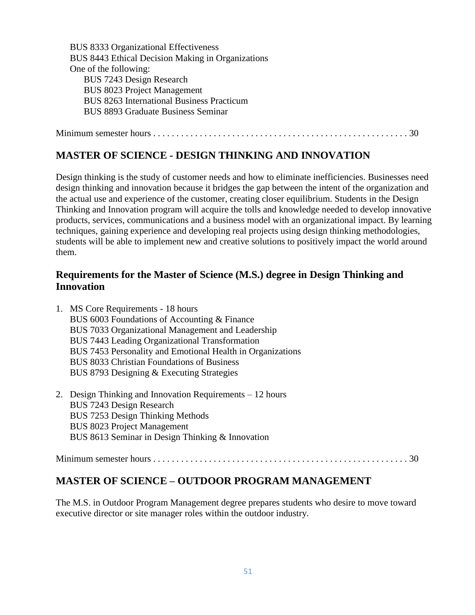BUS 8333 Organizational Effectiveness BUS 8443 Ethical Decision Making in Organizations One of the following: BUS 7243 Design Research BUS 8023 Project Management BUS 8263 International Business Practicum BUS 8893 Graduate Business Seminar

Minimum semester hours . . . . . . . . . . . . . . . . . . . . . . . . . . . . . . . . . . . . . . . . . . . . . . . . . . . . . . . 30

#### **MASTER OF SCIENCE - DESIGN THINKING AND INNOVATION**

Design thinking is the study of customer needs and how to eliminate inefficiencies. Businesses need design thinking and innovation because it bridges the gap between the intent of the organization and the actual use and experience of the customer, creating closer equilibrium. Students in the Design Thinking and Innovation program will acquire the tolls and knowledge needed to develop innovative products, services, communications and a business model with an organizational impact. By learning techniques, gaining experience and developing real projects using design thinking methodologies, students will be able to implement new and creative solutions to positively impact the world around them.

## **Requirements for the Master of Science (M.S.) degree in Design Thinking and Innovation**

| 1. MS Core Requirements - 18 hours                         |
|------------------------------------------------------------|
| BUS 6003 Foundations of Accounting & Finance               |
| BUS 7033 Organizational Management and Leadership          |
| BUS 7443 Leading Organizational Transformation             |
| BUS 7453 Personality and Emotional Health in Organizations |
| <b>BUS 8033 Christian Foundations of Business</b>          |
| BUS 8793 Designing & Executing Strategies                  |
| 2. Design Thinking and Innovation Requirements – 12 hours  |
| BUS 7243 Design Research                                   |
| BUS 7253 Design Thinking Methods                           |
| <b>BUS 8023 Project Management</b>                         |
| BUS 8613 Seminar in Design Thinking & Innovation           |
|                                                            |

## **MASTER OF SCIENCE – OUTDOOR PROGRAM MANAGEMENT**

The M.S. in Outdoor Program Management degree prepares students who desire to move toward executive director or site manager roles within the outdoor industry.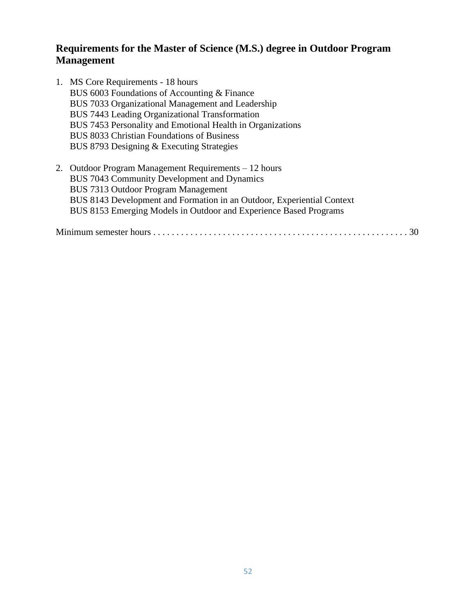## **Requirements for the Master of Science (M.S.) degree in Outdoor Program Management**

- 1. MS Core Requirements 18 hours BUS 6003 Foundations of Accounting & Finance BUS 7033 Organizational Management and Leadership BUS 7443 Leading Organizational Transformation BUS 7453 Personality and Emotional Health in Organizations BUS 8033 Christian Foundations of Business BUS 8793 Designing & Executing Strategies
- 2. Outdoor Program Management Requirements 12 hours BUS 7043 Community Development and Dynamics BUS 7313 Outdoor Program Management BUS 8143 Development and Formation in an Outdoor, Experiential Context BUS 8153 Emerging Models in Outdoor and Experience Based Programs

Minimum semester hours . . . . . . . . . . . . . . . . . . . . . . . . . . . . . . . . . . . . . . . . . . . . . . . . . . . . . . . 30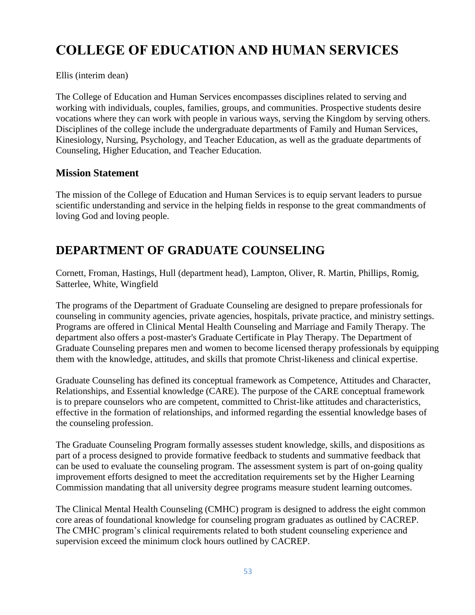# **COLLEGE OF EDUCATION AND HUMAN SERVICES**

Ellis (interim dean)

The College of Education and Human Services encompasses disciplines related to serving and working with individuals, couples, families, groups, and communities. Prospective students desire vocations where they can work with people in various ways, serving the Kingdom by serving others. Disciplines of the college include the undergraduate departments of Family and Human Services, Kinesiology, Nursing, Psychology, and Teacher Education, as well as the graduate departments of Counseling, Higher Education, and Teacher Education.

#### **Mission Statement**

The mission of the College of Education and Human Services is to equip servant leaders to pursue scientific understanding and service in the helping fields in response to the great commandments of loving God and loving people.

# **DEPARTMENT OF GRADUATE COUNSELING**

Cornett, Froman, Hastings, Hull (department head), Lampton, Oliver, R. Martin, Phillips, Romig, Satterlee, White, Wingfield

The programs of the Department of Graduate Counseling are designed to prepare professionals for counseling in community agencies, private agencies, hospitals, private practice, and ministry settings. Programs are offered in Clinical Mental Health Counseling and Marriage and Family Therapy. The department also offers a post-master's Graduate Certificate in Play Therapy. The Department of Graduate Counseling prepares men and women to become licensed therapy professionals by equipping them with the knowledge, attitudes, and skills that promote Christ-likeness and clinical expertise.

Graduate Counseling has defined its conceptual framework as Competence, Attitudes and Character, Relationships, and Essential knowledge (CARE). The purpose of the CARE conceptual framework is to prepare counselors who are competent, committed to Christ-like attitudes and characteristics, effective in the formation of relationships, and informed regarding the essential knowledge bases of the counseling profession.

The Graduate Counseling Program formally assesses student knowledge, skills, and dispositions as part of a process designed to provide formative feedback to students and summative feedback that can be used to evaluate the counseling program. The assessment system is part of on-going quality improvement efforts designed to meet the accreditation requirements set by the Higher Learning Commission mandating that all university degree programs measure student learning outcomes.

The Clinical Mental Health Counseling (CMHC) program is designed to address the eight common core areas of foundational knowledge for counseling program graduates as outlined by CACREP. The CMHC program's clinical requirements related to both student counseling experience and supervision exceed the minimum clock hours outlined by CACREP.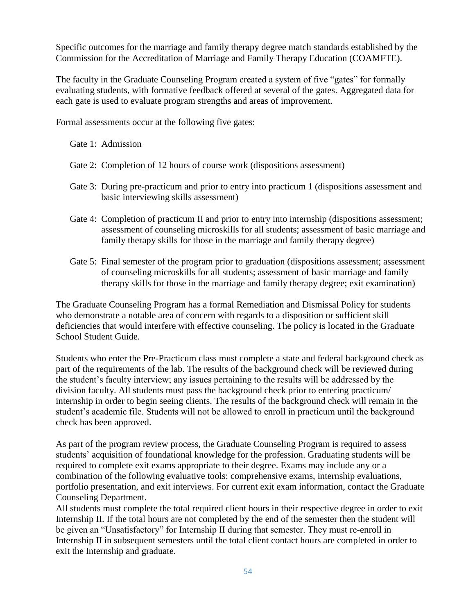Specific outcomes for the marriage and family therapy degree match standards established by the Commission for the Accreditation of Marriage and Family Therapy Education (COAMFTE).

The faculty in the Graduate Counseling Program created a system of five "gates" for formally evaluating students, with formative feedback offered at several of the gates. Aggregated data for each gate is used to evaluate program strengths and areas of improvement.

Formal assessments occur at the following five gates:

Gate 1: Admission

- Gate 2: Completion of 12 hours of course work (dispositions assessment)
- Gate 3: During pre-practicum and prior to entry into practicum 1 (dispositions assessment and basic interviewing skills assessment)
- Gate 4: Completion of practicum II and prior to entry into internship (dispositions assessment; assessment of counseling microskills for all students; assessment of basic marriage and family therapy skills for those in the marriage and family therapy degree)
- Gate 5: Final semester of the program prior to graduation (dispositions assessment; assessment of counseling microskills for all students; assessment of basic marriage and family therapy skills for those in the marriage and family therapy degree; exit examination)

The Graduate Counseling Program has a formal Remediation and Dismissal Policy for students who demonstrate a notable area of concern with regards to a disposition or sufficient skill deficiencies that would interfere with effective counseling. The policy is located in the Graduate School Student Guide.

Students who enter the Pre-Practicum class must complete a state and federal background check as part of the requirements of the lab. The results of the background check will be reviewed during the student's faculty interview; any issues pertaining to the results will be addressed by the division faculty. All students must pass the background check prior to entering practicum/ internship in order to begin seeing clients. The results of the background check will remain in the student's academic file. Students will not be allowed to enroll in practicum until the background check has been approved.

As part of the program review process, the Graduate Counseling Program is required to assess students' acquisition of foundational knowledge for the profession. Graduating students will be required to complete exit exams appropriate to their degree. Exams may include any or a combination of the following evaluative tools: comprehensive exams, internship evaluations, portfolio presentation, and exit interviews. For current exit exam information, contact the Graduate Counseling Department.

All students must complete the total required client hours in their respective degree in order to exit Internship II. If the total hours are not completed by the end of the semester then the student will be given an "Unsatisfactory" for Internship II during that semester. They must re-enroll in Internship II in subsequent semesters until the total client contact hours are completed in order to exit the Internship and graduate.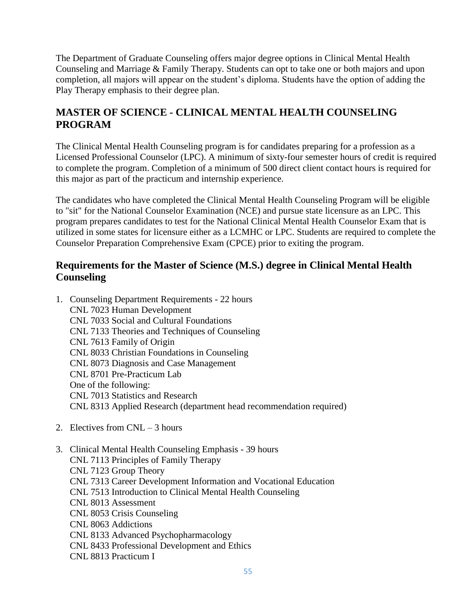The Department of Graduate Counseling offers major degree options in Clinical Mental Health Counseling and Marriage & Family Therapy. Students can opt to take one or both majors and upon completion, all majors will appear on the student's diploma. Students have the option of adding the Play Therapy emphasis to their degree plan.

# **MASTER OF SCIENCE - CLINICAL MENTAL HEALTH COUNSELING PROGRAM**

The Clinical Mental Health Counseling program is for candidates preparing for a profession as a Licensed Professional Counselor (LPC). A minimum of sixty-four semester hours of credit is required to complete the program. Completion of a minimum of 500 direct client contact hours is required for this major as part of the practicum and internship experience.

The candidates who have completed the Clinical Mental Health Counseling Program will be eligible to "sit" for the National Counselor Examination (NCE) and pursue state licensure as an LPC. This program prepares candidates to test for the National Clinical Mental Health Counselor Exam that is utilized in some states for licensure either as a LCMHC or LPC. Students are required to complete the Counselor Preparation Comprehensive Exam (CPCE) prior to exiting the program.

## **Requirements for the Master of Science (M.S.) degree in Clinical Mental Health Counseling**

| 1. Counseling Department Requirements - 22 hours                    |
|---------------------------------------------------------------------|
| CNL 7023 Human Development                                          |
| CNL 7033 Social and Cultural Foundations                            |
| CNL 7133 Theories and Techniques of Counseling                      |
| CNL 7613 Family of Origin                                           |
| CNL 8033 Christian Foundations in Counseling                        |
| CNL 8073 Diagnosis and Case Management                              |
| CNL 8701 Pre-Practicum Lab                                          |
| One of the following:                                               |
| CNL 7013 Statistics and Research                                    |
| CNL 8313 Applied Research (department head recommendation required) |

- 2. Electives from CNL 3 hours
- 3. Clinical Mental Health Counseling Emphasis 39 hours CNL 7113 Principles of Family Therapy CNL 7123 Group Theory CNL 7313 Career Development Information and Vocational Education CNL 7513 Introduction to Clinical Mental Health Counseling CNL 8013 Assessment CNL 8053 Crisis Counseling CNL 8063 Addictions CNL 8133 Advanced Psychopharmacology CNL 8433 Professional Development and Ethics CNL 8813 Practicum I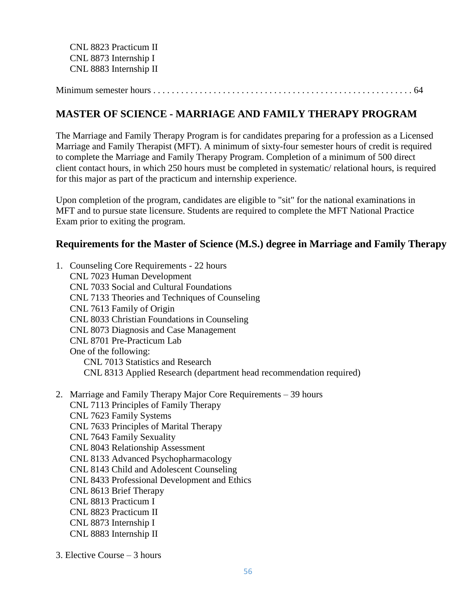CNL 8823 Practicum II CNL 8873 Internship I CNL 8883 Internship II

Minimum semester hours . . . . . . . . . . . . . . . . . . . . . . . . . . . . . . . . . . . . . . . . . . . . . . . . . . . . . . . . 64

#### **MASTER OF SCIENCE - MARRIAGE AND FAMILY THERAPY PROGRAM**

The Marriage and Family Therapy Program is for candidates preparing for a profession as a Licensed Marriage and Family Therapist (MFT). A minimum of sixty-four semester hours of credit is required to complete the Marriage and Family Therapy Program. Completion of a minimum of 500 direct client contact hours, in which 250 hours must be completed in systematic/ relational hours, is required for this major as part of the practicum and internship experience.

Upon completion of the program, candidates are eligible to "sit" for the national examinations in MFT and to pursue state licensure. Students are required to complete the MFT National Practice Exam prior to exiting the program.

#### **Requirements for the Master of Science (M.S.) degree in Marriage and Family Therapy**

- 1. Counseling Core Requirements 22 hours CNL 7023 Human Development CNL 7033 Social and Cultural Foundations CNL 7133 Theories and Techniques of Counseling CNL 7613 Family of Origin CNL 8033 Christian Foundations in Counseling CNL 8073 Diagnosis and Case Management CNL 8701 Pre-Practicum Lab One of the following: CNL 7013 Statistics and Research CNL 8313 Applied Research (department head recommendation required)
- 2. Marriage and Family Therapy Major Core Requirements 39 hours CNL 7113 Principles of Family Therapy CNL 7623 Family Systems CNL 7633 Principles of Marital Therapy CNL 7643 Family Sexuality CNL 8043 Relationship Assessment CNL 8133 Advanced Psychopharmacology CNL 8143 Child and Adolescent Counseling CNL 8433 Professional Development and Ethics CNL 8613 Brief Therapy CNL 8813 Practicum I CNL 8823 Practicum II CNL 8873 Internship I CNL 8883 Internship II
- 3. Elective Course 3 hours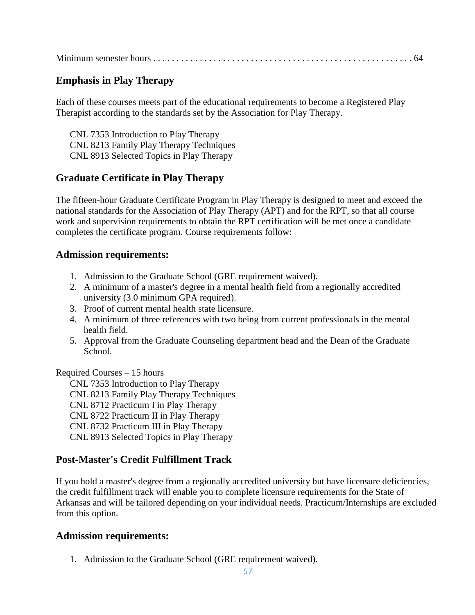|--|--|--|

# **Emphasis in Play Therapy**

Each of these courses meets part of the educational requirements to become a Registered Play Therapist according to the standards set by the Association for Play Therapy.

CNL 7353 Introduction to Play Therapy CNL 8213 Family Play Therapy Techniques CNL 8913 Selected Topics in Play Therapy

## **Graduate Certificate in Play Therapy**

The fifteen-hour Graduate Certificate Program in Play Therapy is designed to meet and exceed the national standards for the Association of Play Therapy (APT) and for the RPT, so that all course work and supervision requirements to obtain the RPT certification will be met once a candidate completes the certificate program. Course requirements follow:

#### **Admission requirements:**

- 1. Admission to the Graduate School (GRE requirement waived).
- 2. A minimum of a master's degree in a mental health field from a regionally accredited university (3.0 minimum GPA required).
- 3. Proof of current mental health state licensure.
- 4. A minimum of three references with two being from current professionals in the mental health field.
- 5. Approval from the Graduate Counseling department head and the Dean of the Graduate School.

Required Courses – 15 hours

CNL 7353 Introduction to Play Therapy CNL 8213 Family Play Therapy Techniques CNL 8712 Practicum I in Play Therapy CNL 8722 Practicum II in Play Therapy CNL 8732 Practicum III in Play Therapy CNL 8913 Selected Topics in Play Therapy

## **Post-Master's Credit Fulfillment Track**

If you hold a master's degree from a regionally accredited university but have licensure deficiencies, the credit fulfillment track will enable you to complete licensure requirements for the State of Arkansas and will be tailored depending on your individual needs. Practicum/Internships are excluded from this option.

## **Admission requirements:**

1. Admission to the Graduate School (GRE requirement waived).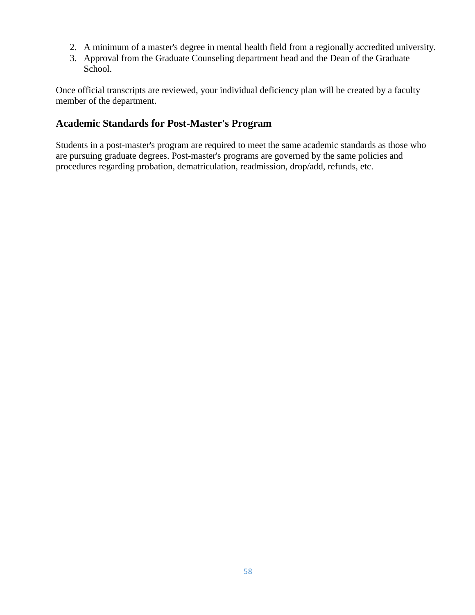- 2. A minimum of a master's degree in mental health field from a regionally accredited university.
- 3. Approval from the Graduate Counseling department head and the Dean of the Graduate School.

Once official transcripts are reviewed, your individual deficiency plan will be created by a faculty member of the department.

## **Academic Standards for Post-Master's Program**

Students in a post-master's program are required to meet the same academic standards as those who are pursuing graduate degrees. Post-master's programs are governed by the same policies and procedures regarding probation, dematriculation, readmission, drop/add, refunds, etc.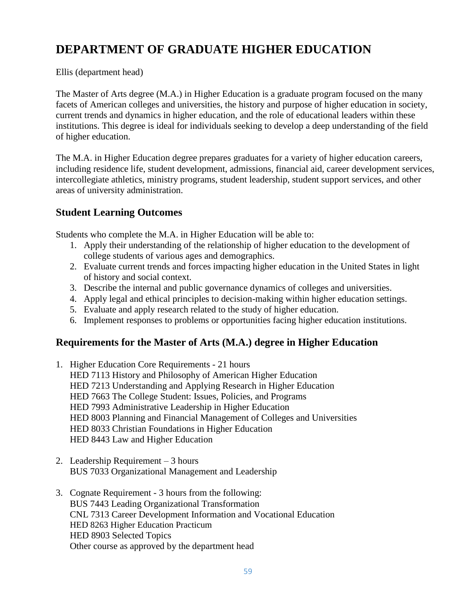# **DEPARTMENT OF GRADUATE HIGHER EDUCATION**

Ellis (department head)

The Master of Arts degree (M.A.) in Higher Education is a graduate program focused on the many facets of American colleges and universities, the history and purpose of higher education in society, current trends and dynamics in higher education, and the role of educational leaders within these institutions. This degree is ideal for individuals seeking to develop a deep understanding of the field of higher education.

The M.A. in Higher Education degree prepares graduates for a variety of higher education careers, including residence life, student development, admissions, financial aid, career development services, intercollegiate athletics, ministry programs, student leadership, student support services, and other areas of university administration.

# **Student Learning Outcomes**

Students who complete the M.A. in Higher Education will be able to:

- 1. Apply their understanding of the relationship of higher education to the development of college students of various ages and demographics.
- 2. Evaluate current trends and forces impacting higher education in the United States in light of history and social context.
- 3. Describe the internal and public governance dynamics of colleges and universities.
- 4. Apply legal and ethical principles to decision-making within higher education settings.
- 5. Evaluate and apply research related to the study of higher education.
- 6. Implement responses to problems or opportunities facing higher education institutions.

# **Requirements for the Master of Arts (M.A.) degree in Higher Education**

- 1. Higher Education Core Requirements 21 hours HED 7113 History and Philosophy of American Higher Education HED 7213 Understanding and Applying Research in Higher Education HED 7663 The College Student: Issues, Policies, and Programs HED 7993 Administrative Leadership in Higher Education HED 8003 Planning and Financial Management of Colleges and Universities HED 8033 Christian Foundations in Higher Education HED 8443 Law and Higher Education
- 2. Leadership Requirement 3 hours BUS 7033 Organizational Management and Leadership
- 3. Cognate Requirement 3 hours from the following: BUS 7443 Leading Organizational Transformation CNL 7313 Career Development Information and Vocational Education HED 8263 Higher Education Practicum HED 8903 Selected Topics Other course as approved by the department head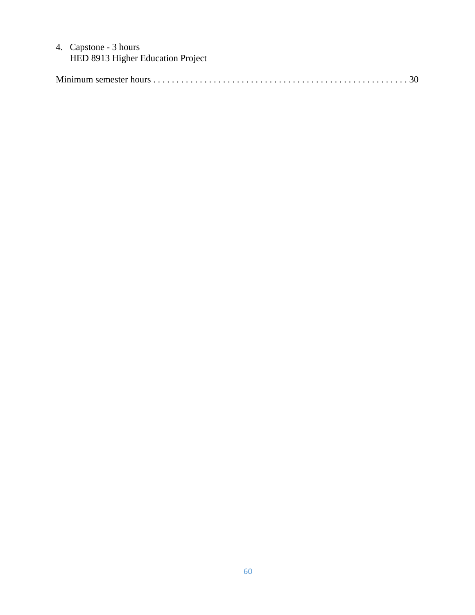#### 4. Capstone - 3 hours HED 8913 Higher Education Project

|--|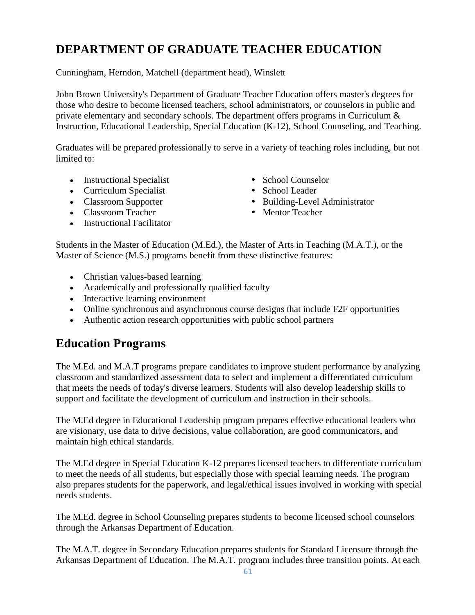# **DEPARTMENT OF GRADUATE TEACHER EDUCATION**

Cunningham, Herndon, Matchell (department head), Winslett

John Brown University's Department of Graduate Teacher Education offers master's degrees for those who desire to become licensed teachers, school administrators, or counselors in public and private elementary and secondary schools. The department offers programs in Curriculum & Instruction, Educational Leadership, Special Education (K-12), School Counseling, and Teaching.

Graduates will be prepared professionally to serve in a variety of teaching roles including, but not limited to:

- Instructional Specialist School Counselor
- Curriculum Specialist School Leader
- 
- Classroom Teacher Mentor Teacher
- Instructional Facilitator
- 
- 
- Building-Level Administrator
- 

Students in the Master of Education (M.Ed.), the Master of Arts in Teaching (M.A.T.), or the Master of Science (M.S.) programs benefit from these distinctive features:

- Christian values-based learning
- Academically and professionally qualified faculty
- Interactive learning environment
- Online synchronous and asynchronous course designs that include F2F opportunities
- Authentic action research opportunities with public school partners

# **Education Programs**

The M.Ed. and M.A.T programs prepare candidates to improve student performance by analyzing classroom and standardized assessment data to select and implement a differentiated curriculum that meets the needs of today's diverse learners. Students will also develop leadership skills to support and facilitate the development of curriculum and instruction in their schools.

The M.Ed degree in Educational Leadership program prepares effective educational leaders who are visionary, use data to drive decisions, value collaboration, are good communicators, and maintain high ethical standards.

The M.Ed degree in Special Education K-12 prepares licensed teachers to differentiate curriculum to meet the needs of all students, but especially those with special learning needs. The program also prepares students for the paperwork, and legal/ethical issues involved in working with special needs students.

The M.Ed. degree in School Counseling prepares students to become licensed school counselors through the Arkansas Department of Education.

The M.A.T. degree in Secondary Education prepares students for Standard Licensure through the Arkansas Department of Education. The M.A.T. program includes three transition points. At each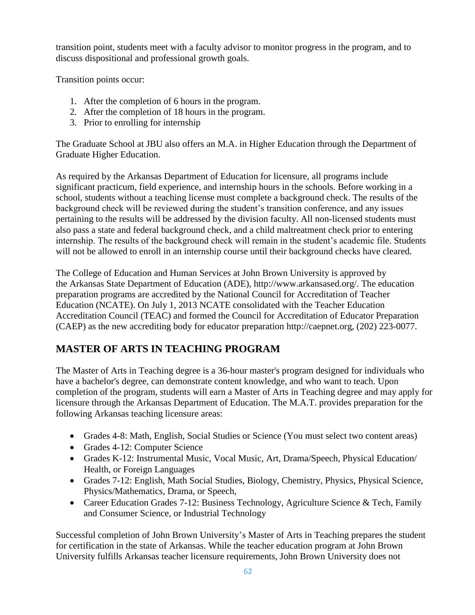transition point, students meet with a faculty advisor to monitor progress in the program, and to discuss dispositional and professional growth goals.

Transition points occur:

- 1. After the completion of 6 hours in the program.
- 2. After the completion of 18 hours in the program.
- 3. Prior to enrolling for internship

The Graduate School at JBU also offers an M.A. in Higher Education through the Department of Graduate Higher Education.

As required by the Arkansas Department of Education for licensure, all programs include significant practicum, field experience, and internship hours in the schools. Before working in a school, students without a teaching license must complete a background check. The results of the background check will be reviewed during the student's transition conference, and any issues pertaining to the results will be addressed by the division faculty. All non-licensed students must also pass a state and federal background check, and a child maltreatment check prior to entering internship. The results of the background check will remain in the student's academic file. Students will not be allowed to enroll in an internship course until their background checks have cleared.

The College of Education and Human Services at John Brown University is approved by the Arkansas State Department of Education (ADE), http://www.arkansased.org/. The education preparation programs are accredited by the National Council for Accreditation of Teacher Education (NCATE). On July 1, 2013 NCATE consolidated with the Teacher Education Accreditation Council (TEAC) and formed the Council for Accreditation of Educator Preparation (CAEP) as the new accrediting body for educator preparation http://caepnet.org, (202) 223-0077.

# **MASTER OF ARTS IN TEACHING PROGRAM**

The Master of Arts in Teaching degree is a 36-hour master's program designed for individuals who have a bachelor's degree, can demonstrate content knowledge, and who want to teach. Upon completion of the program, students will earn a Master of Arts in Teaching degree and may apply for licensure through the Arkansas Department of Education. The M.A.T. provides preparation for the following Arkansas teaching licensure areas:

- Grades 4-8: Math, English, Social Studies or Science (You must select two content areas)
- Grades 4-12: Computer Science
- Grades K-12: Instrumental Music, Vocal Music, Art, Drama/Speech, Physical Education/ Health, or Foreign Languages
- Grades 7-12: English, Math Social Studies, Biology, Chemistry, Physics, Physical Science, Physics/Mathematics, Drama, or Speech,
- Career Education Grades 7-12: Business Technology, Agriculture Science & Tech, Family and Consumer Science, or Industrial Technology

Successful completion of John Brown University's Master of Arts in Teaching prepares the student for certification in the state of Arkansas. While the teacher education program at John Brown University fulfills Arkansas teacher licensure requirements, John Brown University does not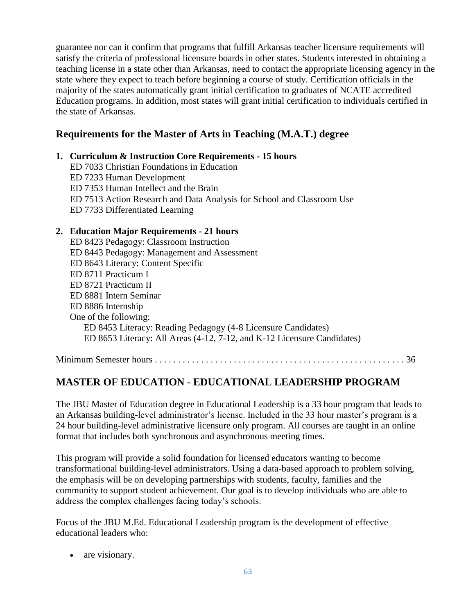guarantee nor can it confirm that programs that fulfill Arkansas teacher licensure requirements will satisfy the criteria of professional licensure boards in other states. Students interested in obtaining a teaching license in a state other than Arkansas, need to contact the appropriate licensing agency in the state where they expect to teach before beginning a course of study. Certification officials in the majority of the states automatically grant initial certification to graduates of NCATE accredited Education programs. In addition, most states will grant initial certification to individuals certified in the state of Arkansas.

# **Requirements for the Master of Arts in Teaching (M.A.T.) degree**

## **1. Curriculum & Instruction Core Requirements - 15 hours**

ED 7033 Christian Foundations in Education ED 7233 Human Development ED 7353 Human Intellect and the Brain ED 7513 Action Research and Data Analysis for School and Classroom Use ED 7733 Differentiated Learning

#### **2. Education Major Requirements - 21 hours**

ED 8423 Pedagogy: Classroom Instruction ED 8443 Pedagogy: Management and Assessment ED 8643 Literacy: Content Specific ED 8711 Practicum I ED 8721 Practicum II ED 8881 Intern Seminar ED 8886 Internship One of the following: ED 8453 Literacy: Reading Pedagogy (4-8 Licensure Candidates) ED 8653 Literacy: All Areas (4-12, 7-12, and K-12 Licensure Candidates)

Minimum Semester hours . . . . . . . . . . . . . . . . . . . . . . . . . . . . . . . . . . . . . . . . . . . . . . . . . . . . . . 36

# **MASTER OF EDUCATION - EDUCATIONAL LEADERSHIP PROGRAM**

The JBU Master of Education degree in Educational Leadership is a 33 hour program that leads to an Arkansas building-level administrator's license. Included in the 33 hour master's program is a 24 hour building-level administrative licensure only program. All courses are taught in an online format that includes both synchronous and asynchronous meeting times.

This program will provide a solid foundation for licensed educators wanting to become transformational building-level administrators. Using a data-based approach to problem solving, the emphasis will be on developing partnerships with students, faculty, families and the community to support student achievement. Our goal is to develop individuals who are able to address the complex challenges facing today's schools.

Focus of the JBU M.Ed. Educational Leadership program is the development of effective educational leaders who:

• are visionary.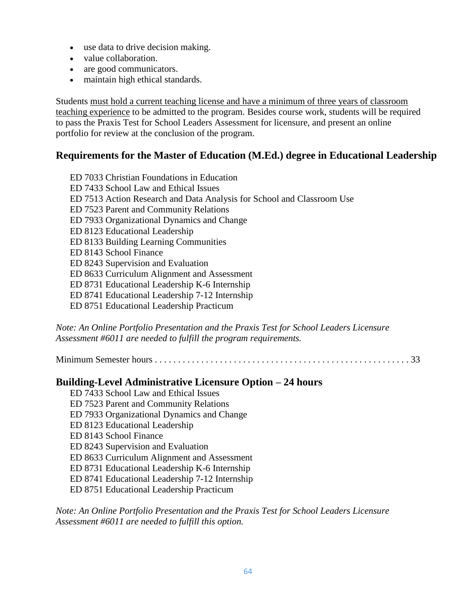- use data to drive decision making.
- value collaboration.
- are good communicators.
- maintain high ethical standards.

Students must hold a current teaching license and have a minimum of three years of classroom teaching experience to be admitted to the program. Besides course work, students will be required to pass the Praxis Test for School Leaders Assessment for licensure, and present an online portfolio for review at the conclusion of the program.

#### **Requirements for the Master of Education (M.Ed.) degree in Educational Leadership**

ED 7033 Christian Foundations in Education ED 7433 School Law and Ethical Issues ED 7513 Action Research and Data Analysis for School and Classroom Use ED 7523 Parent and Community Relations ED 7933 Organizational Dynamics and Change ED 8123 Educational Leadership ED 8133 Building Learning Communities ED 8143 School Finance ED 8243 Supervision and Evaluation ED 8633 Curriculum Alignment and Assessment ED 8731 Educational Leadership K-6 Internship ED 8741 Educational Leadership 7-12 Internship ED 8751 Educational Leadership Practicum

*Note: An Online Portfolio Presentation and the Praxis Test for School Leaders Licensure Assessment #6011 are needed to fulfill the program requirements.*

Minimum Semester hours . . . . . . . . . . . . . . . . . . . . . . . . . . . . . . . . . . . . . . . . . . . . . . . . . . . . . . . 33

#### **Building-Level Administrative Licensure Option – 24 hours**

ED 7433 School Law and Ethical Issues ED 7523 Parent and Community Relations ED 7933 Organizational Dynamics and Change ED 8123 Educational Leadership ED 8143 School Finance ED 8243 Supervision and Evaluation ED 8633 Curriculum Alignment and Assessment ED 8731 Educational Leadership K-6 Internship ED 8741 Educational Leadership 7-12 Internship ED 8751 Educational Leadership Practicum

*Note: An Online Portfolio Presentation and the Praxis Test for School Leaders Licensure Assessment #6011 are needed to fulfill this option.*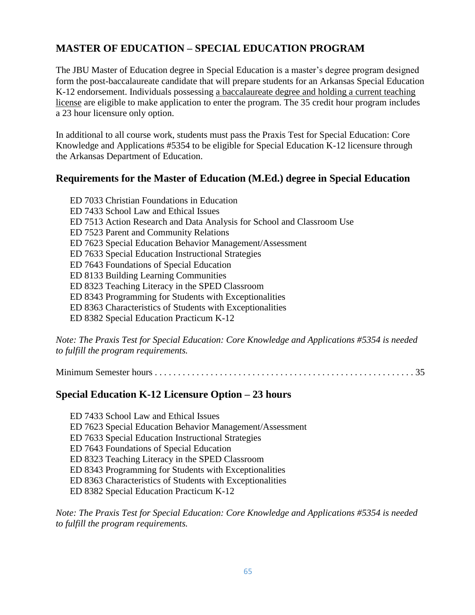# **MASTER OF EDUCATION – SPECIAL EDUCATION PROGRAM**

The JBU Master of Education degree in Special Education is a master's degree program designed form the post-baccalaureate candidate that will prepare students for an Arkansas Special Education K-12 endorsement. Individuals possessing a baccalaureate degree and holding a current teaching license are eligible to make application to enter the program. The 35 credit hour program includes a 23 hour licensure only option.

In additional to all course work, students must pass the Praxis Test for Special Education: Core Knowledge and Applications #5354 to be eligible for Special Education K-12 licensure through the Arkansas Department of Education.

#### **Requirements for the Master of Education (M.Ed.) degree in Special Education**

ED 7033 Christian Foundations in Education ED 7433 School Law and Ethical Issues ED 7513 Action Research and Data Analysis for School and Classroom Use ED 7523 Parent and Community Relations ED 7623 Special Education Behavior Management/Assessment ED 7633 Special Education Instructional Strategies ED 7643 Foundations of Special Education ED 8133 Building Learning Communities ED 8323 Teaching Literacy in the SPED Classroom ED 8343 Programming for Students with Exceptionalities ED 8363 Characteristics of Students with Exceptionalities ED 8382 Special Education Practicum K-12

*Note: The Praxis Test for Special Education: Core Knowledge and Applications #5354 is needed to fulfill the program requirements.*

Minimum Semester hours . . . . . . . . . . . . . . . . . . . . . . . . . . . . . . . . . . . . . . . . . . . . . . . . . . . . . . . . 35

## **Special Education K-12 Licensure Option – 23 hours**

ED 7433 School Law and Ethical Issues ED 7623 Special Education Behavior Management/Assessment ED 7633 Special Education Instructional Strategies ED 7643 Foundations of Special Education ED 8323 Teaching Literacy in the SPED Classroom ED 8343 Programming for Students with Exceptionalities ED 8363 Characteristics of Students with Exceptionalities ED 8382 Special Education Practicum K-12

*Note: The Praxis Test for Special Education: Core Knowledge and Applications #5354 is needed to fulfill the program requirements.*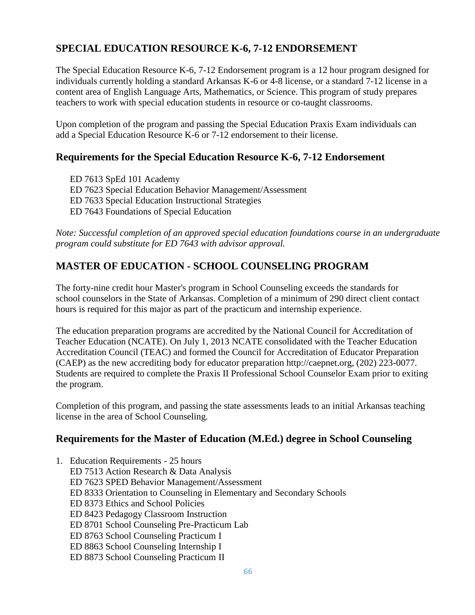# **SPECIAL EDUCATION RESOURCE K-6, 7-12 ENDORSEMENT**

The Special Education Resource K-6, 7-12 Endorsement program is a 12 hour program designed for individuals currently holding a standard Arkansas K-6 or 4-8 license, or a standard 7-12 license in a content area of English Language Arts, Mathematics, or Science. This program of study prepares teachers to work with special education students in resource or co-taught classrooms.

Upon completion of the program and passing the Special Education Praxis Exam individuals can add a Special Education Resource K-6 or 7-12 endorsement to their license.

# **Requirements for the Special Education Resource K-6, 7-12 Endorsement**

ED 7613 SpEd 101 Academy ED 7623 Special Education Behavior Management/Assessment ED 7633 Special Education Instructional Strategies ED 7643 Foundations of Special Education

*Note: Successful completion of an approved special education foundations course in an undergraduate program could substitute for ED 7643 with advisor approval.*

# **MASTER OF EDUCATION - SCHOOL COUNSELING PROGRAM**

The forty-nine credit hour Master's program in School Counseling exceeds the standards for school counselors in the State of Arkansas. Completion of a minimum of 290 direct client contact hours is required for this major as part of the practicum and internship experience.

The education preparation programs are accredited by the National Council for Accreditation of Teacher Education (NCATE). On July 1, 2013 NCATE consolidated with the Teacher Education Accreditation Council (TEAC) and formed the Council for Accreditation of Educator Preparation (CAEP) as the new accrediting body for educator preparation http://caepnet.org, (202) 223-0077. Students are required to complete the Praxis II Professional School Counselor Exam prior to exiting the program.

Completion of this program, and passing the state assessments leads to an initial Arkansas teaching license in the area of School Counseling.

## **Requirements for the Master of Education (M.Ed.) degree in School Counseling**

1. Education Requirements - 25 hours ED 7513 Action Research & Data Analysis ED 7623 SPED Behavior Management/Assessment ED 8333 Orientation to Counseling in Elementary and Secondary Schools ED 8373 Ethics and School Policies ED 8423 Pedagogy Classroom Instruction ED 8701 School Counseling Pre-Practicum Lab ED 8763 School Counseling Practicum I ED 8863 School Counseling Internship I ED 8873 School Counseling Practicum II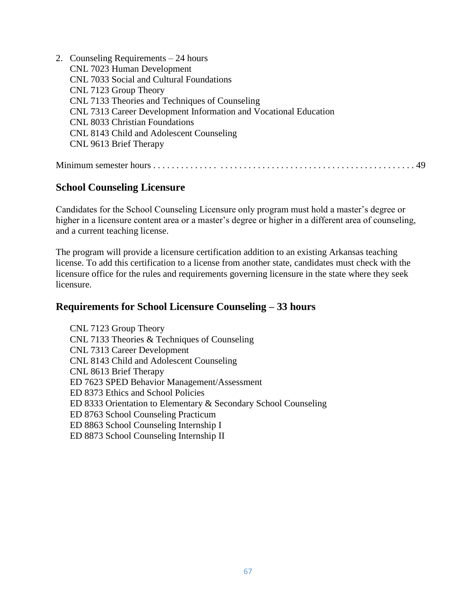| 2. Counseling Requirements $-24$ hours                           |
|------------------------------------------------------------------|
| CNL 7023 Human Development                                       |
| CNL 7033 Social and Cultural Foundations                         |
| CNL 7123 Group Theory                                            |
| CNL 7133 Theories and Techniques of Counseling                   |
| CNL 7313 Career Development Information and Vocational Education |
| <b>CNL 8033 Christian Foundations</b>                            |
| CNL 8143 Child and Adolescent Counseling                         |
| CNL 9613 Brief Therapy                                           |
|                                                                  |
|                                                                  |

## **School Counseling Licensure**

Candidates for the School Counseling Licensure only program must hold a master's degree or higher in a licensure content area or a master's degree or higher in a different area of counseling, and a current teaching license.

The program will provide a licensure certification addition to an existing Arkansas teaching license. To add this certification to a license from another state, candidates must check with the licensure office for the rules and requirements governing licensure in the state where they seek licensure.

#### **Requirements for School Licensure Counseling – 33 hours**

CNL 7123 Group Theory CNL 7133 Theories & Techniques of Counseling CNL 7313 Career Development CNL 8143 Child and Adolescent Counseling CNL 8613 Brief Therapy ED 7623 SPED Behavior Management/Assessment ED 8373 Ethics and School Policies ED 8333 Orientation to Elementary & Secondary School Counseling ED 8763 School Counseling Practicum ED 8863 School Counseling Internship I ED 8873 School Counseling Internship II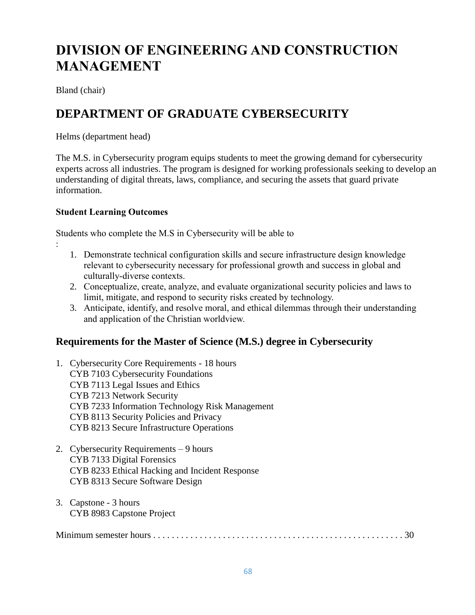# **DIVISION OF ENGINEERING AND CONSTRUCTION MANAGEMENT**

Bland (chair)

:

# **DEPARTMENT OF GRADUATE CYBERSECURITY**

Helms (department head)

The M.S. in Cybersecurity program equips students to meet the growing demand for cybersecurity experts across all industries. The program is designed for working professionals seeking to develop an understanding of digital threats, laws, compliance, and securing the assets that guard private information.

#### **Student Learning Outcomes**

Students who complete the M.S in Cybersecurity will be able to

- 1. Demonstrate technical configuration skills and secure infrastructure design knowledge relevant to cybersecurity necessary for professional growth and success in global and culturally-diverse contexts.
- 2. Conceptualize, create, analyze, and evaluate organizational security policies and laws to limit, mitigate, and respond to security risks created by technology.
- 3. Anticipate, identify, and resolve moral, and ethical dilemmas through their understanding and application of the Christian worldview.

## **Requirements for the Master of Science (M.S.) degree in Cybersecurity**

- 1. Cybersecurity Core Requirements 18 hours CYB 7103 Cybersecurity Foundations CYB 7113 Legal Issues and Ethics CYB 7213 Network Security CYB 7233 Information Technology Risk Management CYB 8113 Security Policies and Privacy CYB 8213 Secure Infrastructure Operations
- 2. Cybersecurity Requirements 9 hours CYB 7133 Digital Forensics CYB 8233 Ethical Hacking and Incident Response CYB 8313 Secure Software Design
- 3. Capstone 3 hours CYB 8983 Capstone Project

|--|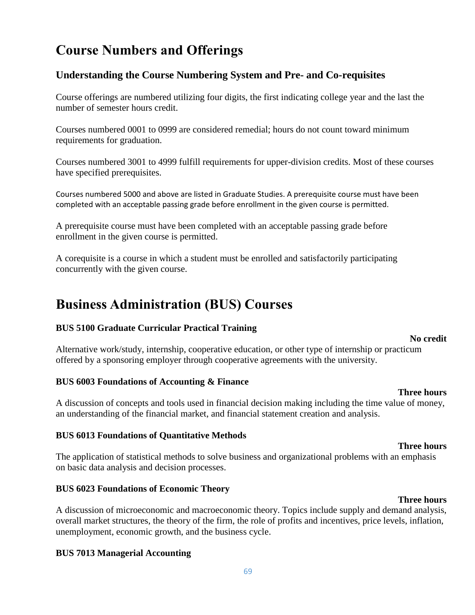# **Course Numbers and Offerings**

# **Understanding the Course Numbering System and Pre- and Co-requisites**

Course offerings are numbered utilizing four digits, the first indicating college year and the last the number of semester hours credit.

Courses numbered 0001 to 0999 are considered remedial; hours do not count toward minimum requirements for graduation.

Courses numbered 3001 to 4999 fulfill requirements for upper-division credits. Most of these courses have specified prerequisites.

Courses numbered 5000 and above are listed in Graduate Studies. A prerequisite course must have been completed with an acceptable passing grade before enrollment in the given course is permitted.

A prerequisite course must have been completed with an acceptable passing grade before enrollment in the given course is permitted.

A corequisite is a course in which a student must be enrolled and satisfactorily participating concurrently with the given course.

# **Business Administration (BUS) Courses**

#### **BUS 5100 Graduate Curricular Practical Training**

#### Alternative work/study, internship, cooperative education, or other type of internship or practicum offered by a sponsoring employer through cooperative agreements with the university.

#### **BUS 6003 Foundations of Accounting & Finance**

A discussion of concepts and tools used in financial decision making including the time value of money, an understanding of the financial market, and financial statement creation and analysis.

#### **BUS 6013 Foundations of Quantitative Methods**

The application of statistical methods to solve business and organizational problems with an emphasis on basic data analysis and decision processes.

#### **BUS 6023 Foundations of Economic Theory**

**Three hours** A discussion of microeconomic and macroeconomic theory. Topics include supply and demand analysis, overall market structures, the theory of the firm, the role of profits and incentives, price levels, inflation, unemployment, economic growth, and the business cycle.

#### **BUS 7013 Managerial Accounting**

#### 69

#### **Three hours**

# **Three hours**

**No credit**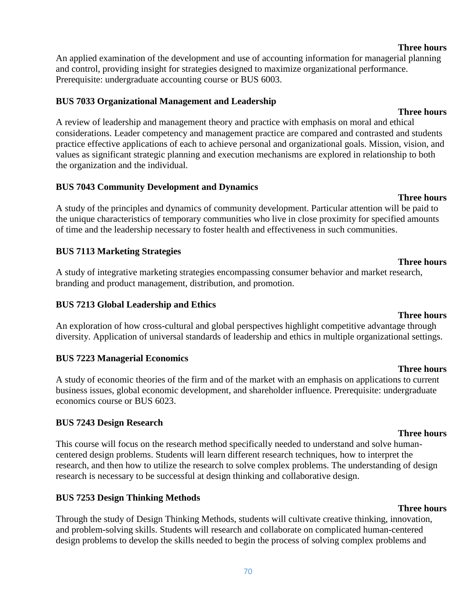#### 70

An applied examination of the development and use of accounting information for managerial planning and control, providing insight for strategies designed to maximize organizational performance. Prerequisite: undergraduate accounting course or BUS 6003.

#### **BUS 7033 Organizational Management and Leadership**

**Three hours** A review of leadership and management theory and practice with emphasis on moral and ethical considerations. Leader competency and management practice are compared and contrasted and students practice effective applications of each to achieve personal and organizational goals. Mission, vision, and values as significant strategic planning and execution mechanisms are explored in relationship to both the organization and the individual.

## **BUS 7043 Community Development and Dynamics**

A study of the principles and dynamics of community development. Particular attention will be paid to the unique characteristics of temporary communities who live in close proximity for specified amounts of time and the leadership necessary to foster health and effectiveness in such communities.

# **BUS 7113 Marketing Strategies**

A study of integrative marketing strategies encompassing consumer behavior and market research, branding and product management, distribution, and promotion.

## **BUS 7213 Global Leadership and Ethics**

An exploration of how cross-cultural and global perspectives highlight competitive advantage through diversity. Application of universal standards of leadership and ethics in multiple organizational settings.

## **BUS 7223 Managerial Economics**

A study of economic theories of the firm and of the market with an emphasis on applications to current business issues, global economic development, and shareholder influence. Prerequisite: undergraduate economics course or BUS 6023.

## **BUS 7243 Design Research**

This course will focus on the research method specifically needed to understand and solve humancentered design problems. Students will learn different research techniques, how to interpret the research, and then how to utilize the research to solve complex problems. The understanding of design research is necessary to be successful at design thinking and collaborative design.

# **BUS 7253 Design Thinking Methods**

Through the study of Design Thinking Methods, students will cultivate creative thinking, innovation, and problem-solving skills. Students will research and collaborate on complicated human-centered design problems to develop the skills needed to begin the process of solving complex problems and

# **Three hours**

**Three hours**

# **Three hours**

#### **Three hours**

**Three hours**

#### **Three hours**

#### **Three hours**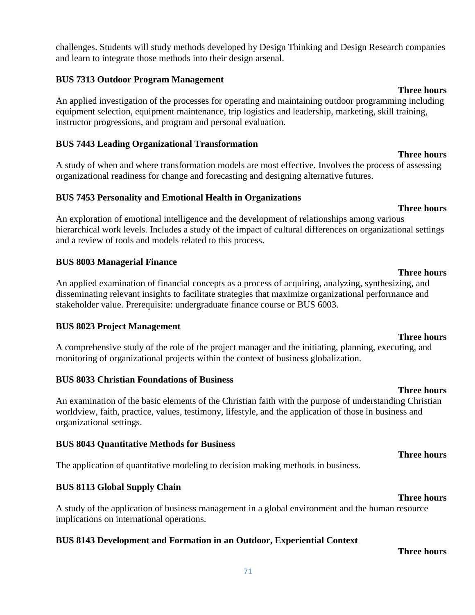challenges. Students will study methods developed by Design Thinking and Design Research companies and learn to integrate those methods into their design arsenal.

#### **BUS 7313 Outdoor Program Management**

An applied investigation of the processes for operating and maintaining outdoor programming including equipment selection, equipment maintenance, trip logistics and leadership, marketing, skill training, instructor progressions, and program and personal evaluation.

#### **BUS 7443 Leading Organizational Transformation**

A study of when and where transformation models are most effective. Involves the process of assessing organizational readiness for change and forecasting and designing alternative futures.

#### **BUS 7453 Personality and Emotional Health in Organizations**

**Three hours** An exploration of emotional intelligence and the development of relationships among various hierarchical work levels. Includes a study of the impact of cultural differences on organizational settings and a review of tools and models related to this process.

#### **BUS 8003 Managerial Finance**

An applied examination of financial concepts as a process of acquiring, analyzing, synthesizing, and disseminating relevant insights to facilitate strategies that maximize organizational performance and stakeholder value. Prerequisite: undergraduate finance course or BUS 6003.

#### **BUS 8023 Project Management**

A comprehensive study of the role of the project manager and the initiating, planning, executing, and monitoring of organizational projects within the context of business globalization.

#### **BUS 8033 Christian Foundations of Business**

An examination of the basic elements of the Christian faith with the purpose of understanding Christian worldview, faith, practice, values, testimony, lifestyle, and the application of those in business and organizational settings.

#### **BUS 8043 Quantitative Methods for Business**

The application of quantitative modeling to decision making methods in business.

#### **BUS 8113 Global Supply Chain**

A study of the application of business management in a global environment and the human resource implications on international operations.

#### **BUS 8143 Development and Formation in an Outdoor, Experiential Context**

**Three hours**

# **Three hours**

**Three hours**

**Three hours**

#### **Three hours**

# **Three hours**

## **Three hours**

**Three hours**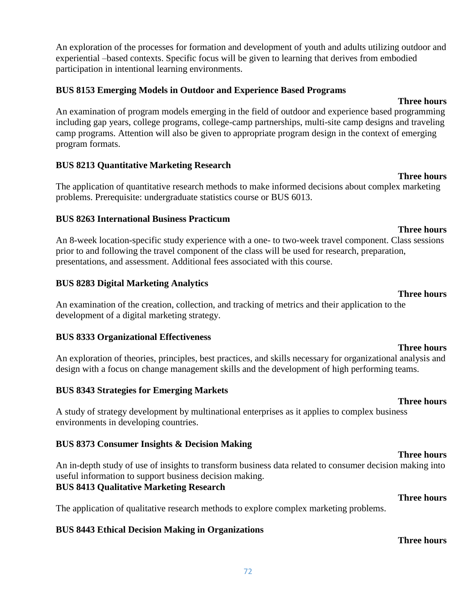72

An exploration of the processes for formation and development of youth and adults utilizing outdoor and experiential –based contexts. Specific focus will be given to learning that derives from embodied participation in intentional learning environments.

#### **BUS 8153 Emerging Models in Outdoor and Experience Based Programs**

#### **Three hours**

An examination of program models emerging in the field of outdoor and experience based programming including gap years, college programs, college-camp partnerships, multi-site camp designs and traveling camp programs. Attention will also be given to appropriate program design in the context of emerging program formats.

## **BUS 8213 Quantitative Marketing Research**

The application of quantitative research methods to make informed decisions about complex marketing problems. Prerequisite: undergraduate statistics course or BUS 6013.

## **BUS 8263 International Business Practicum**

**Three hours** An 8-week location-specific study experience with a one- to two-week travel component. Class sessions prior to and following the travel component of the class will be used for research, preparation, presentations, and assessment. Additional fees associated with this course.

# **BUS 8283 Digital Marketing Analytics**

An examination of the creation, collection, and tracking of metrics and their application to the development of a digital marketing strategy.

## **BUS 8333 Organizational Effectiveness**

An exploration of theories, principles, best practices, and skills necessary for organizational analysis and design with a focus on change management skills and the development of high performing teams.

# **BUS 8343 Strategies for Emerging Markets**

A study of strategy development by multinational enterprises as it applies to complex business environments in developing countries.

# **BUS 8373 Consumer Insights & Decision Making**

An in-depth study of use of insights to transform business data related to consumer decision making into useful information to support business decision making. **BUS 8413 Qualitative Marketing Research**

# The application of qualitative research methods to explore complex marketing problems.

# **BUS 8443 Ethical Decision Making in Organizations**

**Three hours**

**Three hours**

# **Three hours**

**Three hours**

#### **Three hours**

#### **Three hours**

**Three hours**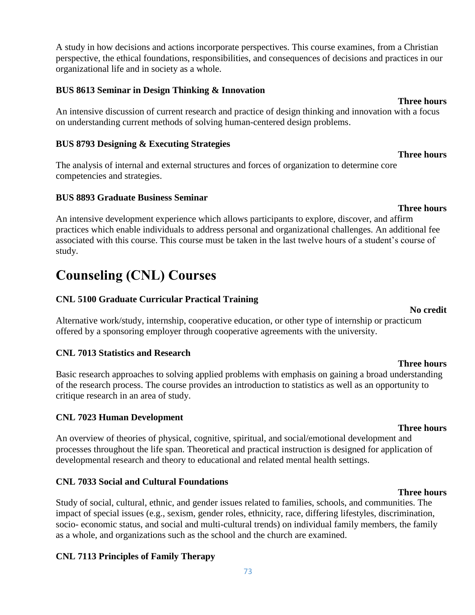A study in how decisions and actions incorporate perspectives. This course examines, from a Christian perspective, the ethical foundations, responsibilities, and consequences of decisions and practices in our organizational life and in society as a whole.

#### **BUS 8613 Seminar in Design Thinking & Innovation**

An intensive discussion of current research and practice of design thinking and innovation with a focus on understanding current methods of solving human-centered design problems.

#### **BUS 8793 Designing & Executing Strategies**

The analysis of internal and external structures and forces of organization to determine core competencies and strategies.

#### **BUS 8893 Graduate Business Seminar**

An intensive development experience which allows participants to explore, discover, and affirm practices which enable individuals to address personal and organizational challenges. An additional fee associated with this course. This course must be taken in the last twelve hours of a student's course of study.

# **Counseling (CNL) Courses**

### **CNL 5100 Graduate Curricular Practical Training**

Alternative work/study, internship, cooperative education, or other type of internship or practicum offered by a sponsoring employer through cooperative agreements with the university.

### **CNL 7013 Statistics and Research**

Basic research approaches to solving applied problems with emphasis on gaining a broad understanding of the research process. The course provides an introduction to statistics as well as an opportunity to critique research in an area of study.

#### **CNL 7023 Human Development**

An overview of theories of physical, cognitive, spiritual, and social/emotional development and processes throughout the life span. Theoretical and practical instruction is designed for application of developmental research and theory to educational and related mental health settings.

#### **CNL 7033 Social and Cultural Foundations**

Study of social, cultural, ethnic, and gender issues related to families, schools, and communities. The impact of special issues (e.g., sexism, gender roles, ethnicity, race, differing lifestyles, discrimination, socio- economic status, and social and multi-cultural trends) on individual family members, the family as a whole, and organizations such as the school and the church are examined.

### **CNL 7113 Principles of Family Therapy**

#### **Three hours**

#### **Three hours**

**Three hours**

#### **Three hours**

#### **Three hours**

# **Three hours**

**No credit**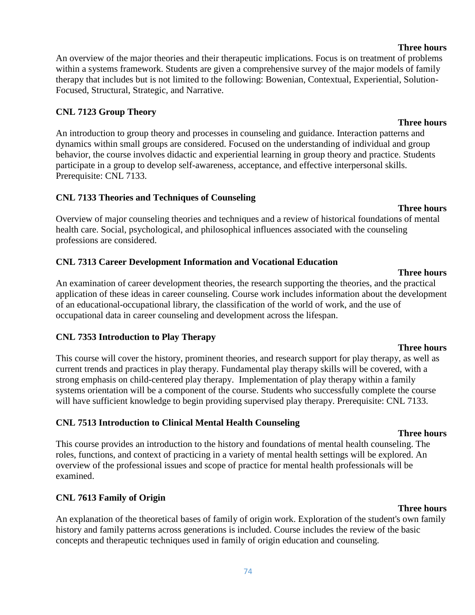#### **Three hours**

An overview of the major theories and their therapeutic implications. Focus is on treatment of problems within a systems framework. Students are given a comprehensive survey of the major models of family therapy that includes but is not limited to the following: Bowenian, Contextual, Experiential, Solution-Focused, Structural, Strategic, and Narrative.

### **CNL 7123 Group Theory**

An introduction to group theory and processes in counseling and guidance. Interaction patterns and dynamics within small groups are considered. Focused on the understanding of individual and group behavior, the course involves didactic and experiential learning in group theory and practice. Students participate in a group to develop self-awareness, acceptance, and effective interpersonal skills. Prerequisite: CNL 7133.

### **CNL 7133 Theories and Techniques of Counseling**

Overview of major counseling theories and techniques and a review of historical foundations of mental health care. Social, psychological, and philosophical influences associated with the counseling professions are considered.

### **CNL 7313 Career Development Information and Vocational Education**

**Three hours** An examination of career development theories, the research supporting the theories, and the practical application of these ideas in career counseling. Course work includes information about the development of an educational-occupational library, the classification of the world of work, and the use of occupational data in career counseling and development across the lifespan.

### **CNL 7353 Introduction to Play Therapy**

This course will cover the history, prominent theories, and research support for play therapy, as well as current trends and practices in play therapy. Fundamental play therapy skills will be covered, with a strong emphasis on child-centered play therapy. Implementation of play therapy within a family systems orientation will be a component of the course. Students who successfully complete the course will have sufficient knowledge to begin providing supervised play therapy. Prerequisite: CNL 7133.

## **CNL 7513 Introduction to Clinical Mental Health Counseling**

This course provides an introduction to the history and foundations of mental health counseling. The roles, functions, and context of practicing in a variety of mental health settings will be explored. An overview of the professional issues and scope of practice for mental health professionals will be examined.

## **CNL 7613 Family of Origin**

An explanation of the theoretical bases of family of origin work. Exploration of the student's own family history and family patterns across generations is included. Course includes the review of the basic concepts and therapeutic techniques used in family of origin education and counseling.

### **Three hours**

**Three hours**

# **Three hours**

**Three hours**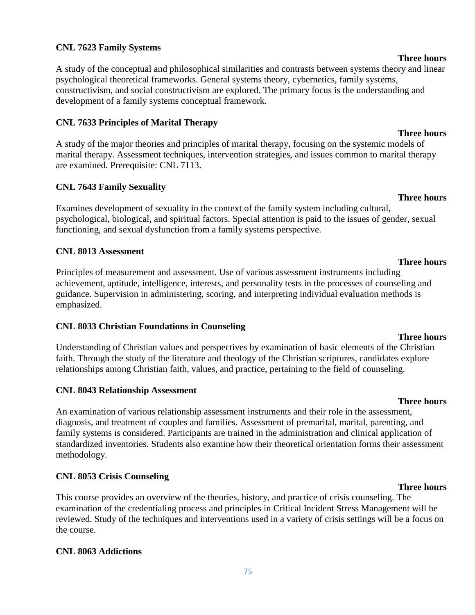#### **CNL 7623 Family Systems**

A study of the conceptual and philosophical similarities and contrasts between systems theory and linear psychological theoretical frameworks. General systems theory, cybernetics, family systems, constructivism, and social constructivism are explored. The primary focus is the understanding and development of a family systems conceptual framework.

#### **CNL 7633 Principles of Marital Therapy**

A study of the major theories and principles of marital therapy, focusing on the systemic models of marital therapy. Assessment techniques, intervention strategies, and issues common to marital therapy are examined. Prerequisite: CNL 7113.

#### **CNL 7643 Family Sexuality**

Examines development of sexuality in the context of the family system including cultural, psychological, biological, and spiritual factors. Special attention is paid to the issues of gender, sexual functioning, and sexual dysfunction from a family systems perspective.

#### **CNL 8013 Assessment**

Principles of measurement and assessment. Use of various assessment instruments including achievement, aptitude, intelligence, interests, and personality tests in the processes of counseling and guidance. Supervision in administering, scoring, and interpreting individual evaluation methods is emphasized.

#### **CNL 8033 Christian Foundations in Counseling**

Understanding of Christian values and perspectives by examination of basic elements of the Christian faith. Through the study of the literature and theology of the Christian scriptures, candidates explore relationships among Christian faith, values, and practice, pertaining to the field of counseling.

#### **CNL 8043 Relationship Assessment**

An examination of various relationship assessment instruments and their role in the assessment, diagnosis, and treatment of couples and families. Assessment of premarital, marital, parenting, and family systems is considered. Participants are trained in the administration and clinical application of standardized inventories. Students also examine how their theoretical orientation forms their assessment methodology.

### **CNL 8053 Crisis Counseling**

This course provides an overview of the theories, history, and practice of crisis counseling. The examination of the credentialing process and principles in Critical Incident Stress Management will be reviewed. Study of the techniques and interventions used in a variety of crisis settings will be a focus on the course.

### **CNL 8063 Addictions**

### 75

#### **Three hours**

#### **Three hours**

**Three hours**

**Three hours**

#### **Three hours**

**Three hours**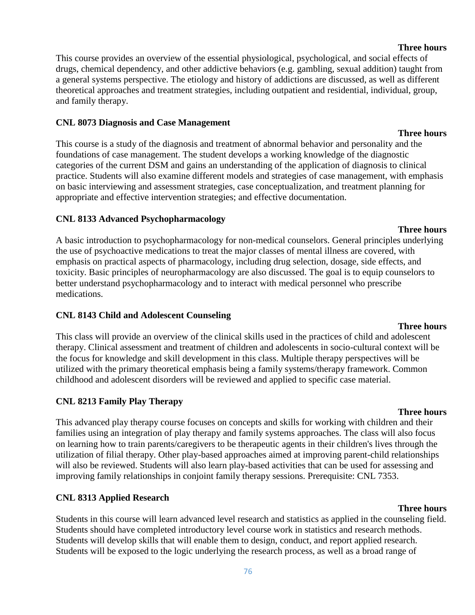## **Three hours**

This course provides an overview of the essential physiological, psychological, and social effects of drugs, chemical dependency, and other addictive behaviors (e.g. gambling, sexual addition) taught from a general systems perspective. The etiology and history of addictions are discussed, as well as different theoretical approaches and treatment strategies, including outpatient and residential, individual, group, and family therapy.

### **CNL 8073 Diagnosis and Case Management**

This course is a study of the diagnosis and treatment of abnormal behavior and personality and the foundations of case management. The student develops a working knowledge of the diagnostic categories of the current DSM and gains an understanding of the application of diagnosis to clinical practice. Students will also examine different models and strategies of case management, with emphasis on basic interviewing and assessment strategies, case conceptualization, and treatment planning for appropriate and effective intervention strategies; and effective documentation.

### **CNL 8133 Advanced Psychopharmacology**

A basic introduction to psychopharmacology for non-medical counselors. General principles underlying the use of psychoactive medications to treat the major classes of mental illness are covered, with emphasis on practical aspects of pharmacology, including drug selection, dosage, side effects, and toxicity. Basic principles of neuropharmacology are also discussed. The goal is to equip counselors to better understand psychopharmacology and to interact with medical personnel who prescribe medications.

## **CNL 8143 Child and Adolescent Counseling**

### This class will provide an overview of the clinical skills used in the practices of child and adolescent therapy. Clinical assessment and treatment of children and adolescents in socio-cultural context will be the focus for knowledge and skill development in this class. Multiple therapy perspectives will be utilized with the primary theoretical emphasis being a family systems/therapy framework. Common childhood and adolescent disorders will be reviewed and applied to specific case material.

## **CNL 8213 Family Play Therapy**

### **Three hours**

This advanced play therapy course focuses on concepts and skills for working with children and their families using an integration of play therapy and family systems approaches. The class will also focus on learning how to train parents/caregivers to be therapeutic agents in their children's lives through the utilization of filial therapy. Other play-based approaches aimed at improving parent-child relationships will also be reviewed. Students will also learn play-based activities that can be used for assessing and improving family relationships in conjoint family therapy sessions. Prerequisite: CNL 7353.

## **CNL 8313 Applied Research**

**Three hours** Students in this course will learn advanced level research and statistics as applied in the counseling field. Students should have completed introductory level course work in statistics and research methods. Students will develop skills that will enable them to design, conduct, and report applied research. Students will be exposed to the logic underlying the research process, as well as a broad range of

#### **Three hours**

**Three hours**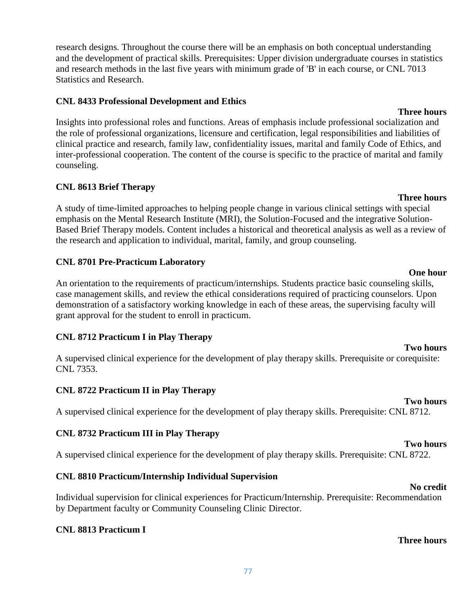research designs. Throughout the course there will be an emphasis on both conceptual understanding and the development of practical skills. Prerequisites: Upper division undergraduate courses in statistics and research methods in the last five years with minimum grade of 'B' in each course, or CNL 7013 Statistics and Research.

#### **CNL 8433 Professional Development and Ethics**

Insights into professional roles and functions. Areas of emphasis include professional socialization and the role of professional organizations, licensure and certification, legal responsibilities and liabilities of clinical practice and research, family law, confidentiality issues, marital and family Code of Ethics, and inter-professional cooperation. The content of the course is specific to the practice of marital and family counseling.

#### **CNL 8613 Brief Therapy**

A study of time-limited approaches to helping people change in various clinical settings with special emphasis on the Mental Research Institute (MRI), the Solution-Focused and the integrative Solution-Based Brief Therapy models. Content includes a historical and theoretical analysis as well as a review of the research and application to individual, marital, family, and group counseling.

#### **CNL 8701 Pre-Practicum Laboratory**

An orientation to the requirements of practicum/internships. Students practice basic counseling skills, case management skills, and review the ethical considerations required of practicing counselors. Upon demonstration of a satisfactory working knowledge in each of these areas, the supervising faculty will grant approval for the student to enroll in practicum.

### **CNL 8712 Practicum I in Play Therapy**

A supervised clinical experience for the development of play therapy skills. Prerequisite or corequisite: CNL 7353.

### **CNL 8722 Practicum II in Play Therapy**

A supervised clinical experience for the development of play therapy skills. Prerequisite: CNL 8712.

### **CNL 8732 Practicum III in Play Therapy**

A supervised clinical experience for the development of play therapy skills. Prerequisite: CNL 8722.

### **CNL 8810 Practicum/Internship Individual Supervision**

#### **No credit**

**Two hours**

Individual supervision for clinical experiences for Practicum/Internship. Prerequisite: Recommendation by Department faculty or Community Counseling Clinic Director.

### **CNL 8813 Practicum I**

#### **Three hours**

**Three hours**

## **One hour**

# **Two hours**

**Two hours**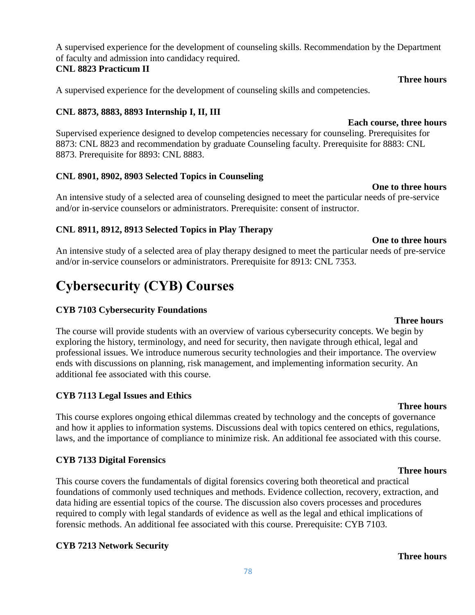A supervised experience for the development of counseling skills. Recommendation by the Department of faculty and admission into candidacy required.

#### **CNL 8823 Practicum II**

A supervised experience for the development of counseling skills and competencies.

### **CNL 8873, 8883, 8893 Internship I, II, III**

**Each course, three hours** Supervised experience designed to develop competencies necessary for counseling. Prerequisites for 8873: CNL 8823 and recommendation by graduate Counseling faculty. Prerequisite for 8883: CNL 8873. Prerequisite for 8893: CNL 8883.

### **CNL 8901, 8902, 8903 Selected Topics in Counseling**

An intensive study of a selected area of counseling designed to meet the particular needs of pre-service and/or in-service counselors or administrators. Prerequisite: consent of instructor.

### **CNL 8911, 8912, 8913 Selected Topics in Play Therapy**

# **One to three hours**

An intensive study of a selected area of play therapy designed to meet the particular needs of pre-service and/or in-service counselors or administrators. Prerequisite for 8913: CNL 7353.

# **Cybersecurity (CYB) Courses**

### **CYB 7103 Cybersecurity Foundations**

The course will provide students with an overview of various cybersecurity concepts. We begin by exploring the history, terminology, and need for security, then navigate through ethical, legal and professional issues. We introduce numerous security technologies and their importance. The overview ends with discussions on planning, risk management, and implementing information security. An additional fee associated with this course.

## **CYB 7113 Legal Issues and Ethics**

This course explores ongoing ethical dilemmas created by technology and the concepts of governance and how it applies to information systems. Discussions deal with topics centered on ethics, regulations, laws, and the importance of compliance to minimize risk. An additional fee associated with this course.

### **CYB 7133 Digital Forensics**

This course covers the fundamentals of digital forensics covering both theoretical and practical foundations of commonly used techniques and methods. Evidence collection, recovery, extraction, and data hiding are essential topics of the course. The discussion also covers processes and procedures required to comply with legal standards of evidence as well as the legal and ethical implications of forensic methods. An additional fee associated with this course. Prerequisite: CYB 7103.

## **CYB 7213 Network Security**

**Three hours**

# **Three hours**

#### **Three hours**

# **Three hours**

**One to three hours**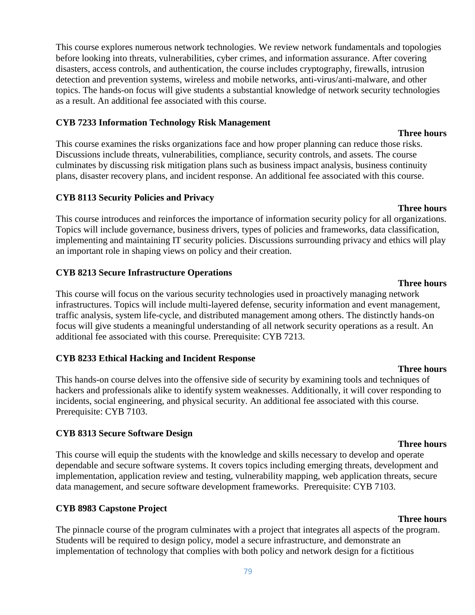This course explores numerous network technologies. We review network fundamentals and topologies before looking into threats, vulnerabilities, cyber crimes, and information assurance. After covering disasters, access controls, and authentication, the course includes cryptography, firewalls, intrusion detection and prevention systems, wireless and mobile networks, anti-virus/anti-malware, and other topics. The hands-on focus will give students a substantial knowledge of network security technologies as a result. An additional fee associated with this course.

#### **CYB 7233 Information Technology Risk Management**

This course examines the risks organizations face and how proper planning can reduce those risks. Discussions include threats, vulnerabilities, compliance, security controls, and assets. The course culminates by discussing risk mitigation plans such as business impact analysis, business continuity plans, disaster recovery plans, and incident response. An additional fee associated with this course.

#### **CYB 8113 Security Policies and Privacy**

This course introduces and reinforces the importance of information security policy for all organizations. Topics will include governance, business drivers, types of policies and frameworks, data classification, implementing and maintaining IT security policies. Discussions surrounding privacy and ethics will play an important role in shaping views on policy and their creation.

#### **CYB 8213 Secure Infrastructure Operations**

This course will focus on the various security technologies used in proactively managing network infrastructures. Topics will include multi-layered defense, security information and event management, traffic analysis, system life-cycle, and distributed management among others. The distinctly hands-on focus will give students a meaningful understanding of all network security operations as a result. An additional fee associated with this course. Prerequisite: CYB 7213.

#### **CYB 8233 Ethical Hacking and Incident Response**

This hands-on course delves into the offensive side of security by examining tools and techniques of hackers and professionals alike to identify system weaknesses. Additionally, it will cover responding to incidents, social engineering, and physical security. An additional fee associated with this course. Prerequisite: CYB 7103.

#### **CYB 8313 Secure Software Design**

This course will equip the students with the knowledge and skills necessary to develop and operate dependable and secure software systems. It covers topics including emerging threats, development and implementation, application review and testing, vulnerability mapping, web application threats, secure data management, and secure software development frameworks. Prerequisite: CYB 7103.

#### **CYB 8983 Capstone Project**

The pinnacle course of the program culminates with a project that integrates all aspects of the program. Students will be required to design policy, model a secure infrastructure, and demonstrate an implementation of technology that complies with both policy and network design for a fictitious

# **Three hours**

**Three hours**

#### **Three hours**

#### **Three hours**

### **Three hours**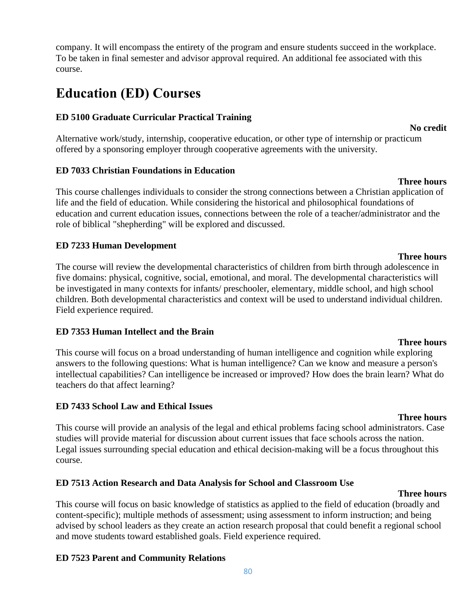company. It will encompass the entirety of the program and ensure students succeed in the workplace. To be taken in final semester and advisor approval required. An additional fee associated with this course.

# **Education (ED) Courses**

### **ED 5100 Graduate Curricular Practical Training**

### Alternative work/study, internship, cooperative education, or other type of internship or practicum offered by a sponsoring employer through cooperative agreements with the university.

### **ED 7033 Christian Foundations in Education**

This course challenges individuals to consider the strong connections between a Christian application of life and the field of education. While considering the historical and philosophical foundations of education and current education issues, connections between the role of a teacher/administrator and the role of biblical "shepherding" will be explored and discussed.

### **ED 7233 Human Development**

The course will review the developmental characteristics of children from birth through adolescence in five domains: physical, cognitive, social, emotional, and moral. The developmental characteristics will be investigated in many contexts for infants/ preschooler, elementary, middle school, and high school children. Both developmental characteristics and context will be used to understand individual children. Field experience required.

### **ED 7353 Human Intellect and the Brain**

This course will focus on a broad understanding of human intelligence and cognition while exploring answers to the following questions: What is human intelligence? Can we know and measure a person's intellectual capabilities? Can intelligence be increased or improved? How does the brain learn? What do teachers do that affect learning?

### **ED 7433 School Law and Ethical Issues**

#### **Three hours**

**Three hours**

This course will provide an analysis of the legal and ethical problems facing school administrators. Case studies will provide material for discussion about current issues that face schools across the nation. Legal issues surrounding special education and ethical decision-making will be a focus throughout this course.

## **ED 7513 Action Research and Data Analysis for School and Classroom Use**

### **Three hours**

This course will focus on basic knowledge of statistics as applied to the field of education (broadly and content-specific); multiple methods of assessment; using assessment to inform instruction; and being advised by school leaders as they create an action research proposal that could benefit a regional school and move students toward established goals. Field experience required.

## **ED 7523 Parent and Community Relations**

#### **No credit**

# **Three hours**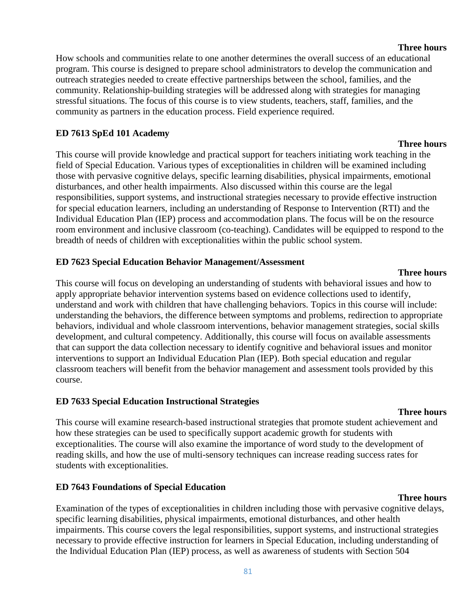### **Three hours**

How schools and communities relate to one another determines the overall success of an educational program. This course is designed to prepare school administrators to develop the communication and outreach strategies needed to create effective partnerships between the school, families, and the community. Relationship-building strategies will be addressed along with strategies for managing stressful situations. The focus of this course is to view students, teachers, staff, families, and the community as partners in the education process. Field experience required.

#### **ED 7613 SpEd 101 Academy**

This course will provide knowledge and practical support for teachers initiating work teaching in the field of Special Education. Various types of exceptionalities in children will be examined including those with pervasive cognitive delays, specific learning disabilities, physical impairments, emotional disturbances, and other health impairments. Also discussed within this course are the legal responsibilities, support systems, and instructional strategies necessary to provide effective instruction for special education learners, including an understanding of Response to Intervention (RTI) and the Individual Education Plan (IEP) process and accommodation plans. The focus will be on the resource room environment and inclusive classroom (co-teaching). Candidates will be equipped to respond to the breadth of needs of children with exceptionalities within the public school system.

#### **ED 7623 Special Education Behavior Management/Assessment**

This course will focus on developing an understanding of students with behavioral issues and how to apply appropriate behavior intervention systems based on evidence collections used to identify, understand and work with children that have challenging behaviors. Topics in this course will include: understanding the behaviors, the difference between symptoms and problems, redirection to appropriate behaviors, individual and whole classroom interventions, behavior management strategies, social skills development, and cultural competency. Additionally, this course will focus on available assessments that can support the data collection necessary to identify cognitive and behavioral issues and monitor interventions to support an Individual Education Plan (IEP). Both special education and regular classroom teachers will benefit from the behavior management and assessment tools provided by this course.

### **ED 7633 Special Education Instructional Strategies**

#### **Three hours**

This course will examine research-based instructional strategies that promote student achievement and how these strategies can be used to specifically support academic growth for students with exceptionalities. The course will also examine the importance of word study to the development of reading skills, and how the use of multi-sensory techniques can increase reading success rates for students with exceptionalities.

### **ED 7643 Foundations of Special Education**

#### **Three hours**

Examination of the types of exceptionalities in children including those with pervasive cognitive delays, specific learning disabilities, physical impairments, emotional disturbances, and other health impairments. This course covers the legal responsibilities, support systems, and instructional strategies necessary to provide effective instruction for learners in Special Education, including understanding of the Individual Education Plan (IEP) process, as well as awareness of students with Section 504

#### **Three hours**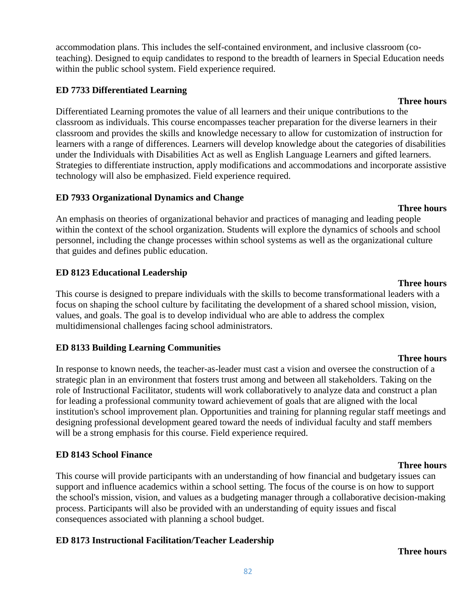accommodation plans. This includes the self-contained environment, and inclusive classroom (coteaching). Designed to equip candidates to respond to the breadth of learners in Special Education needs within the public school system. Field experience required.

#### **ED 7733 Differentiated Learning**

Differentiated Learning promotes the value of all learners and their unique contributions to the classroom as individuals. This course encompasses teacher preparation for the diverse learners in their classroom and provides the skills and knowledge necessary to allow for customization of instruction for learners with a range of differences. Learners will develop knowledge about the categories of disabilities under the Individuals with Disabilities Act as well as English Language Learners and gifted learners. Strategies to differentiate instruction, apply modifications and accommodations and incorporate assistive technology will also be emphasized. Field experience required.

#### **ED 7933 Organizational Dynamics and Change**

An emphasis on theories of organizational behavior and practices of managing and leading people within the context of the school organization. Students will explore the dynamics of schools and school personnel, including the change processes within school systems as well as the organizational culture that guides and defines public education.

### **ED 8123 Educational Leadership**

This course is designed to prepare individuals with the skills to become transformational leaders with a focus on shaping the school culture by facilitating the development of a shared school mission, vision, values, and goals. The goal is to develop individual who are able to address the complex multidimensional challenges facing school administrators.

### **ED 8133 Building Learning Communities**

In response to known needs, the teacher-as-leader must cast a vision and oversee the construction of a strategic plan in an environment that fosters trust among and between all stakeholders. Taking on the role of Instructional Facilitator, students will work collaboratively to analyze data and construct a plan for leading a professional community toward achievement of goals that are aligned with the local institution's school improvement plan. Opportunities and training for planning regular staff meetings and designing professional development geared toward the needs of individual faculty and staff members will be a strong emphasis for this course. Field experience required.

### **ED 8143 School Finance**

This course will provide participants with an understanding of how financial and budgetary issues can support and influence academics within a school setting. The focus of the course is on how to support the school's mission, vision, and values as a budgeting manager through a collaborative decision-making process. Participants will also be provided with an understanding of equity issues and fiscal consequences associated with planning a school budget.

### **ED 8173 Instructional Facilitation/Teacher Leadership**

#### **Three hours**

**Three hours**

**Three hours**

#### **Three hours**

#### **Three hours**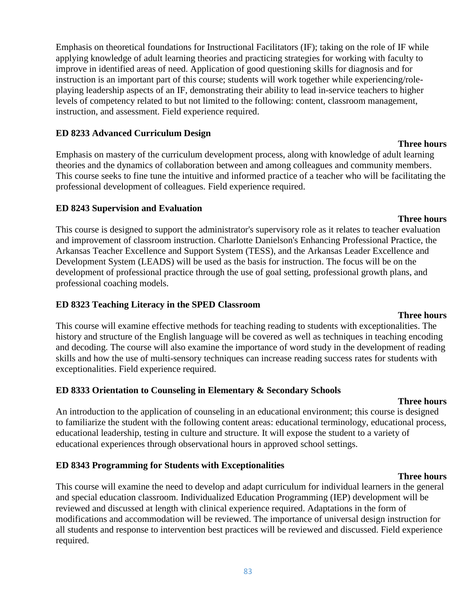Emphasis on theoretical foundations for Instructional Facilitators (IF); taking on the role of IF while applying knowledge of adult learning theories and practicing strategies for working with faculty to improve in identified areas of need. Application of good questioning skills for diagnosis and for instruction is an important part of this course; students will work together while experiencing/roleplaying leadership aspects of an IF, demonstrating their ability to lead in-service teachers to higher levels of competency related to but not limited to the following: content, classroom management, instruction, and assessment. Field experience required.

#### **ED 8233 Advanced Curriculum Design**

Emphasis on mastery of the curriculum development process, along with knowledge of adult learning theories and the dynamics of collaboration between and among colleagues and community members. This course seeks to fine tune the intuitive and informed practice of a teacher who will be facilitating the professional development of colleagues. Field experience required.

#### **ED 8243 Supervision and Evaluation**

**Three hours** This course is designed to support the administrator's supervisory role as it relates to teacher evaluation and improvement of classroom instruction. Charlotte Danielson's Enhancing Professional Practice, the Arkansas Teacher Excellence and Support System (TESS), and the Arkansas Leader Excellence and Development System (LEADS) will be used as the basis for instruction. The focus will be on the development of professional practice through the use of goal setting, professional growth plans, and professional coaching models.

#### **ED 8323 Teaching Literacy in the SPED Classroom**

### This course will examine effective methods for teaching reading to students with exceptionalities. The history and structure of the English language will be covered as well as techniques in teaching encoding and decoding. The course will also examine the importance of word study in the development of reading skills and how the use of multi-sensory techniques can increase reading success rates for students with exceptionalities. Field experience required.

#### **ED 8333 Orientation to Counseling in Elementary & Secondary Schools**

#### **Three hours**

**Three hours**

An introduction to the application of counseling in an educational environment; this course is designed to familiarize the student with the following content areas: educational terminology, educational process, educational leadership, testing in culture and structure. It will expose the student to a variety of educational experiences through observational hours in approved school settings.

### **ED 8343 Programming for Students with Exceptionalities**

This course will examine the need to develop and adapt curriculum for individual learners in the general and special education classroom. Individualized Education Programming (IEP) development will be reviewed and discussed at length with clinical experience required. Adaptations in the form of modifications and accommodation will be reviewed. The importance of universal design instruction for all students and response to intervention best practices will be reviewed and discussed. Field experience required.

#### 83

#### **Three hours**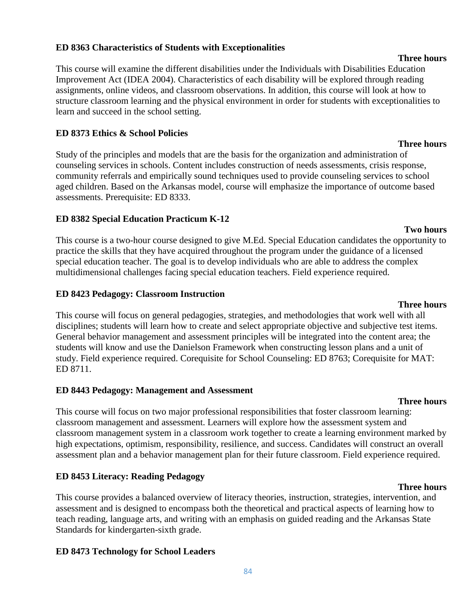#### **ED 8363 Characteristics of Students with Exceptionalities**

This course will examine the different disabilities under the Individuals with Disabilities Education Improvement Act (IDEA 2004). Characteristics of each disability will be explored through reading assignments, online videos, and classroom observations. In addition, this course will look at how to structure classroom learning and the physical environment in order for students with exceptionalities to learn and succeed in the school setting.

#### **ED 8373 Ethics & School Policies**

Study of the principles and models that are the basis for the organization and administration of counseling services in schools. Content includes construction of needs assessments, crisis response, community referrals and empirically sound techniques used to provide counseling services to school aged children. Based on the Arkansas model, course will emphasize the importance of outcome based assessments. Prerequisite: ED 8333.

#### **ED 8382 Special Education Practicum K-12**

This course is a two-hour course designed to give M.Ed. Special Education candidates the opportunity to practice the skills that they have acquired throughout the program under the guidance of a licensed special education teacher. The goal is to develop individuals who are able to address the complex multidimensional challenges facing special education teachers. Field experience required.

#### **ED 8423 Pedagogy: Classroom Instruction**

This course will focus on general pedagogies, strategies, and methodologies that work well with all disciplines; students will learn how to create and select appropriate objective and subjective test items. General behavior management and assessment principles will be integrated into the content area; the students will know and use the Danielson Framework when constructing lesson plans and a unit of study. Field experience required. Corequisite for School Counseling: ED 8763; Corequisite for MAT: ED 8711.

### **ED 8443 Pedagogy: Management and Assessment**

This course will focus on two major professional responsibilities that foster classroom learning: classroom management and assessment. Learners will explore how the assessment system and classroom management system in a classroom work together to create a learning environment marked by high expectations, optimism, responsibility, resilience, and success. Candidates will construct an overall assessment plan and a behavior management plan for their future classroom. Field experience required.

### **ED 8453 Literacy: Reading Pedagogy**

This course provides a balanced overview of literacy theories, instruction, strategies, intervention, and assessment and is designed to encompass both the theoretical and practical aspects of learning how to teach reading, language arts, and writing with an emphasis on guided reading and the Arkansas State Standards for kindergarten-sixth grade.

### **ED 8473 Technology for School Leaders**

#### **Three hours**

#### **Three hours**

**Two hours**

**Three hours**

# **Three hours**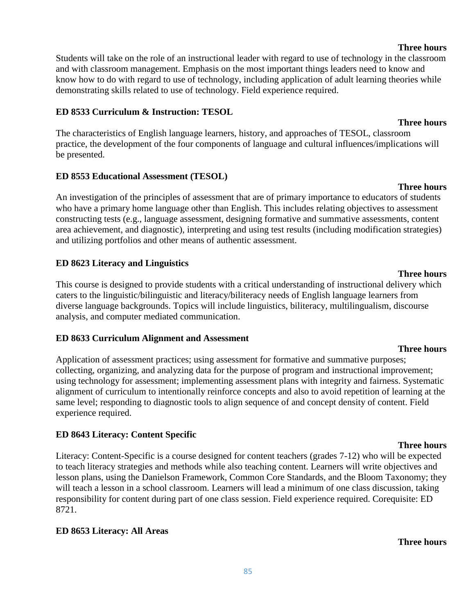**Three hours**

**Three hours** Students will take on the role of an instructional leader with regard to use of technology in the classroom and with classroom management. Emphasis on the most important things leaders need to know and know how to do with regard to use of technology, including application of adult learning theories while demonstrating skills related to use of technology. Field experience required.

# **ED 8533 Curriculum & Instruction: TESOL**

The characteristics of English language learners, history, and approaches of TESOL, classroom practice, the development of the four components of language and cultural influences/implications will be presented.

# **ED 8553 Educational Assessment (TESOL)**

**Three hours** An investigation of the principles of assessment that are of primary importance to educators of students who have a primary home language other than English. This includes relating objectives to assessment constructing tests (e.g., language assessment, designing formative and summative assessments, content area achievement, and diagnostic), interpreting and using test results (including modification strategies) and utilizing portfolios and other means of authentic assessment.

# **ED 8623 Literacy and Linguistics**

This course is designed to provide students with a critical understanding of instructional delivery which caters to the linguistic/bilinguistic and literacy/biliteracy needs of English language learners from diverse language backgrounds. Topics will include linguistics, biliteracy, multilingualism, discourse analysis, and computer mediated communication.

# **ED 8633 Curriculum Alignment and Assessment**

Application of assessment practices; using assessment for formative and summative purposes; collecting, organizing, and analyzing data for the purpose of program and instructional improvement; using technology for assessment; implementing assessment plans with integrity and fairness. Systematic alignment of curriculum to intentionally reinforce concepts and also to avoid repetition of learning at the same level; responding to diagnostic tools to align sequence of and concept density of content. Field experience required.

# **ED 8643 Literacy: Content Specific**

Literacy: Content-Specific is a course designed for content teachers (grades 7-12) who will be expected to teach literacy strategies and methods while also teaching content. Learners will write objectives and lesson plans, using the Danielson Framework, Common Core Standards, and the Bloom Taxonomy; they will teach a lesson in a school classroom. Learners will lead a minimum of one class discussion, taking responsibility for content during part of one class session. Field experience required. Corequisite: ED 8721.

# **ED 8653 Literacy: All Areas**

# **Three hours**

## **Three hours**

#### **Three hours**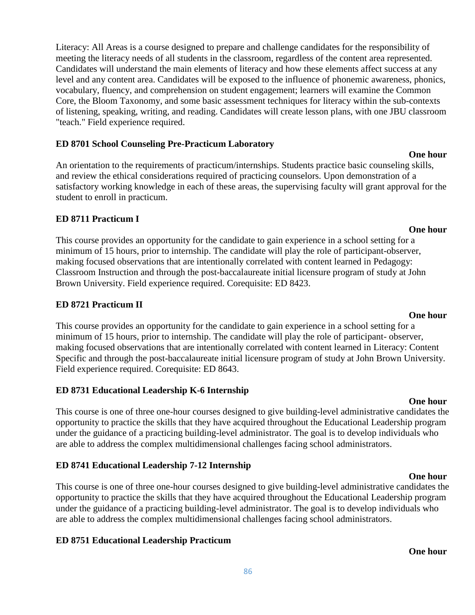Literacy: All Areas is a course designed to prepare and challenge candidates for the responsibility of meeting the literacy needs of all students in the classroom, regardless of the content area represented. Candidates will understand the main elements of literacy and how these elements affect success at any level and any content area. Candidates will be exposed to the influence of phonemic awareness, phonics, vocabulary, fluency, and comprehension on student engagement; learners will examine the Common Core, the Bloom Taxonomy, and some basic assessment techniques for literacy within the sub-contexts of listening, speaking, writing, and reading. Candidates will create lesson plans, with one JBU classroom "teach." Field experience required.

#### **ED 8701 School Counseling Pre-Practicum Laboratory**

An orientation to the requirements of practicum/internships. Students practice basic counseling skills, and review the ethical considerations required of practicing counselors. Upon demonstration of a satisfactory working knowledge in each of these areas, the supervising faculty will grant approval for the student to enroll in practicum.

#### **ED 8711 Practicum I**

This course provides an opportunity for the candidate to gain experience in a school setting for a minimum of 15 hours, prior to internship. The candidate will play the role of participant-observer, making focused observations that are intentionally correlated with content learned in Pedagogy: Classroom Instruction and through the post-baccalaureate initial licensure program of study at John Brown University. Field experience required. Corequisite: ED 8423.

#### **ED 8721 Practicum II**

This course provides an opportunity for the candidate to gain experience in a school setting for a minimum of 15 hours, prior to internship. The candidate will play the role of participant- observer, making focused observations that are intentionally correlated with content learned in Literacy: Content Specific and through the post-baccalaureate initial licensure program of study at John Brown University. Field experience required. Corequisite: ED 8643.

#### **ED 8731 Educational Leadership K-6 Internship**

This course is one of three one-hour courses designed to give building-level administrative candidates the opportunity to practice the skills that they have acquired throughout the Educational Leadership program under the guidance of a practicing building-level administrator. The goal is to develop individuals who are able to address the complex multidimensional challenges facing school administrators.

#### **ED 8741 Educational Leadership 7-12 Internship**

**One hour** This course is one of three one-hour courses designed to give building-level administrative candidates the opportunity to practice the skills that they have acquired throughout the Educational Leadership program under the guidance of a practicing building-level administrator. The goal is to develop individuals who are able to address the complex multidimensional challenges facing school administrators.

### **ED 8751 Educational Leadership Practicum**

#### **One hour**

**One hour**

#### **One hour**

### **One hour**

**One hour**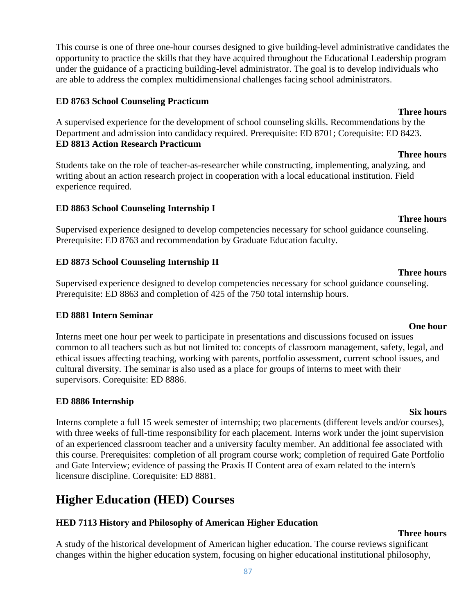This course is one of three one-hour courses designed to give building-level administrative candidates the opportunity to practice the skills that they have acquired throughout the Educational Leadership program under the guidance of a practicing building-level administrator. The goal is to develop individuals who are able to address the complex multidimensional challenges facing school administrators.

#### **ED 8763 School Counseling Practicum**

A supervised experience for the development of school counseling skills. Recommendations by the Department and admission into candidacy required. Prerequisite: ED 8701; Corequisite: ED 8423. **ED 8813 Action Research Practicum**

Students take on the role of teacher-as-researcher while constructing, implementing, analyzing, and writing about an action research project in cooperation with a local educational institution. Field experience required.

### **ED 8863 School Counseling Internship I**

**Three hours** Supervised experience designed to develop competencies necessary for school guidance counseling. Prerequisite: ED 8763 and recommendation by Graduate Education faculty.

### **ED 8873 School Counseling Internship II**

Supervised experience designed to develop competencies necessary for school guidance counseling. Prerequisite: ED 8863 and completion of 425 of the 750 total internship hours.

### **ED 8881 Intern Seminar**

Interns meet one hour per week to participate in presentations and discussions focused on issues common to all teachers such as but not limited to: concepts of classroom management, safety, legal, and ethical issues affecting teaching, working with parents, portfolio assessment, current school issues, and cultural diversity. The seminar is also used as a place for groups of interns to meet with their supervisors. Corequisite: ED 8886.

## **ED 8886 Internship**

**Six hours** Interns complete a full 15 week semester of internship; two placements (different levels and/or courses), with three weeks of full-time responsibility for each placement. Interns work under the joint supervision of an experienced classroom teacher and a university faculty member. An additional fee associated with this course. Prerequisites: completion of all program course work; completion of required Gate Portfolio and Gate Interview; evidence of passing the Praxis II Content area of exam related to the intern's licensure discipline. Corequisite: ED 8881.

# **Higher Education (HED) Courses**

## **HED 7113 History and Philosophy of American Higher Education**

**Three hours**

A study of the historical development of American higher education. The course reviews significant changes within the higher education system, focusing on higher educational institutional philosophy,

# **Three hours**

# **One hour**

**Three hours**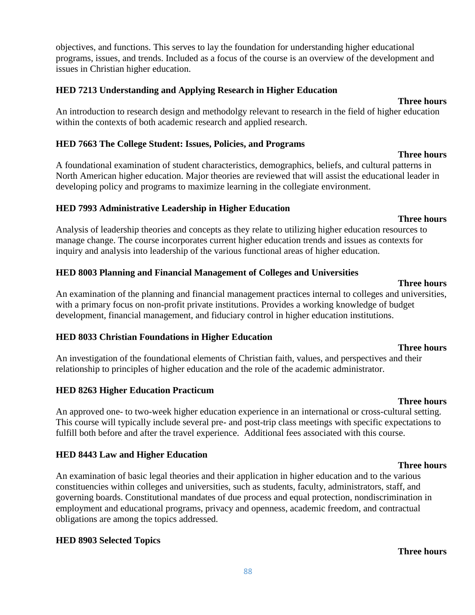**Three hours**

objectives, and functions. This serves to lay the foundation for understanding higher educational programs, issues, and trends. Included as a focus of the course is an overview of the development and issues in Christian higher education.

### **HED 7213 Understanding and Applying Research in Higher Education**

# **Three hours**

An introduction to research design and methodolgy relevant to research in the field of higher education within the contexts of both academic research and applied research.

# **HED 7663 The College Student: Issues, Policies, and Programs**

A foundational examination of student characteristics, demographics, beliefs, and cultural patterns in North American higher education. Major theories are reviewed that will assist the educational leader in developing policy and programs to maximize learning in the collegiate environment.

# **HED 7993 Administrative Leadership in Higher Education**

#### **Three hours** Analysis of leadership theories and concepts as they relate to utilizing higher education resources to manage change. The course incorporates current higher education trends and issues as contexts for inquiry and analysis into leadership of the various functional areas of higher education.

# **HED 8003 Planning and Financial Management of Colleges and Universities**

An examination of the planning and financial management practices internal to colleges and universities, with a primary focus on non-profit private institutions. Provides a working knowledge of budget development, financial management, and fiduciary control in higher education institutions.

# **HED 8033 Christian Foundations in Higher Education**

An investigation of the foundational elements of Christian faith, values, and perspectives and their relationship to principles of higher education and the role of the academic administrator.

# **HED 8263 Higher Education Practicum**

An approved one- to two-week higher education experience in an international or cross-cultural setting. This course will typically include several pre- and post-trip class meetings with specific expectations to fulfill both before and after the travel experience. Additional fees associated with this course.

# **HED 8443 Law and Higher Education**

An examination of basic legal theories and their application in higher education and to the various constituencies within colleges and universities, such as students, faculty, administrators, staff, and governing boards. Constitutional mandates of due process and equal protection, nondiscrimination in employment and educational programs, privacy and openness, academic freedom, and contractual obligations are among the topics addressed.

# **HED 8903 Selected Topics**

# **Three hours**

# **Three hours**

# **Three hours**

# **Three hours**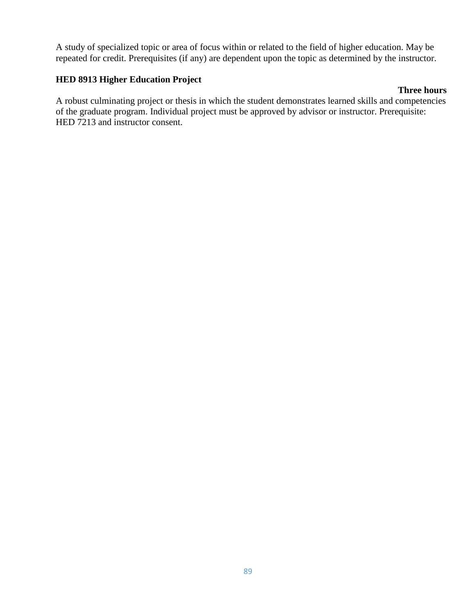A study of specialized topic or area of focus within or related to the field of higher education. May be repeated for credit. Prerequisites (if any) are dependent upon the topic as determined by the instructor.

### **HED 8913 Higher Education Project**

#### **Three hours**

A robust culminating project or thesis in which the student demonstrates learned skills and competencies of the graduate program. Individual project must be approved by advisor or instructor. Prerequisite: HED 7213 and instructor consent.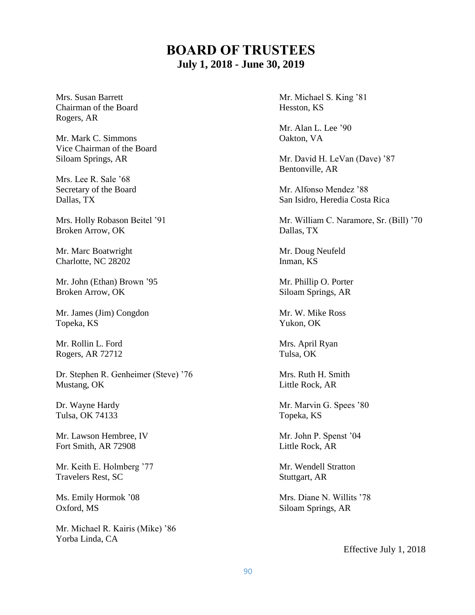# **BOARD OF TRUSTEES July 1, 2018 - June 30, 2019**

Chairman of the Board Hesston, KS Rogers, AR

Mr. Mark C. Simmons Oakton, VA Vice Chairman of the Board

Mrs. Lee R. Sale '68

Broken Arrow, OK Dallas, TX

Mr. Marc Boatwright Mr. Doug Neufeld Charlotte, NC 28202 Inman, KS

Mr. John (Ethan) Brown '95 Mr. Phillip O. Porter Broken Arrow, OK Siloam Springs, AR

Mr. James (Jim) Congdon Mr. W. Mike Ross Topeka, KS Yukon, OK

Mr. Rollin L. Ford Mrs. April Ryan Rogers, AR 72712 Tulsa, OK

Dr. Stephen R. Genheimer (Steve) '76 Mrs. Ruth H. Smith Mustang, OK Little Rock, AR

Tulsa, OK 74133 Topeka, KS

Mr. Lawson Hembree, IV Mr. John P. Spenst '04 Fort Smith, AR 72908 Little Rock, AR

Mr. Keith E. Holmberg '77 Mr. Wendell Stratton Travelers Rest, SC Stuttgart, AR

Oxford, MS Siloam Springs, AR

Mr. Michael R. Kairis (Mike) '86 Yorba Linda, CA

Mrs. Susan Barrett Mrs. Susan Barrett Mrs. Susan Barrett Mrs. Michael S. King '81

Mr. Alan L. Lee '90

Siloam Springs, AR Mr. David H. LeVan (Dave) '87 Bentonville, AR

Secretary of the Board Mr. Alfonso Mendez '88 Dallas, TX San Isidro, Heredia Costa Rica

Mrs. Holly Robason Beitel '91 Mr. William C. Naramore, Sr. (Bill) '70

Dr. Wayne Hardy Mr. Marvin G. Spees '80

Ms. Emily Hormok '08 Mrs. Diane N. Willits '78

Effective July 1, 2018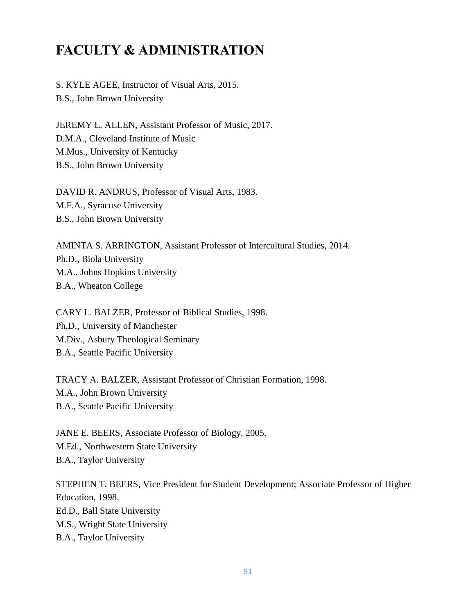# **FACULTY & ADMINISTRATION**

S. KYLE AGEE, Instructor of Visual Arts, 2015. B.S., John Brown University

JEREMY L. ALLEN, Assistant Professor of Music, 2017. D.M.A., Cleveland Institute of Music M.Mus., University of Kentucky B.S., John Brown University

DAVID R. ANDRUS, Professor of Visual Arts, 1983. M.F.A., Syracuse University B.S., John Brown University

AMINTA S. ARRINGTON, Assistant Professor of Intercultural Studies, 2014. Ph.D., Biola University M.A., Johns Hopkins University B.A., Wheaton College

CARY L. BALZER, Professor of Biblical Studies, 1998. Ph.D., University of Manchester M.Div., Asbury Theological Seminary B.A., Seattle Pacific University

TRACY A. BALZER, Assistant Professor of Christian Formation, 1998. M.A., John Brown University B.A., Seattle Pacific University

JANE E. BEERS, Associate Professor of Biology, 2005. M.Ed., Northwestern State University B.A., Taylor University

STEPHEN T. BEERS, Vice President for Student Development; Associate Professor of Higher Education, 1998. Ed.D., Ball State University M.S., Wright State University B.A., Taylor University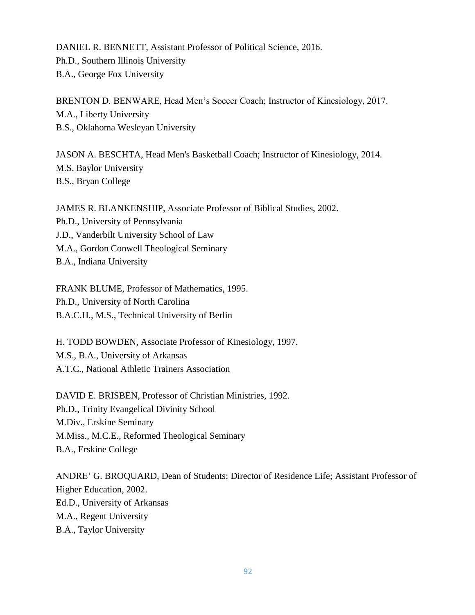DANIEL R. BENNETT, Assistant Professor of Political Science, 2016. Ph.D., Southern Illinois University B.A., George Fox University

BRENTON D. BENWARE, Head Men's Soccer Coach; Instructor of Kinesiology, 2017. M.A., Liberty University B.S., Oklahoma Wesleyan University

JASON A. BESCHTA, Head Men's Basketball Coach; Instructor of Kinesiology, 2014. M.S. Baylor University B.S., Bryan College

JAMES R. BLANKENSHIP, Associate Professor of Biblical Studies, 2002. Ph.D., University of Pennsylvania J.D., Vanderbilt University School of Law M.A., Gordon Conwell Theological Seminary B.A., Indiana University

FRANK BLUME, Professor of Mathematics, 1995. Ph.D., University of North Carolina B.A.C.H., M.S., Technical University of Berlin

H. TODD BOWDEN, Associate Professor of Kinesiology, 1997. M.S., B.A., University of Arkansas A.T.C., National Athletic Trainers Association

DAVID E. BRISBEN, Professor of Christian Ministries, 1992. Ph.D., Trinity Evangelical Divinity School M.Div., Erskine Seminary M.Miss., M.C.E., Reformed Theological Seminary B.A., Erskine College

ANDRE' G. BROQUARD, Dean of Students; Director of Residence Life; Assistant Professor of Higher Education, 2002. Ed.D., University of Arkansas M.A., Regent University B.A., Taylor University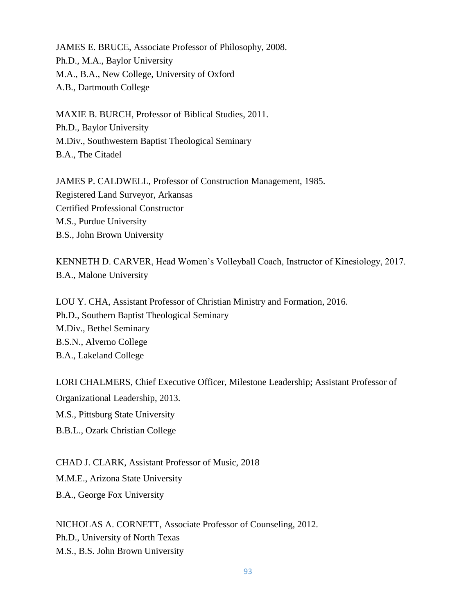JAMES E. BRUCE, Associate Professor of Philosophy, 2008. Ph.D., M.A., Baylor University M.A., B.A., New College, University of Oxford A.B., Dartmouth College

MAXIE B. BURCH, Professor of Biblical Studies, 2011. Ph.D., Baylor University M.Div., Southwestern Baptist Theological Seminary B.A., The Citadel

JAMES P. CALDWELL, Professor of Construction Management, 1985. Registered Land Surveyor, Arkansas Certified Professional Constructor M.S., Purdue University B.S., John Brown University

KENNETH D. CARVER, Head Women's Volleyball Coach, Instructor of Kinesiology, 2017. B.A., Malone University

LOU Y. CHA, Assistant Professor of Christian Ministry and Formation, 2016. Ph.D., Southern Baptist Theological Seminary M.Div., Bethel Seminary B.S.N., Alverno College B.A., Lakeland College

LORI CHALMERS, Chief Executive Officer, Milestone Leadership; Assistant Professor of Organizational Leadership, 2013. M.S., Pittsburg State University

B.B.L., Ozark Christian College

CHAD J. CLARK, Assistant Professor of Music, 2018 M.M.E., Arizona State University B.A., George Fox University

NICHOLAS A. CORNETT, Associate Professor of Counseling, 2012. Ph.D., University of North Texas M.S., B.S. John Brown University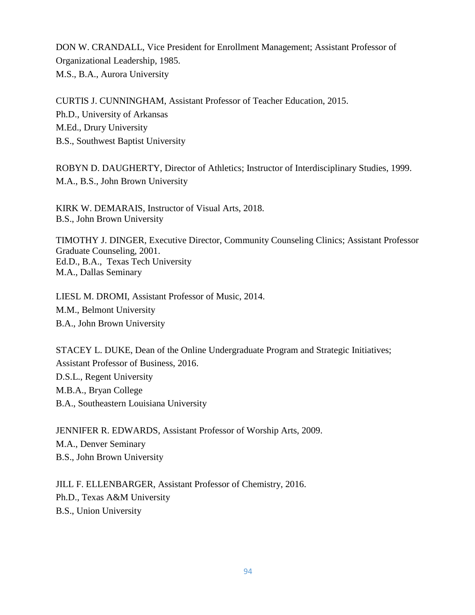DON W. CRANDALL, Vice President for Enrollment Management; Assistant Professor of Organizational Leadership, 1985. M.S., B.A., Aurora University

CURTIS J. CUNNINGHAM, Assistant Professor of Teacher Education, 2015. Ph.D., University of Arkansas M.Ed., Drury University B.S., Southwest Baptist University

ROBYN D. DAUGHERTY, Director of Athletics; Instructor of Interdisciplinary Studies, 1999. M.A., B.S., John Brown University

KIRK W. DEMARAIS, Instructor of Visual Arts, 2018. B.S., John Brown University

TIMOTHY J. DINGER, Executive Director, Community Counseling Clinics; Assistant Professor Graduate Counseling, 2001. Ed.D., B.A., Texas Tech University M.A., Dallas Seminary

LIESL M. DROMI, Assistant Professor of Music, 2014. M.M., Belmont University B.A., John Brown University

STACEY L. DUKE, Dean of the Online Undergraduate Program and Strategic Initiatives; Assistant Professor of Business, 2016. D.S.L., Regent University M.B.A., Bryan College B.A., Southeastern Louisiana University

JENNIFER R. EDWARDS, Assistant Professor of Worship Arts, 2009. M.A., Denver Seminary B.S., John Brown University

JILL F. ELLENBARGER, Assistant Professor of Chemistry, 2016. Ph.D., Texas A&M University B.S., Union University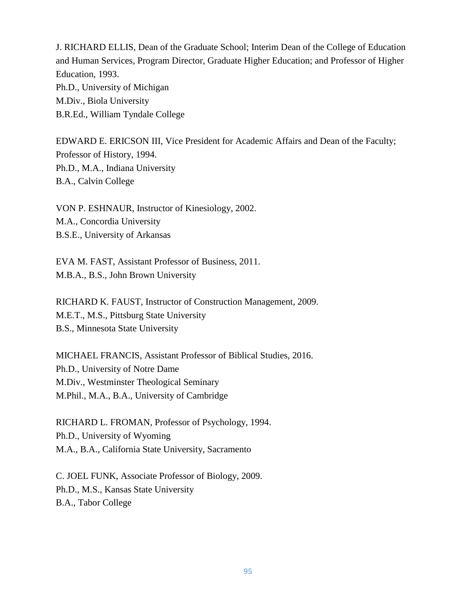J. RICHARD ELLIS, Dean of the Graduate School; Interim Dean of the College of Education and Human Services, Program Director, Graduate Higher Education; and Professor of Higher Education, 1993. Ph.D., University of Michigan M.Div., Biola University B.R.Ed., William Tyndale College

EDWARD E. ERICSON III, Vice President for Academic Affairs and Dean of the Faculty; Professor of History, 1994. Ph.D., M.A., Indiana University B.A., Calvin College

VON P. ESHNAUR, Instructor of Kinesiology, 2002. M.A., Concordia University B.S.E., University of Arkansas

EVA M. FAST, Assistant Professor of Business, 2011. M.B.A., B.S., John Brown University

RICHARD K. FAUST, Instructor of Construction Management, 2009. M.E.T., M.S., Pittsburg State University B.S., Minnesota State University

MICHAEL FRANCIS, Assistant Professor of Biblical Studies, 2016. Ph.D., University of Notre Dame M.Div., Westminster Theological Seminary M.Phil., M.A., B.A., University of Cambridge

RICHARD L. FROMAN, Professor of Psychology, 1994. Ph.D., University of Wyoming M.A., B.A., California State University, Sacramento

C. JOEL FUNK, Associate Professor of Biology, 2009. Ph.D., M.S., Kansas State University B.A., Tabor College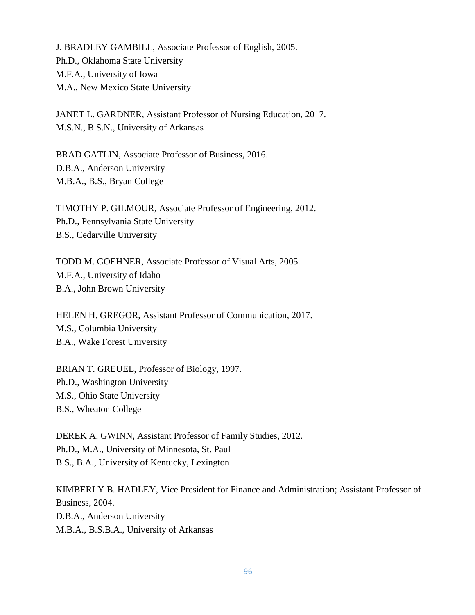J. BRADLEY GAMBILL, Associate Professor of English, 2005. Ph.D., Oklahoma State University M.F.A., University of Iowa M.A., New Mexico State University

JANET L. GARDNER, Assistant Professor of Nursing Education, 2017. M.S.N., B.S.N., University of Arkansas

BRAD GATLIN, Associate Professor of Business, 2016. D.B.A., Anderson University M.B.A., B.S., Bryan College

TIMOTHY P. GILMOUR, Associate Professor of Engineering, 2012. Ph.D., Pennsylvania State University B.S., Cedarville University

TODD M. GOEHNER, Associate Professor of Visual Arts, 2005. M.F.A., University of Idaho B.A., John Brown University

HELEN H. GREGOR, Assistant Professor of Communication, 2017. M.S., Columbia University B.A., Wake Forest University

BRIAN T. GREUEL, Professor of Biology, 1997. Ph.D., Washington University M.S., Ohio State University B.S., Wheaton College

DEREK A. GWINN, Assistant Professor of Family Studies, 2012. Ph.D., M.A., University of Minnesota, St. Paul B.S., B.A., University of Kentucky, Lexington

KIMBERLY B. HADLEY, Vice President for Finance and Administration; Assistant Professor of Business, 2004. D.B.A., Anderson University M.B.A., B.S.B.A., University of Arkansas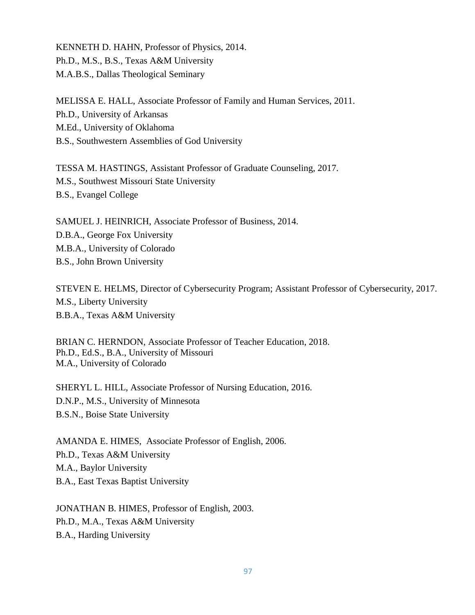KENNETH D. HAHN, Professor of Physics, 2014. Ph.D., M.S., B.S., Texas A&M University M.A.B.S., Dallas Theological Seminary

MELISSA E. HALL, Associate Professor of Family and Human Services, 2011. Ph.D., University of Arkansas M.Ed., University of Oklahoma B.S., Southwestern Assemblies of God University

TESSA M. HASTINGS, Assistant Professor of Graduate Counseling, 2017. M.S., Southwest Missouri State University B.S., Evangel College

SAMUEL J. HEINRICH, Associate Professor of Business, 2014. D.B.A., George Fox University M.B.A., University of Colorado B.S., John Brown University

STEVEN E. HELMS, Director of Cybersecurity Program; Assistant Professor of Cybersecurity, 2017. M.S., Liberty University B.B.A., Texas A&M University

BRIAN C. HERNDON, Associate Professor of Teacher Education, 2018. Ph.D., Ed.S., B.A., University of Missouri M.A., University of Colorado

SHERYL L. HILL, Associate Professor of Nursing Education, 2016. D.N.P., M.S., University of Minnesota B.S.N., Boise State University

AMANDA E. HIMES, Associate Professor of English, 2006. Ph.D., Texas A&M University M.A., Baylor University B.A., East Texas Baptist University

JONATHAN B. HIMES, Professor of English, 2003. Ph.D., M.A., Texas A&M University B.A., Harding University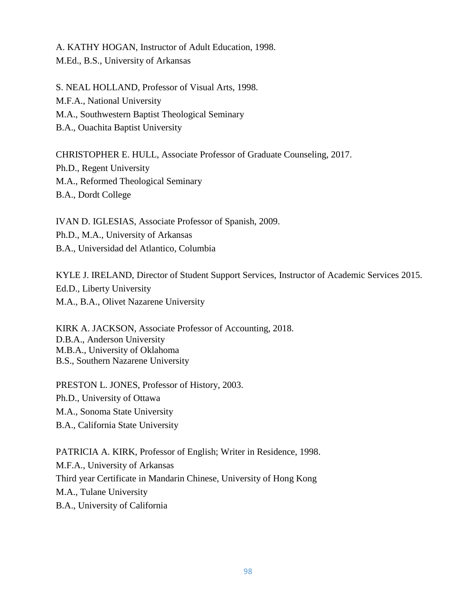A. KATHY HOGAN, Instructor of Adult Education, 1998. M.Ed., B.S., University of Arkansas

S. NEAL HOLLAND, Professor of Visual Arts, 1998. M.F.A., National University M.A., Southwestern Baptist Theological Seminary B.A., Ouachita Baptist University

CHRISTOPHER E. HULL, Associate Professor of Graduate Counseling, 2017. Ph.D., Regent University M.A., Reformed Theological Seminary B.A., Dordt College

IVAN D. IGLESIAS, Associate Professor of Spanish, 2009. Ph.D., M.A., University of Arkansas B.A., Universidad del Atlantico, Columbia

KYLE J. IRELAND, Director of Student Support Services, Instructor of Academic Services 2015. Ed.D., Liberty University M.A., B.A., Olivet Nazarene University

KIRK A. JACKSON, Associate Professor of Accounting, 2018. D.B.A., Anderson University M.B.A., University of Oklahoma B.S., Southern Nazarene University

PRESTON L. JONES, Professor of History, 2003. Ph.D., University of Ottawa M.A., Sonoma State University B.A., California State University

PATRICIA A. KIRK, Professor of English; Writer in Residence, 1998. M.F.A., University of Arkansas Third year Certificate in Mandarin Chinese, University of Hong Kong M.A., Tulane University B.A., University of California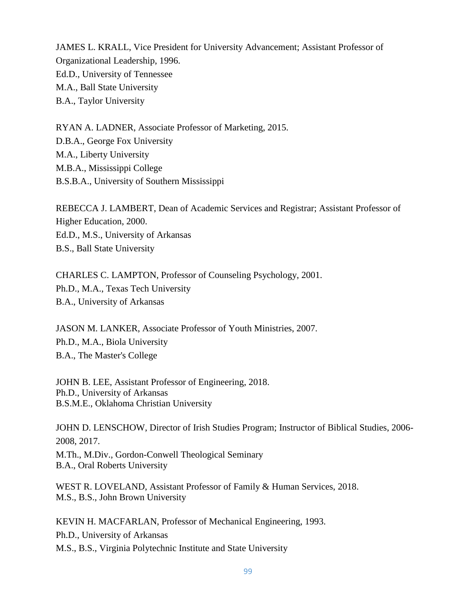JAMES L. KRALL, Vice President for University Advancement; Assistant Professor of Organizational Leadership, 1996. Ed.D., University of Tennessee M.A., Ball State University B.A., Taylor University

RYAN A. LADNER, Associate Professor of Marketing, 2015. D.B.A., George Fox University M.A., Liberty University M.B.A., Mississippi College B.S.B.A., University of Southern Mississippi

REBECCA J. LAMBERT, Dean of Academic Services and Registrar; Assistant Professor of Higher Education, 2000. Ed.D., M.S., University of Arkansas B.S., Ball State University

CHARLES C. LAMPTON, Professor of Counseling Psychology, 2001. Ph.D., M.A., Texas Tech University B.A., University of Arkansas

JASON M. LANKER, Associate Professor of Youth Ministries, 2007. Ph.D., M.A., Biola University B.A., The Master's College

JOHN B. LEE, Assistant Professor of Engineering, 2018. Ph.D., University of Arkansas B.S.M.E., Oklahoma Christian University

JOHN D. LENSCHOW, Director of Irish Studies Program; Instructor of Biblical Studies, 2006- 2008, 2017.

M.Th., M.Div., Gordon-Conwell Theological Seminary B.A., Oral Roberts University

WEST R. LOVELAND, Assistant Professor of Family & Human Services, 2018. M.S., B.S., John Brown University

KEVIN H. MACFARLAN, Professor of Mechanical Engineering, 1993. Ph.D., University of Arkansas M.S., B.S., Virginia Polytechnic Institute and State University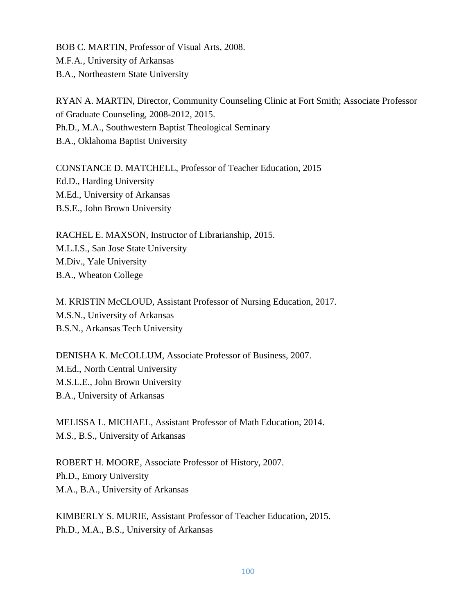BOB C. MARTIN, Professor of Visual Arts, 2008. M.F.A., University of Arkansas B.A., Northeastern State University

RYAN A. MARTIN, Director, Community Counseling Clinic at Fort Smith; Associate Professor of Graduate Counseling, 2008-2012, 2015. Ph.D., M.A., Southwestern Baptist Theological Seminary B.A., Oklahoma Baptist University

CONSTANCE D. MATCHELL, Professor of Teacher Education, 2015 Ed.D., Harding University M.Ed., University of Arkansas B.S.E., John Brown University

RACHEL E. MAXSON, Instructor of Librarianship, 2015. M.L.I.S., San Jose State University M.Div., Yale University B.A., Wheaton College

M. KRISTIN McCLOUD, Assistant Professor of Nursing Education, 2017. M.S.N., University of Arkansas B.S.N., Arkansas Tech University

DENISHA K. McCOLLUM, Associate Professor of Business, 2007. M.Ed., North Central University M.S.L.E., John Brown University B.A., University of Arkansas

MELISSA L. MICHAEL, Assistant Professor of Math Education, 2014. M.S., B.S., University of Arkansas

ROBERT H. MOORE, Associate Professor of History, 2007. Ph.D., Emory University M.A., B.A., University of Arkansas

KIMBERLY S. MURIE, Assistant Professor of Teacher Education, 2015. Ph.D., M.A., B.S., University of Arkansas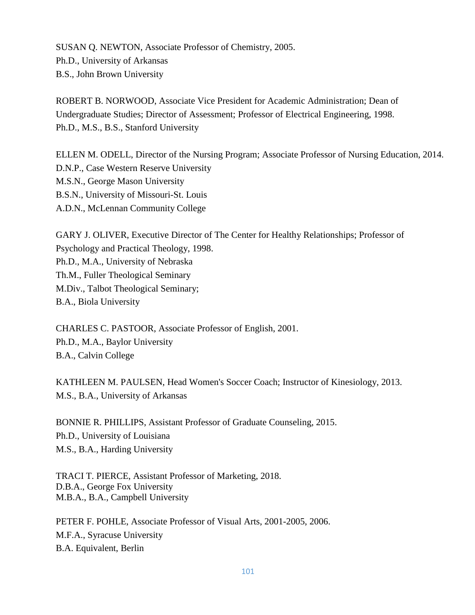SUSAN Q. NEWTON, Associate Professor of Chemistry, 2005. Ph.D., University of Arkansas B.S., John Brown University

ROBERT B. NORWOOD, Associate Vice President for Academic Administration; Dean of Undergraduate Studies; Director of Assessment; Professor of Electrical Engineering, 1998. Ph.D., M.S., B.S., Stanford University

ELLEN M. ODELL, Director of the Nursing Program; Associate Professor of Nursing Education, 2014. D.N.P., Case Western Reserve University M.S.N., George Mason University B.S.N., University of Missouri-St. Louis A.D.N., McLennan Community College

GARY J. OLIVER, Executive Director of The Center for Healthy Relationships; Professor of Psychology and Practical Theology, 1998. Ph.D., M.A., University of Nebraska Th.M., Fuller Theological Seminary M.Div., Talbot Theological Seminary; B.A., Biola University

CHARLES C. PASTOOR, Associate Professor of English, 2001. Ph.D., M.A., Baylor University B.A., Calvin College

KATHLEEN M. PAULSEN, Head Women's Soccer Coach; Instructor of Kinesiology, 2013. M.S., B.A., University of Arkansas

BONNIE R. PHILLIPS, Assistant Professor of Graduate Counseling, 2015. Ph.D., University of Louisiana M.S., B.A., Harding University

TRACI T. PIERCE, Assistant Professor of Marketing, 2018. D.B.A., George Fox University M.B.A., B.A., Campbell University

PETER F. POHLE, Associate Professor of Visual Arts, 2001-2005, 2006. M.F.A., Syracuse University B.A. Equivalent, Berlin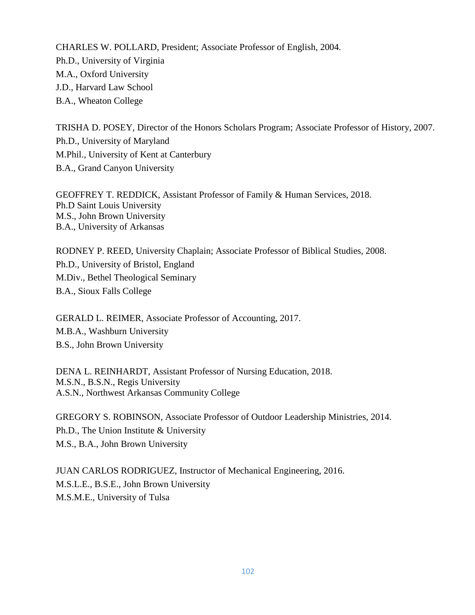CHARLES W. POLLARD, President; Associate Professor of English, 2004. Ph.D., University of Virginia M.A., Oxford University J.D., Harvard Law School B.A., Wheaton College

TRISHA D. POSEY, Director of the Honors Scholars Program; Associate Professor of History, 2007. Ph.D., University of Maryland M.Phil., University of Kent at Canterbury B.A., Grand Canyon University

GEOFFREY T. REDDICK, Assistant Professor of Family & Human Services, 2018. Ph.D Saint Louis University M.S., John Brown University B.A., University of Arkansas

RODNEY P. REED, University Chaplain; Associate Professor of Biblical Studies, 2008. Ph.D., University of Bristol, England M.Div., Bethel Theological Seminary B.A., Sioux Falls College

GERALD L. REIMER, Associate Professor of Accounting, 2017. M.B.A., Washburn University B.S., John Brown University

DENA L. REINHARDT, Assistant Professor of Nursing Education, 2018. M.S.N., B.S.N., Regis University A.S.N., Northwest Arkansas Community College

GREGORY S. ROBINSON, Associate Professor of Outdoor Leadership Ministries, 2014. Ph.D., The Union Institute & University M.S., B.A., John Brown University

JUAN CARLOS RODRIGUEZ, Instructor of Mechanical Engineering, 2016. M.S.L.E., B.S.E., John Brown University M.S.M.E., University of Tulsa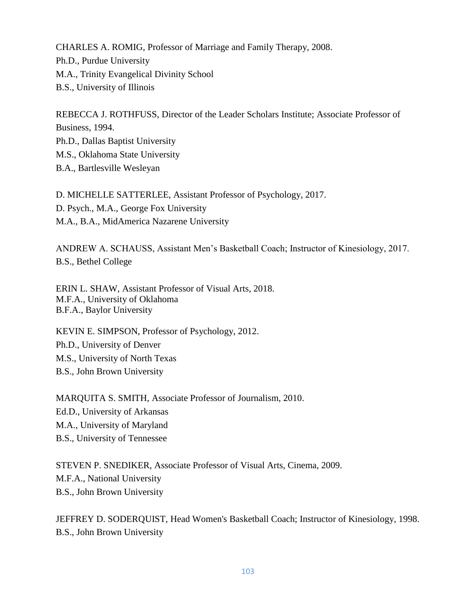CHARLES A. ROMIG, Professor of Marriage and Family Therapy, 2008. Ph.D., Purdue University M.A., Trinity Evangelical Divinity School B.S., University of Illinois

REBECCA J. ROTHFUSS, Director of the Leader Scholars Institute; Associate Professor of Business, 1994. Ph.D., Dallas Baptist University M.S., Oklahoma State University B.A., Bartlesville Wesleyan

D. MICHELLE SATTERLEE, Assistant Professor of Psychology, 2017. D. Psych., M.A., George Fox University M.A., B.A., MidAmerica Nazarene University

ANDREW A. SCHAUSS, Assistant Men's Basketball Coach; Instructor of Kinesiology, 2017. B.S., Bethel College

ERIN L. SHAW, Assistant Professor of Visual Arts, 2018. M.F.A., University of Oklahoma B.F.A., Baylor University

KEVIN E. SIMPSON, Professor of Psychology, 2012. Ph.D., University of Denver M.S., University of North Texas B.S., John Brown University

MARQUITA S. SMITH, Associate Professor of Journalism, 2010. Ed.D., University of Arkansas M.A., University of Maryland B.S., University of Tennessee

STEVEN P. SNEDIKER, Associate Professor of Visual Arts, Cinema, 2009. M.F.A., National University B.S., John Brown University

JEFFREY D. SODERQUIST, Head Women's Basketball Coach; Instructor of Kinesiology, 1998. B.S., John Brown University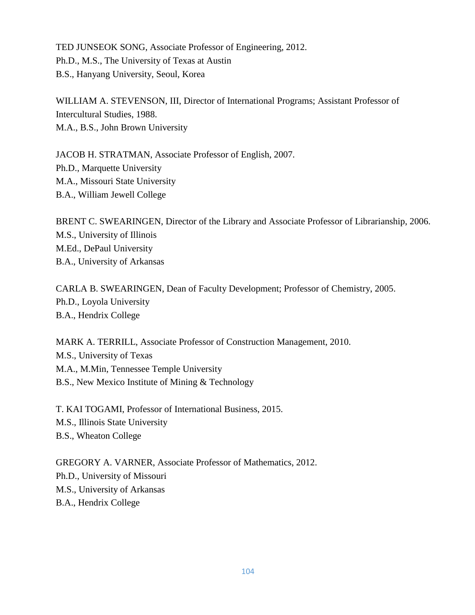TED JUNSEOK SONG, Associate Professor of Engineering, 2012. Ph.D., M.S., The University of Texas at Austin B.S., Hanyang University, Seoul, Korea

WILLIAM A. STEVENSON, III, Director of International Programs; Assistant Professor of Intercultural Studies, 1988. M.A., B.S., John Brown University

JACOB H. STRATMAN, Associate Professor of English, 2007. Ph.D., Marquette University M.A., Missouri State University B.A., William Jewell College

BRENT C. SWEARINGEN, Director of the Library and Associate Professor of Librarianship, 2006. M.S., University of Illinois M.Ed., DePaul University B.A., University of Arkansas

CARLA B. SWEARINGEN, Dean of Faculty Development; Professor of Chemistry, 2005. Ph.D., Loyola University B.A., Hendrix College

MARK A. TERRILL, Associate Professor of Construction Management, 2010. M.S., University of Texas M.A., M.Min, Tennessee Temple University B.S., New Mexico Institute of Mining & Technology

T. KAI TOGAMI, Professor of International Business, 2015. M.S., Illinois State University B.S., Wheaton College

GREGORY A. VARNER, Associate Professor of Mathematics, 2012. Ph.D., University of Missouri M.S., University of Arkansas B.A., Hendrix College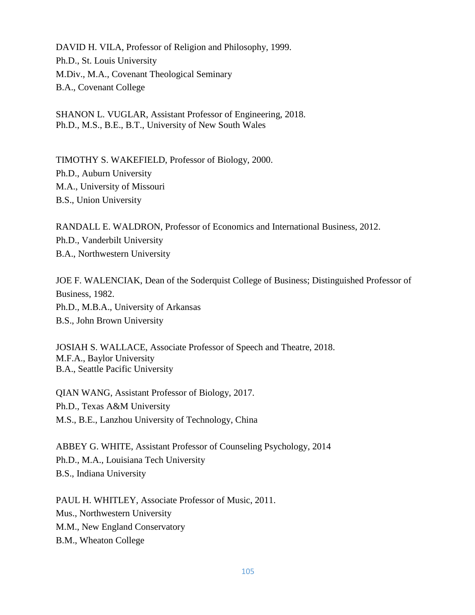DAVID H. VILA, Professor of Religion and Philosophy, 1999. Ph.D., St. Louis University M.Div., M.A., Covenant Theological Seminary B.A., Covenant College

SHANON L. VUGLAR, Assistant Professor of Engineering, 2018. Ph.D., M.S., B.E., B.T., University of New South Wales

TIMOTHY S. WAKEFIELD, Professor of Biology, 2000. Ph.D., Auburn University M.A., University of Missouri B.S., Union University

RANDALL E. WALDRON, Professor of Economics and International Business, 2012. Ph.D., Vanderbilt University B.A., Northwestern University

JOE F. WALENCIAK, Dean of the Soderquist College of Business; Distinguished Professor of Business, 1982. Ph.D., M.B.A., University of Arkansas B.S., John Brown University

JOSIAH S. WALLACE, Associate Professor of Speech and Theatre, 2018. M.F.A., Baylor University B.A., Seattle Pacific University

QIAN WANG, Assistant Professor of Biology, 2017. Ph.D., Texas A&M University M.S., B.E., Lanzhou University of Technology, China

ABBEY G. WHITE, Assistant Professor of Counseling Psychology, 2014 Ph.D., M.A., Louisiana Tech University B.S., Indiana University

PAUL H. WHITLEY, Associate Professor of Music, 2011. Mus., Northwestern University M.M., New England Conservatory B.M., Wheaton College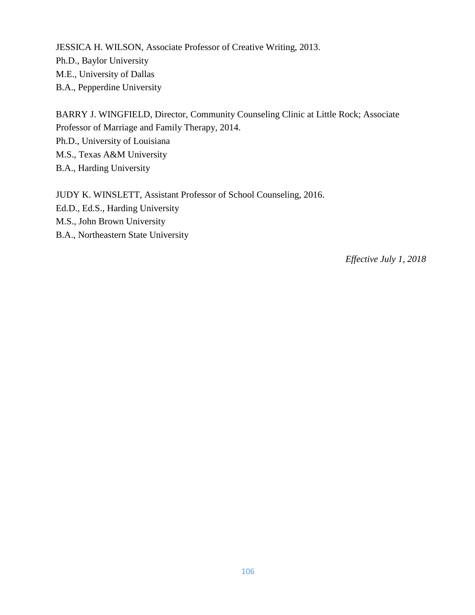JESSICA H. WILSON, Associate Professor of Creative Writing, 2013. Ph.D., Baylor University M.E., University of Dallas B.A., Pepperdine University

BARRY J. WINGFIELD, Director, Community Counseling Clinic at Little Rock; Associate Professor of Marriage and Family Therapy, 2014. Ph.D., University of Louisiana M.S., Texas A&M University B.A., Harding University

JUDY K. WINSLETT, Assistant Professor of School Counseling, 2016. Ed.D., Ed.S., Harding University M.S., John Brown University B.A., Northeastern State University

*Effective July 1, 2018*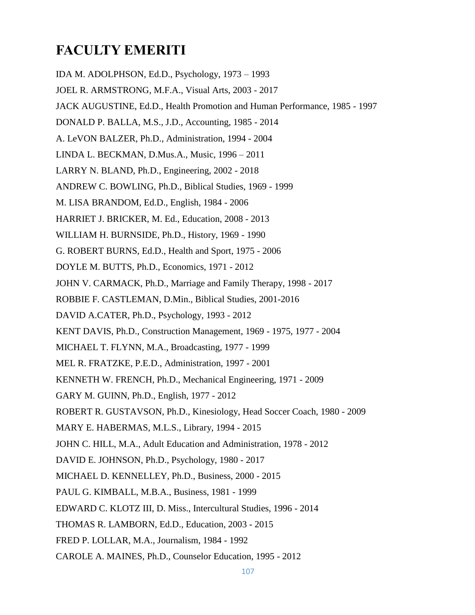# **FACULTY EMERITI**

IDA M. ADOLPHSON, Ed.D., Psychology, 1973 – 1993 JOEL R. ARMSTRONG, M.F.A., Visual Arts, 2003 - 2017 JACK AUGUSTINE, Ed.D., Health Promotion and Human Performance, 1985 - 1997 DONALD P. BALLA, M.S., J.D., Accounting, 1985 - 2014 A. LeVON BALZER, Ph.D., Administration, 1994 - 2004 LINDA L. BECKMAN, D.Mus.A., Music, 1996 – 2011 LARRY N. BLAND, Ph.D., Engineering, 2002 - 2018 ANDREW C. BOWLING, Ph.D., Biblical Studies, 1969 - 1999 M. LISA BRANDOM, Ed.D., English, 1984 - 2006 HARRIET J. BRICKER, M. Ed., Education, 2008 - 2013 WILLIAM H. BURNSIDE, Ph.D., History, 1969 - 1990 G. ROBERT BURNS, Ed.D., Health and Sport, 1975 - 2006 DOYLE M. BUTTS, Ph.D., Economics, 1971 - 2012 JOHN V. CARMACK, Ph.D., Marriage and Family Therapy, 1998 - 2017 ROBBIE F. CASTLEMAN, D.Min., Biblical Studies, 2001-2016 DAVID A.CATER, Ph.D., Psychology, 1993 - 2012 KENT DAVIS, Ph.D., Construction Management, 1969 - 1975, 1977 - 2004 MICHAEL T. FLYNN, M.A., Broadcasting, 1977 - 1999 MEL R. FRATZKE, P.E.D., Administration, 1997 - 2001 KENNETH W. FRENCH, Ph.D., Mechanical Engineering, 1971 - 2009 GARY M. GUINN, Ph.D., English, 1977 - 2012 ROBERT R. GUSTAVSON, Ph.D., Kinesiology, Head Soccer Coach, 1980 - 2009 MARY E. HABERMAS, M.L.S., Library, 1994 - 2015 JOHN C. HILL, M.A., Adult Education and Administration, 1978 - 2012 DAVID E. JOHNSON, Ph.D., Psychology, 1980 - 2017 MICHAEL D. KENNELLEY, Ph.D., Business, 2000 - 2015 PAUL G. KIMBALL, M.B.A., Business, 1981 - 1999 EDWARD C. KLOTZ III, D. Miss., Intercultural Studies, 1996 - 2014 THOMAS R. LAMBORN, Ed.D., Education, 2003 - 2015 FRED P. LOLLAR, M.A., Journalism, 1984 - 1992

CAROLE A. MAINES, Ph.D., Counselor Education, 1995 - 2012